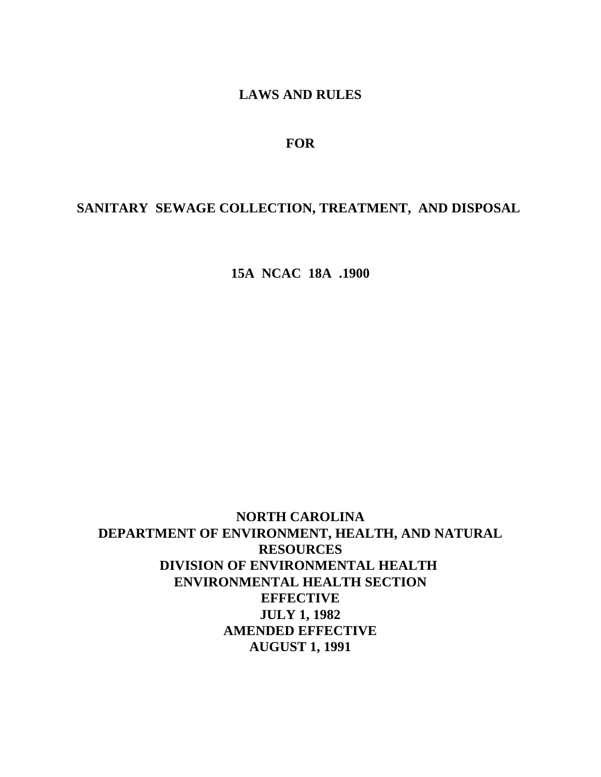# **LAWS AND RULES**

# **FOR**

# **SANITARY SEWAGE COLLECTION, TREATMENT, AND DISPOSAL**

**15A NCAC 18A .1900**

**NORTH CAROLINA DEPARTMENT OF ENVIRONMENT, HEALTH, AND NATURAL RESOURCES DIVISION OF ENVIRONMENTAL HEALTH ENVIRONMENTAL HEALTH SECTION EFFECTIVE JULY 1, 1982 AMENDED EFFECTIVE AUGUST 1, 1991**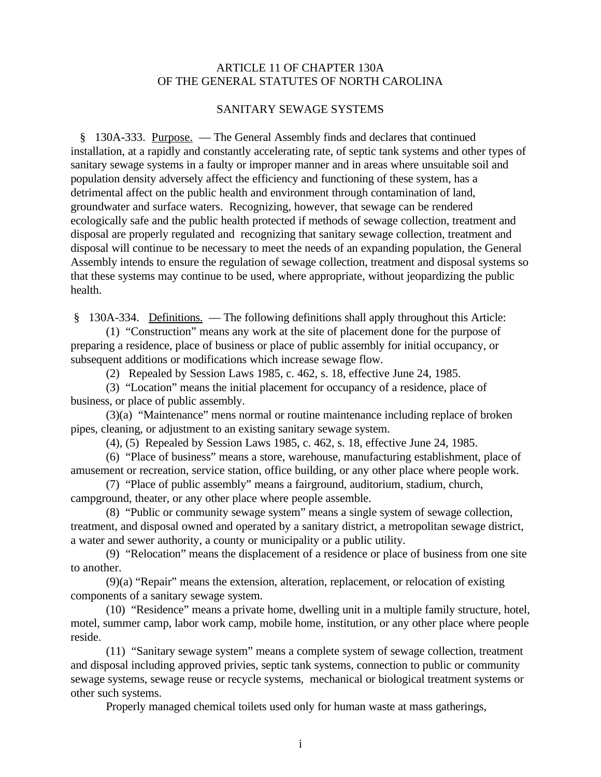## ARTICLE 11 OF CHAPTER 130A OF THE GENERAL STATUTES OF NORTH CAROLINA

#### SANITARY SEWAGE SYSTEMS

 § 130A-333. Purpose. — The General Assembly finds and declares that continued installation, at a rapidly and constantly accelerating rate, of septic tank systems and other types of sanitary sewage systems in a faulty or improper manner and in areas where unsuitable soil and population density adversely affect the efficiency and functioning of these system, has a detrimental affect on the public health and environment through contamination of land, groundwater and surface waters. Recognizing, however, that sewage can be rendered ecologically safe and the public health protected if methods of sewage collection, treatment and disposal are properly regulated and recognizing that sanitary sewage collection, treatment and disposal will continue to be necessary to meet the needs of an expanding population, the General Assembly intends to ensure the regulation of sewage collection, treatment and disposal systems so that these systems may continue to be used, where appropriate, without jeopardizing the public health.

§ 130A-334. Definitions. — The following definitions shall apply throughout this Article:

(1) "Construction" means any work at the site of placement done for the purpose of preparing a residence, place of business or place of public assembly for initial occupancy, or subsequent additions or modifications which increase sewage flow.

(2) Repealed by Session Laws 1985, c. 462, s. 18, effective June 24, 1985.

(3) "Location" means the initial placement for occupancy of a residence, place of business, or place of public assembly.

(3)(a) "Maintenance" mens normal or routine maintenance including replace of broken pipes, cleaning, or adjustment to an existing sanitary sewage system.

(4), (5) Repealed by Session Laws 1985, c. 462, s. 18, effective June 24, 1985.

(6) "Place of business" means a store, warehouse, manufacturing establishment, place of amusement or recreation, service station, office building, or any other place where people work.

(7) "Place of public assembly" means a fairground, auditorium, stadium, church, campground, theater, or any other place where people assemble.

(8) "Public or community sewage system" means a single system of sewage collection, treatment, and disposal owned and operated by a sanitary district, a metropolitan sewage district, a water and sewer authority, a county or municipality or a public utility.

(9) "Relocation" means the displacement of a residence or place of business from one site to another.

(9)(a) "Repair" means the extension, alteration, replacement, or relocation of existing components of a sanitary sewage system.

(10) "Residence" means a private home, dwelling unit in a multiple family structure, hotel, motel, summer camp, labor work camp, mobile home, institution, or any other place where people reside.

(11) "Sanitary sewage system" means a complete system of sewage collection, treatment and disposal including approved privies, septic tank systems, connection to public or community sewage systems, sewage reuse or recycle systems, mechanical or biological treatment systems or other such systems.

Properly managed chemical toilets used only for human waste at mass gatherings,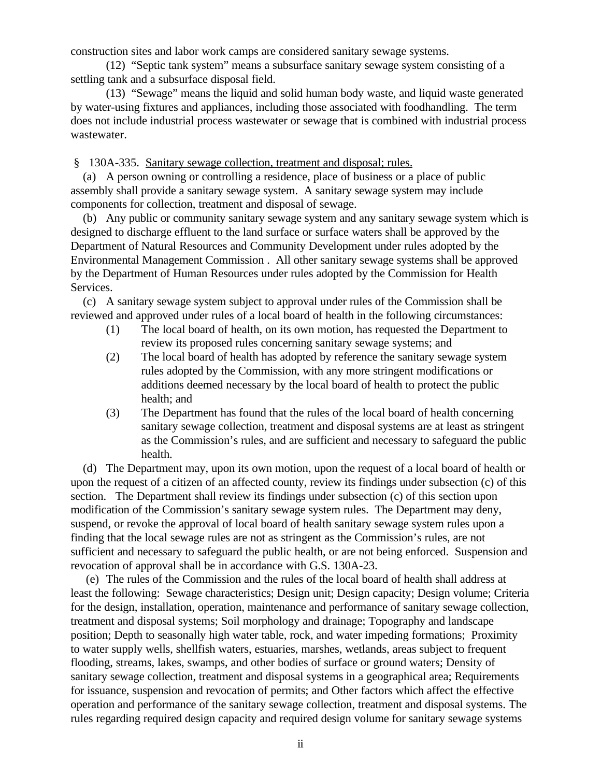construction sites and labor work camps are considered sanitary sewage systems.

(12) "Septic tank system" means a subsurface sanitary sewage system consisting of a settling tank and a subsurface disposal field.

(13) "Sewage" means the liquid and solid human body waste, and liquid waste generated by water-using fixtures and appliances, including those associated with foodhandling. The term does not include industrial process wastewater or sewage that is combined with industrial process wastewater.

§ 130A-335. Sanitary sewage collection, treatment and disposal; rules.

 (a) A person owning or controlling a residence, place of business or a place of public assembly shall provide a sanitary sewage system. A sanitary sewage system may include components for collection, treatment and disposal of sewage.

 (b) Any public or community sanitary sewage system and any sanitary sewage system which is designed to discharge effluent to the land surface or surface waters shall be approved by the Department of Natural Resources and Community Development under rules adopted by the Environmental Management Commission . All other sanitary sewage systems shall be approved by the Department of Human Resources under rules adopted by the Commission for Health Services.

 (c) A sanitary sewage system subject to approval under rules of the Commission shall be reviewed and approved under rules of a local board of health in the following circumstances:

- (1) The local board of health, on its own motion, has requested the Department to review its proposed rules concerning sanitary sewage systems; and
- (2) The local board of health has adopted by reference the sanitary sewage system rules adopted by the Commission, with any more stringent modifications or additions deemed necessary by the local board of health to protect the public health; and
- (3) The Department has found that the rules of the local board of health concerning sanitary sewage collection, treatment and disposal systems are at least as stringent as the Commission's rules, and are sufficient and necessary to safeguard the public health.

 (d) The Department may, upon its own motion, upon the request of a local board of health or upon the request of a citizen of an affected county, review its findings under subsection (c) of this section. The Department shall review its findings under subsection (c) of this section upon modification of the Commission's sanitary sewage system rules. The Department may deny, suspend, or revoke the approval of local board of health sanitary sewage system rules upon a finding that the local sewage rules are not as stringent as the Commission's rules, are not sufficient and necessary to safeguard the public health, or are not being enforced. Suspension and revocation of approval shall be in accordance with G.S. 130A-23.

 (e) The rules of the Commission and the rules of the local board of health shall address at least the following: Sewage characteristics; Design unit; Design capacity; Design volume; Criteria for the design, installation, operation, maintenance and performance of sanitary sewage collection, treatment and disposal systems; Soil morphology and drainage; Topography and landscape position; Depth to seasonally high water table, rock, and water impeding formations; Proximity to water supply wells, shellfish waters, estuaries, marshes, wetlands, areas subject to frequent flooding, streams, lakes, swamps, and other bodies of surface or ground waters; Density of sanitary sewage collection, treatment and disposal systems in a geographical area; Requirements for issuance, suspension and revocation of permits; and Other factors which affect the effective operation and performance of the sanitary sewage collection, treatment and disposal systems. The rules regarding required design capacity and required design volume for sanitary sewage systems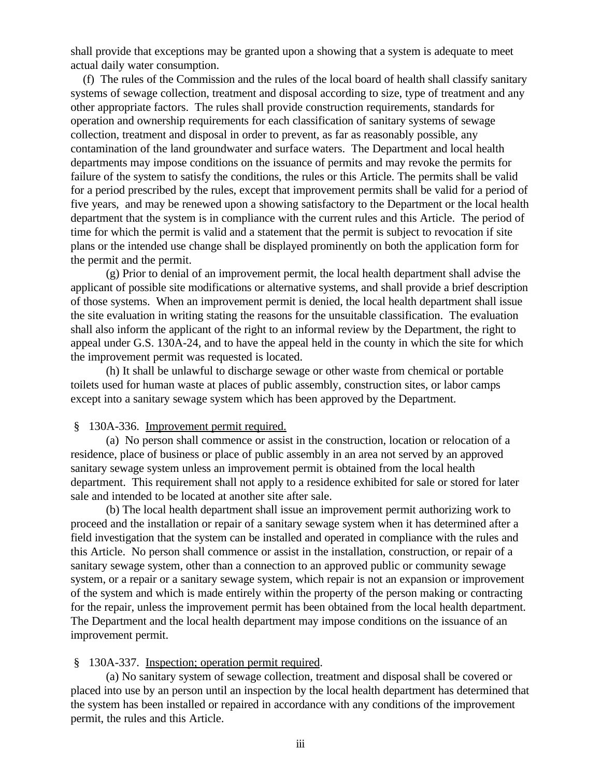shall provide that exceptions may be granted upon a showing that a system is adequate to meet actual daily water consumption.

 (f) The rules of the Commission and the rules of the local board of health shall classify sanitary systems of sewage collection, treatment and disposal according to size, type of treatment and any other appropriate factors. The rules shall provide construction requirements, standards for operation and ownership requirements for each classification of sanitary systems of sewage collection, treatment and disposal in order to prevent, as far as reasonably possible, any contamination of the land groundwater and surface waters. The Department and local health departments may impose conditions on the issuance of permits and may revoke the permits for failure of the system to satisfy the conditions, the rules or this Article. The permits shall be valid for a period prescribed by the rules, except that improvement permits shall be valid for a period of five years, and may be renewed upon a showing satisfactory to the Department or the local health department that the system is in compliance with the current rules and this Article. The period of time for which the permit is valid and a statement that the permit is subject to revocation if site plans or the intended use change shall be displayed prominently on both the application form for the permit and the permit.

(g) Prior to denial of an improvement permit, the local health department shall advise the applicant of possible site modifications or alternative systems, and shall provide a brief description of those systems. When an improvement permit is denied, the local health department shall issue the site evaluation in writing stating the reasons for the unsuitable classification. The evaluation shall also inform the applicant of the right to an informal review by the Department, the right to appeal under G.S. 130A-24, and to have the appeal held in the county in which the site for which the improvement permit was requested is located.

(h) It shall be unlawful to discharge sewage or other waste from chemical or portable toilets used for human waste at places of public assembly, construction sites, or labor camps except into a sanitary sewage system which has been approved by the Department.

#### § 130A-336. Improvement permit required.

(a) No person shall commence or assist in the construction, location or relocation of a residence, place of business or place of public assembly in an area not served by an approved sanitary sewage system unless an improvement permit is obtained from the local health department. This requirement shall not apply to a residence exhibited for sale or stored for later sale and intended to be located at another site after sale.

(b) The local health department shall issue an improvement permit authorizing work to proceed and the installation or repair of a sanitary sewage system when it has determined after a field investigation that the system can be installed and operated in compliance with the rules and this Article. No person shall commence or assist in the installation, construction, or repair of a sanitary sewage system, other than a connection to an approved public or community sewage system, or a repair or a sanitary sewage system, which repair is not an expansion or improvement of the system and which is made entirely within the property of the person making or contracting for the repair, unless the improvement permit has been obtained from the local health department. The Department and the local health department may impose conditions on the issuance of an improvement permit.

#### § 130A-337. Inspection; operation permit required.

(a) No sanitary system of sewage collection, treatment and disposal shall be covered or placed into use by an person until an inspection by the local health department has determined that the system has been installed or repaired in accordance with any conditions of the improvement permit, the rules and this Article.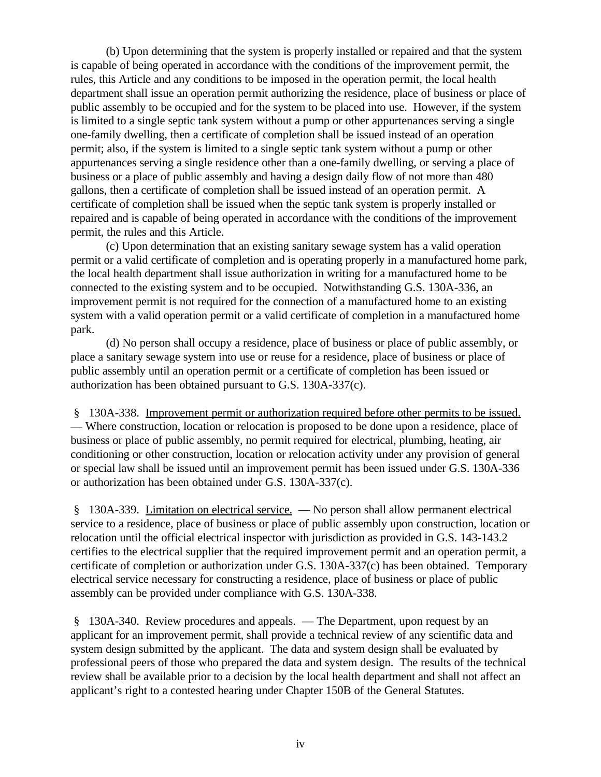(b) Upon determining that the system is properly installed or repaired and that the system is capable of being operated in accordance with the conditions of the improvement permit, the rules, this Article and any conditions to be imposed in the operation permit, the local health department shall issue an operation permit authorizing the residence, place of business or place of public assembly to be occupied and for the system to be placed into use. However, if the system is limited to a single septic tank system without a pump or other appurtenances serving a single one-family dwelling, then a certificate of completion shall be issued instead of an operation permit; also, if the system is limited to a single septic tank system without a pump or other appurtenances serving a single residence other than a one-family dwelling, or serving a place of business or a place of public assembly and having a design daily flow of not more than 480 gallons, then a certificate of completion shall be issued instead of an operation permit. A certificate of completion shall be issued when the septic tank system is properly installed or repaired and is capable of being operated in accordance with the conditions of the improvement permit, the rules and this Article.

(c) Upon determination that an existing sanitary sewage system has a valid operation permit or a valid certificate of completion and is operating properly in a manufactured home park, the local health department shall issue authorization in writing for a manufactured home to be connected to the existing system and to be occupied. Notwithstanding G.S. 130A-336, an improvement permit is not required for the connection of a manufactured home to an existing system with a valid operation permit or a valid certificate of completion in a manufactured home park.

(d) No person shall occupy a residence, place of business or place of public assembly, or place a sanitary sewage system into use or reuse for a residence, place of business or place of public assembly until an operation permit or a certificate of completion has been issued or authorization has been obtained pursuant to G.S. 130A-337(c).

 § 130A-338. Improvement permit or authorization required before other permits to be issued. — Where construction, location or relocation is proposed to be done upon a residence, place of business or place of public assembly, no permit required for electrical, plumbing, heating, air conditioning or other construction, location or relocation activity under any provision of general or special law shall be issued until an improvement permit has been issued under G.S. 130A-336 or authorization has been obtained under G.S. 130A-337(c).

§ 130A-339. Limitation on electrical service. — No person shall allow permanent electrical service to a residence, place of business or place of public assembly upon construction, location or relocation until the official electrical inspector with jurisdiction as provided in G.S. 143-143.2 certifies to the electrical supplier that the required improvement permit and an operation permit, a certificate of completion or authorization under G.S. 130A-337(c) has been obtained. Temporary electrical service necessary for constructing a residence, place of business or place of public assembly can be provided under compliance with G.S. 130A-338.

 § 130A-340. Review procedures and appeals. — The Department, upon request by an applicant for an improvement permit, shall provide a technical review of any scientific data and system design submitted by the applicant. The data and system design shall be evaluated by professional peers of those who prepared the data and system design. The results of the technical review shall be available prior to a decision by the local health department and shall not affect an applicant's right to a contested hearing under Chapter 150B of the General Statutes.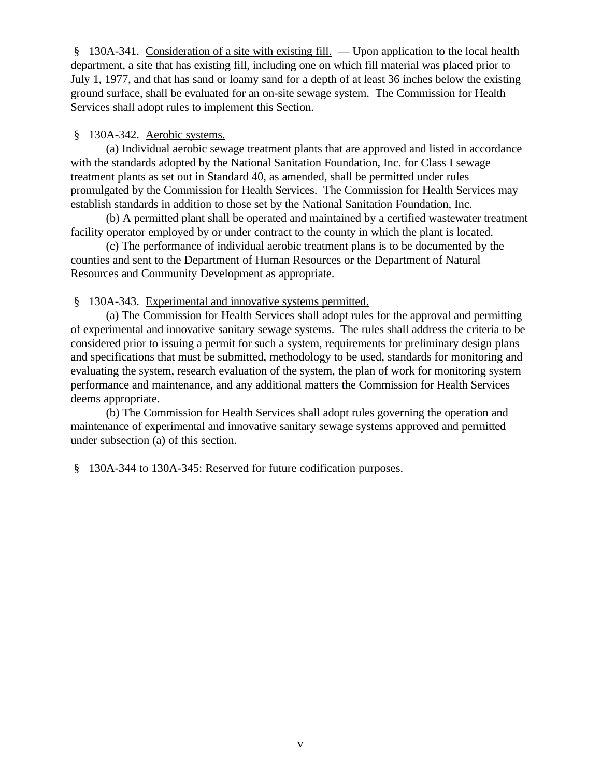§ 130A-341. Consideration of a site with existing fill. — Upon application to the local health department, a site that has existing fill, including one on which fill material was placed prior to July 1, 1977, and that has sand or loamy sand for a depth of at least 36 inches below the existing ground surface, shall be evaluated for an on-site sewage system. The Commission for Health Services shall adopt rules to implement this Section.

# § 130A-342. Aerobic systems.

(a) Individual aerobic sewage treatment plants that are approved and listed in accordance with the standards adopted by the National Sanitation Foundation, Inc. for Class I sewage treatment plants as set out in Standard 40, as amended, shall be permitted under rules promulgated by the Commission for Health Services. The Commission for Health Services may establish standards in addition to those set by the National Sanitation Foundation, Inc.

(b) A permitted plant shall be operated and maintained by a certified wastewater treatment facility operator employed by or under contract to the county in which the plant is located.

(c) The performance of individual aerobic treatment plans is to be documented by the counties and sent to the Department of Human Resources or the Department of Natural Resources and Community Development as appropriate.

§ 130A-343. Experimental and innovative systems permitted.

(a) The Commission for Health Services shall adopt rules for the approval and permitting of experimental and innovative sanitary sewage systems. The rules shall address the criteria to be considered prior to issuing a permit for such a system, requirements for preliminary design plans and specifications that must be submitted, methodology to be used, standards for monitoring and evaluating the system, research evaluation of the system, the plan of work for monitoring system performance and maintenance, and any additional matters the Commission for Health Services deems appropriate.

(b) The Commission for Health Services shall adopt rules governing the operation and maintenance of experimental and innovative sanitary sewage systems approved and permitted under subsection (a) of this section.

§ 130A-344 to 130A-345: Reserved for future codification purposes.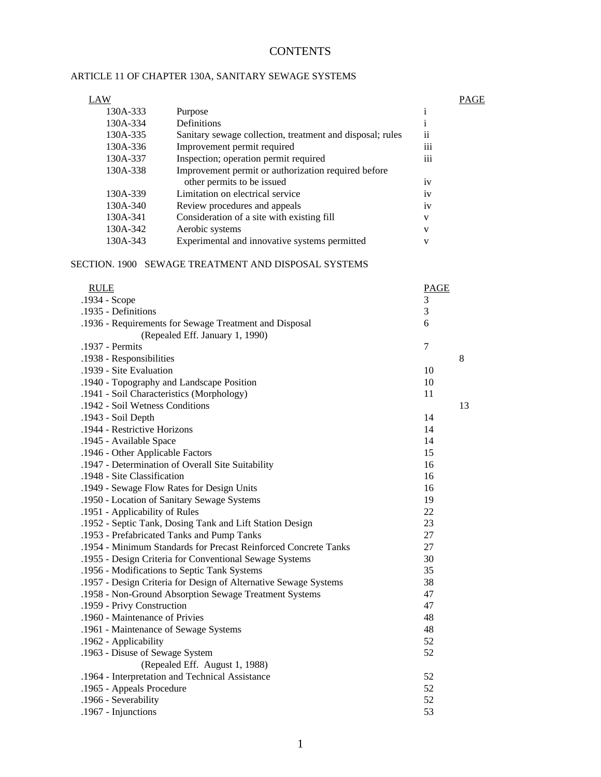# **CONTENTS**

## ARTICLE 11 OF CHAPTER 130A, SANITARY SEWAGE SYSTEMS

| LAW      |                                                           |                 | PAGE |
|----------|-----------------------------------------------------------|-----------------|------|
| 130A-333 | Purpose                                                   |                 |      |
| 130A-334 | Definitions                                               |                 |      |
| 130A-335 | Sanitary sewage collection, treatment and disposal; rules | ii              |      |
| 130A-336 | Improvement permit required                               | $\cdots$<br>111 |      |
| 130A-337 | Inspection; operation permit required                     | $\cdots$<br>111 |      |
| 130A-338 | Improvement permit or authorization required before       |                 |      |
|          | other permits to be issued                                | 1V              |      |
| 130A-339 | Limitation on electrical service                          | 1V              |      |
| 130A-340 | Review procedures and appeals                             | 1V              |      |
| 130A-341 | Consideration of a site with existing fill                | V               |      |
| 130A-342 | Aerobic systems                                           | V               |      |
| 130A-343 | Experimental and innovative systems permitted             | V               |      |

#### SECTION. 1900 SEWAGE TREATMENT AND DISPOSAL SYSTEMS

| <b>RULE</b>                                                      | <b>PAGE</b> |    |
|------------------------------------------------------------------|-------------|----|
| .1934 - Scope                                                    | 3           |    |
| .1935 - Definitions                                              | 3           |    |
| .1936 - Requirements for Sewage Treatment and Disposal           | 6           |    |
| (Repealed Eff. January 1, 1990)                                  |             |    |
| .1937 - Permits                                                  | 7           |    |
| .1938 - Responsibilities                                         |             | 8  |
| .1939 - Site Evaluation                                          | 10          |    |
| .1940 - Topography and Landscape Position                        | 10          |    |
| .1941 - Soil Characteristics (Morphology)                        | 11          |    |
| .1942 - Soil Wetness Conditions                                  |             | 13 |
| .1943 - Soil Depth                                               | 14          |    |
| .1944 - Restrictive Horizons                                     | 14          |    |
| .1945 - Available Space                                          | 14          |    |
| .1946 - Other Applicable Factors                                 | 15          |    |
| .1947 - Determination of Overall Site Suitability                | 16          |    |
| .1948 - Site Classification                                      | 16          |    |
| .1949 - Sewage Flow Rates for Design Units                       | 16          |    |
| .1950 - Location of Sanitary Sewage Systems                      | 19          |    |
| .1951 - Applicability of Rules                                   | 22          |    |
| .1952 - Septic Tank, Dosing Tank and Lift Station Design         | 23          |    |
| .1953 - Prefabricated Tanks and Pump Tanks                       | 27          |    |
| .1954 - Minimum Standards for Precast Reinforced Concrete Tanks  | 27          |    |
| .1955 - Design Criteria for Conventional Sewage Systems          | 30          |    |
| .1956 - Modifications to Septic Tank Systems                     | 35          |    |
| .1957 - Design Criteria for Design of Alternative Sewage Systems | 38          |    |
| .1958 - Non-Ground Absorption Sewage Treatment Systems           | 47          |    |
| .1959 - Privy Construction                                       | 47          |    |
| .1960 - Maintenance of Privies                                   | 48          |    |
| .1961 - Maintenance of Sewage Systems                            | 48          |    |
| .1962 - Applicability                                            | 52          |    |
| .1963 - Disuse of Sewage System                                  | 52          |    |
| (Repealed Eff. August 1, 1988)                                   |             |    |
| .1964 - Interpretation and Technical Assistance                  | 52          |    |
| .1965 - Appeals Procedure                                        | 52          |    |
| .1966 - Severability                                             | 52          |    |
| .1967 - Injunctions                                              | 53          |    |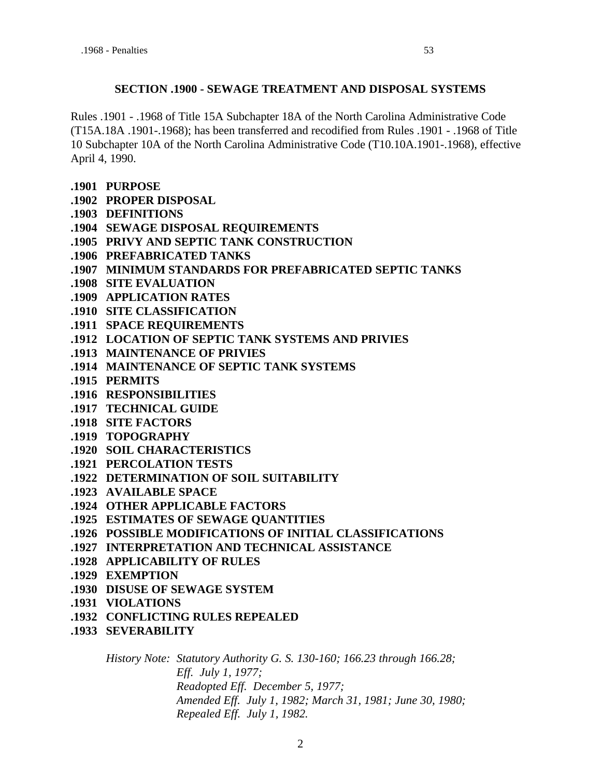## **SECTION .1900 - SEWAGE TREATMENT AND DISPOSAL SYSTEMS**

Rules .1901 - .1968 of Title 15A Subchapter 18A of the North Carolina Administrative Code (T15A.18A .1901-.1968); has been transferred and recodified from Rules .1901 - .1968 of Title 10 Subchapter 10A of the North Carolina Administrative Code (T10.10A.1901-.1968), effective April 4, 1990.

- **.1901 PURPOSE**
- **.1902 PROPER DISPOSAL**
- **.1903 DEFINITIONS**
- **.1904 SEWAGE DISPOSAL REQUIREMENTS**
- **.1905 PRIVY AND SEPTIC TANK CONSTRUCTION**
- **.1906 PREFABRICATED TANKS**
- **.1907 MINIMUM STANDARDS FOR PREFABRICATED SEPTIC TANKS**
- **.1908 SITE EVALUATION**
- **.1909 APPLICATION RATES**
- **.1910 SITE CLASSIFICATION**
- **.1911 SPACE REQUIREMENTS**
- **.1912 LOCATION OF SEPTIC TANK SYSTEMS AND PRIVIES**
- **.1913 MAINTENANCE OF PRIVIES**
- **.1914 MAINTENANCE OF SEPTIC TANK SYSTEMS**
- **.1915 PERMITS**
- **.1916 RESPONSIBILITIES**
- **.1917 TECHNICAL GUIDE**
- **.1918 SITE FACTORS**
- **.1919 TOPOGRAPHY**
- **.1920 SOIL CHARACTERISTICS**
- **.1921 PERCOLATION TESTS**
- **.1922 DETERMINATION OF SOIL SUITABILITY**
- **.1923 AVAILABLE SPACE**
- **.1924 OTHER APPLICABLE FACTORS**
- **.1925 ESTIMATES OF SEWAGE QUANTITIES**
- **.1926 POSSIBLE MODIFICATIONS OF INITIAL CLASSIFICATIONS**
- **.1927 INTERPRETATION AND TECHNICAL ASSISTANCE**
- **.1928 APPLICABILITY OF RULES**
- **.1929 EXEMPTION**
- **.1930 DISUSE OF SEWAGE SYSTEM**
- **.1931 VIOLATIONS**
- **.1932 CONFLICTING RULES REPEALED**
- **.1933 SEVERABILITY**

*History Note: Statutory Authority G. S. 130-160; 166.23 through 166.28; Eff. July 1, 1977; Readopted Eff. December 5, 1977; Amended Eff. July 1, 1982; March 31, 1981; June 30, 1980; Repealed Eff. July 1, 1982.*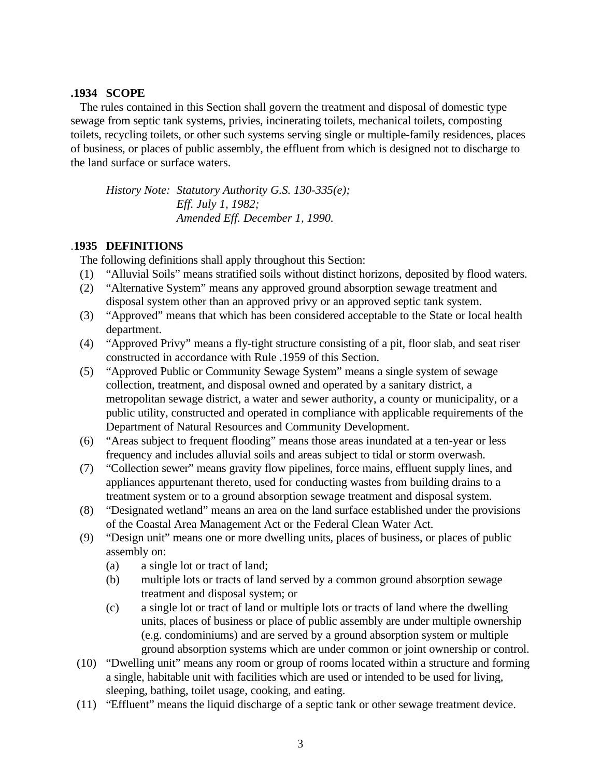## **.1934 SCOPE**

 The rules contained in this Section shall govern the treatment and disposal of domestic type sewage from septic tank systems, privies, incinerating toilets, mechanical toilets, composting toilets, recycling toilets, or other such systems serving single or multiple-family residences, places of business, or places of public assembly, the effluent from which is designed not to discharge to the land surface or surface waters.

*History Note: Statutory Authority G.S. 130-335(e); Eff. July 1, 1982; Amended Eff. December 1, 1990.*

## .**1935 DEFINITIONS**

The following definitions shall apply throughout this Section:

- (1) "Alluvial Soils" means stratified soils without distinct horizons, deposited by flood waters.
- (2) "Alternative System" means any approved ground absorption sewage treatment and disposal system other than an approved privy or an approved septic tank system.
- (3) "Approved" means that which has been considered acceptable to the State or local health department.
- (4) "Approved Privy" means a fly-tight structure consisting of a pit, floor slab, and seat riser constructed in accordance with Rule .1959 of this Section.
- (5) "Approved Public or Community Sewage System" means a single system of sewage collection, treatment, and disposal owned and operated by a sanitary district, a metropolitan sewage district, a water and sewer authority, a county or municipality, or a public utility, constructed and operated in compliance with applicable requirements of the Department of Natural Resources and Community Development.
- (6) "Areas subject to frequent flooding" means those areas inundated at a ten-year or less frequency and includes alluvial soils and areas subject to tidal or storm overwash.
- (7) "Collection sewer" means gravity flow pipelines, force mains, effluent supply lines, and appliances appurtenant thereto, used for conducting wastes from building drains to a treatment system or to a ground absorption sewage treatment and disposal system.
- (8) "Designated wetland" means an area on the land surface established under the provisions of the Coastal Area Management Act or the Federal Clean Water Act.
- (9) "Design unit" means one or more dwelling units, places of business, or places of public assembly on:
	- (a) a single lot or tract of land;
	- (b) multiple lots or tracts of land served by a common ground absorption sewage treatment and disposal system; or
	- (c) a single lot or tract of land or multiple lots or tracts of land where the dwelling units, places of business or place of public assembly are under multiple ownership (e.g. condominiums) and are served by a ground absorption system or multiple ground absorption systems which are under common or joint ownership or control.
- (10) "Dwelling unit" means any room or group of rooms located within a structure and forming a single, habitable unit with facilities which are used or intended to be used for living, sleeping, bathing, toilet usage, cooking, and eating.
- (11) "Effluent" means the liquid discharge of a septic tank or other sewage treatment device.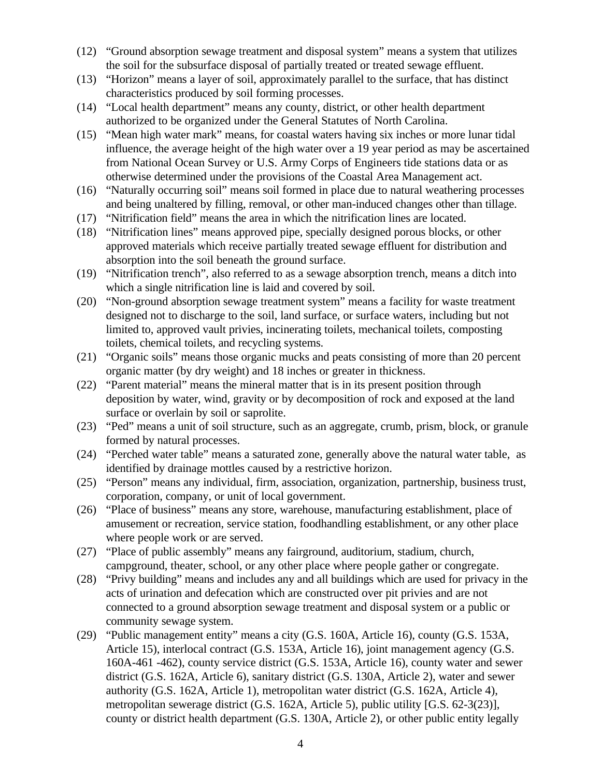- (12) "Ground absorption sewage treatment and disposal system" means a system that utilizes the soil for the subsurface disposal of partially treated or treated sewage effluent.
- (13) "Horizon" means a layer of soil, approximately parallel to the surface, that has distinct characteristics produced by soil forming processes.
- (14) "Local health department" means any county, district, or other health department authorized to be organized under the General Statutes of North Carolina.
- (15) "Mean high water mark" means, for coastal waters having six inches or more lunar tidal influence, the average height of the high water over a 19 year period as may be ascertained from National Ocean Survey or U.S. Army Corps of Engineers tide stations data or as otherwise determined under the provisions of the Coastal Area Management act.
- (16) "Naturally occurring soil" means soil formed in place due to natural weathering processes and being unaltered by filling, removal, or other man-induced changes other than tillage.
- (17) "Nitrification field" means the area in which the nitrification lines are located.
- (18) "Nitrification lines" means approved pipe, specially designed porous blocks, or other approved materials which receive partially treated sewage effluent for distribution and absorption into the soil beneath the ground surface.
- (19) "Nitrification trench", also referred to as a sewage absorption trench, means a ditch into which a single nitrification line is laid and covered by soil.
- (20) "Non-ground absorption sewage treatment system" means a facility for waste treatment designed not to discharge to the soil, land surface, or surface waters, including but not limited to, approved vault privies, incinerating toilets, mechanical toilets, composting toilets, chemical toilets, and recycling systems.
- (21) "Organic soils" means those organic mucks and peats consisting of more than 20 percent organic matter (by dry weight) and 18 inches or greater in thickness.
- (22) "Parent material" means the mineral matter that is in its present position through deposition by water, wind, gravity or by decomposition of rock and exposed at the land surface or overlain by soil or saprolite.
- (23) "Ped" means a unit of soil structure, such as an aggregate, crumb, prism, block, or granule formed by natural processes.
- (24) "Perched water table" means a saturated zone, generally above the natural water table, as identified by drainage mottles caused by a restrictive horizon.
- (25) "Person" means any individual, firm, association, organization, partnership, business trust, corporation, company, or unit of local government.
- (26) "Place of business" means any store, warehouse, manufacturing establishment, place of amusement or recreation, service station, foodhandling establishment, or any other place where people work or are served.
- (27) "Place of public assembly" means any fairground, auditorium, stadium, church, campground, theater, school, or any other place where people gather or congregate.
- (28) "Privy building" means and includes any and all buildings which are used for privacy in the acts of urination and defecation which are constructed over pit privies and are not connected to a ground absorption sewage treatment and disposal system or a public or community sewage system.
- (29) "Public management entity" means a city (G.S. 160A, Article 16), county (G.S. 153A, Article 15), interlocal contract (G.S. 153A, Article 16), joint management agency (G.S. 160A-461 -462), county service district (G.S. 153A, Article 16), county water and sewer district (G.S. 162A, Article 6), sanitary district (G.S. 130A, Article 2), water and sewer authority (G.S. 162A, Article 1), metropolitan water district (G.S. 162A, Article 4), metropolitan sewerage district (G.S. 162A, Article 5), public utility [G.S. 62-3(23)], county or district health department (G.S. 130A, Article 2), or other public entity legally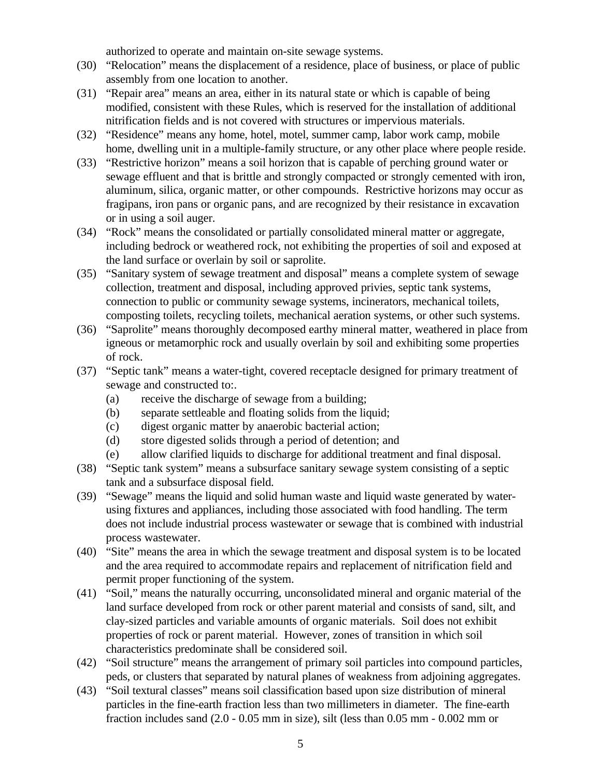authorized to operate and maintain on-site sewage systems.

- (30) "Relocation" means the displacement of a residence, place of business, or place of public assembly from one location to another.
- (31) "Repair area" means an area, either in its natural state or which is capable of being modified, consistent with these Rules, which is reserved for the installation of additional nitrification fields and is not covered with structures or impervious materials.
- (32) "Residence" means any home, hotel, motel, summer camp, labor work camp, mobile home, dwelling unit in a multiple-family structure, or any other place where people reside.
- (33) "Restrictive horizon" means a soil horizon that is capable of perching ground water or sewage effluent and that is brittle and strongly compacted or strongly cemented with iron, aluminum, silica, organic matter, or other compounds. Restrictive horizons may occur as fragipans, iron pans or organic pans, and are recognized by their resistance in excavation or in using a soil auger.
- (34) "Rock" means the consolidated or partially consolidated mineral matter or aggregate, including bedrock or weathered rock, not exhibiting the properties of soil and exposed at the land surface or overlain by soil or saprolite.
- (35) "Sanitary system of sewage treatment and disposal" means a complete system of sewage collection, treatment and disposal, including approved privies, septic tank systems, connection to public or community sewage systems, incinerators, mechanical toilets, composting toilets, recycling toilets, mechanical aeration systems, or other such systems.
- (36) "Saprolite" means thoroughly decomposed earthy mineral matter, weathered in place from igneous or metamorphic rock and usually overlain by soil and exhibiting some properties of rock.
- (37) "Septic tank" means a water-tight, covered receptacle designed for primary treatment of sewage and constructed to:.
	- (a) receive the discharge of sewage from a building;
	- (b) separate settleable and floating solids from the liquid;
	- (c) digest organic matter by anaerobic bacterial action;
	- (d) store digested solids through a period of detention; and
	- (e) allow clarified liquids to discharge for additional treatment and final disposal.
- (38) "Septic tank system" means a subsurface sanitary sewage system consisting of a septic tank and a subsurface disposal field.
- (39) "Sewage" means the liquid and solid human waste and liquid waste generated by waterusing fixtures and appliances, including those associated with food handling. The term does not include industrial process wastewater or sewage that is combined with industrial process wastewater.
- (40) "Site" means the area in which the sewage treatment and disposal system is to be located and the area required to accommodate repairs and replacement of nitrification field and permit proper functioning of the system.
- (41) "Soil," means the naturally occurring, unconsolidated mineral and organic material of the land surface developed from rock or other parent material and consists of sand, silt, and clay-sized particles and variable amounts of organic materials. Soil does not exhibit properties of rock or parent material. However, zones of transition in which soil characteristics predominate shall be considered soil.
- (42) "Soil structure" means the arrangement of primary soil particles into compound particles, peds, or clusters that separated by natural planes of weakness from adjoining aggregates.
- (43) "Soil textural classes" means soil classification based upon size distribution of mineral particles in the fine-earth fraction less than two millimeters in diameter. The fine-earth fraction includes sand (2.0 - 0.05 mm in size), silt (less than 0.05 mm - 0.002 mm or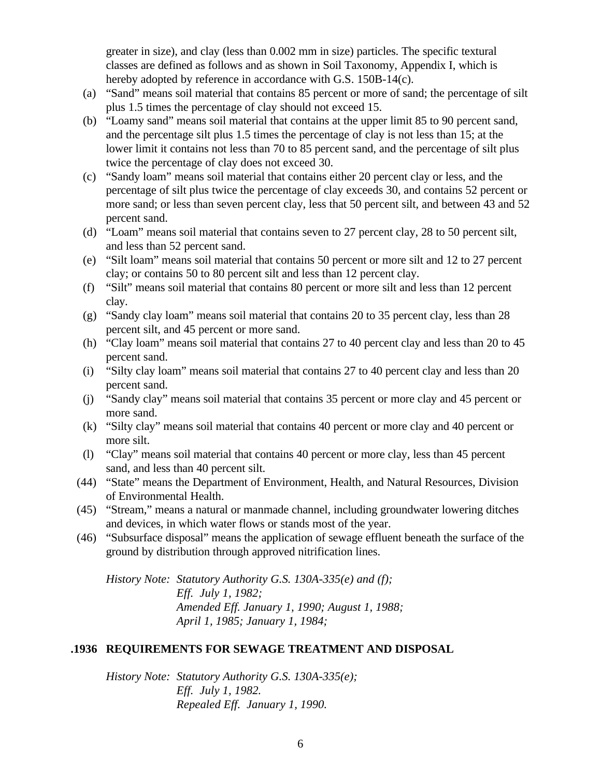greater in size), and clay (less than 0.002 mm in size) particles. The specific textural classes are defined as follows and as shown in Soil Taxonomy, Appendix I, which is hereby adopted by reference in accordance with G.S. 150B-14(c).

- (a) "Sand" means soil material that contains 85 percent or more of sand; the percentage of silt plus 1.5 times the percentage of clay should not exceed 15.
- (b) "Loamy sand" means soil material that contains at the upper limit 85 to 90 percent sand, and the percentage silt plus 1.5 times the percentage of clay is not less than 15; at the lower limit it contains not less than 70 to 85 percent sand, and the percentage of silt plus twice the percentage of clay does not exceed 30.
- (c) "Sandy loam" means soil material that contains either 20 percent clay or less, and the percentage of silt plus twice the percentage of clay exceeds 30, and contains 52 percent or more sand; or less than seven percent clay, less that 50 percent silt, and between 43 and 52 percent sand.
- (d) "Loam" means soil material that contains seven to 27 percent clay, 28 to 50 percent silt, and less than 52 percent sand.
- (e) "Silt loam" means soil material that contains 50 percent or more silt and 12 to 27 percent clay; or contains 50 to 80 percent silt and less than 12 percent clay.
- (f) "Silt" means soil material that contains 80 percent or more silt and less than 12 percent clay.
- (g) "Sandy clay loam" means soil material that contains 20 to 35 percent clay, less than 28 percent silt, and 45 percent or more sand.
- (h) "Clay loam" means soil material that contains 27 to 40 percent clay and less than 20 to 45 percent sand.
- (i) "Silty clay loam" means soil material that contains 27 to 40 percent clay and less than 20 percent sand.
- (j) "Sandy clay" means soil material that contains 35 percent or more clay and 45 percent or more sand.
- (k) "Silty clay" means soil material that contains 40 percent or more clay and 40 percent or more silt.
- (l) "Clay" means soil material that contains 40 percent or more clay, less than 45 percent sand, and less than 40 percent silt.
- (44) "State" means the Department of Environment, Health, and Natural Resources, Division of Environmental Health.
- (45) "Stream," means a natural or manmade channel, including groundwater lowering ditches and devices, in which water flows or stands most of the year.
- (46) "Subsurface disposal" means the application of sewage effluent beneath the surface of the ground by distribution through approved nitrification lines.

*History Note: Statutory Authority G.S. 130A-335(e) and (f); Eff. July 1, 1982; Amended Eff. January 1, 1990; August 1, 1988; April 1, 1985; January 1, 1984;* 

# **.1936 REQUIREMENTS FOR SEWAGE TREATMENT AND DISPOSAL**

*History Note: Statutory Authority G.S. 130A-335(e); Eff. July 1, 1982. Repealed Eff. January 1, 1990.*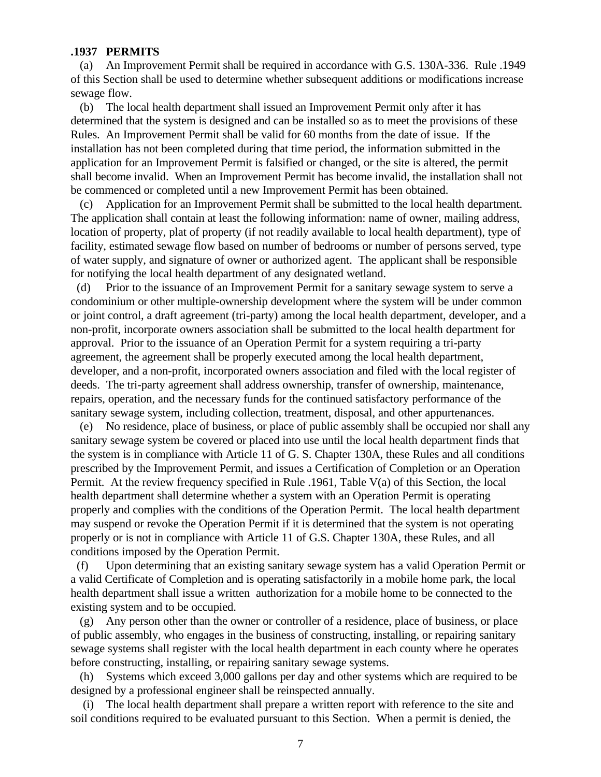#### **.1937 PERMITS**

 (a) An Improvement Permit shall be required in accordance with G.S. 130A-336. Rule .1949 of this Section shall be used to determine whether subsequent additions or modifications increase sewage flow.

 (b) The local health department shall issued an Improvement Permit only after it has determined that the system is designed and can be installed so as to meet the provisions of these Rules. An Improvement Permit shall be valid for 60 months from the date of issue. If the installation has not been completed during that time period, the information submitted in the application for an Improvement Permit is falsified or changed, or the site is altered, the permit shall become invalid. When an Improvement Permit has become invalid, the installation shall not be commenced or completed until a new Improvement Permit has been obtained.

 (c) Application for an Improvement Permit shall be submitted to the local health department. The application shall contain at least the following information: name of owner, mailing address, location of property, plat of property (if not readily available to local health department), type of facility, estimated sewage flow based on number of bedrooms or number of persons served, type of water supply, and signature of owner or authorized agent. The applicant shall be responsible for notifying the local health department of any designated wetland.

 (d) Prior to the issuance of an Improvement Permit for a sanitary sewage system to serve a condominium or other multiple-ownership development where the system will be under common or joint control, a draft agreement (tri-party) among the local health department, developer, and a non-profit, incorporate owners association shall be submitted to the local health department for approval. Prior to the issuance of an Operation Permit for a system requiring a tri-party agreement, the agreement shall be properly executed among the local health department, developer, and a non-profit, incorporated owners association and filed with the local register of deeds. The tri-party agreement shall address ownership, transfer of ownership, maintenance, repairs, operation, and the necessary funds for the continued satisfactory performance of the sanitary sewage system, including collection, treatment, disposal, and other appurtenances.

 (e) No residence, place of business, or place of public assembly shall be occupied nor shall any sanitary sewage system be covered or placed into use until the local health department finds that the system is in compliance with Article 11 of G. S. Chapter 130A, these Rules and all conditions prescribed by the Improvement Permit, and issues a Certification of Completion or an Operation Permit. At the review frequency specified in Rule .1961, Table V(a) of this Section, the local health department shall determine whether a system with an Operation Permit is operating properly and complies with the conditions of the Operation Permit. The local health department may suspend or revoke the Operation Permit if it is determined that the system is not operating properly or is not in compliance with Article 11 of G.S. Chapter 130A, these Rules, and all conditions imposed by the Operation Permit.

 (f) Upon determining that an existing sanitary sewage system has a valid Operation Permit or a valid Certificate of Completion and is operating satisfactorily in a mobile home park, the local health department shall issue a written authorization for a mobile home to be connected to the existing system and to be occupied.

 (g) Any person other than the owner or controller of a residence, place of business, or place of public assembly, who engages in the business of constructing, installing, or repairing sanitary sewage systems shall register with the local health department in each county where he operates before constructing, installing, or repairing sanitary sewage systems.

 (h) Systems which exceed 3,000 gallons per day and other systems which are required to be designed by a professional engineer shall be reinspected annually.

 (i) The local health department shall prepare a written report with reference to the site and soil conditions required to be evaluated pursuant to this Section. When a permit is denied, the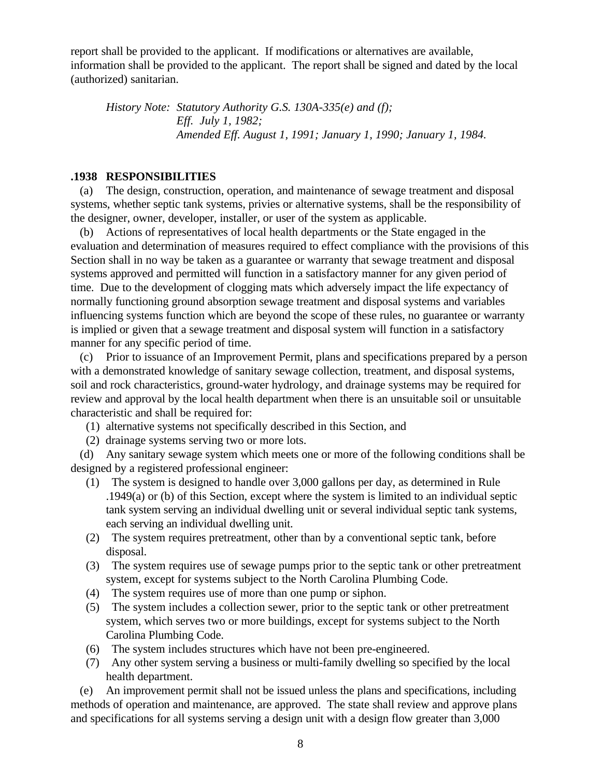report shall be provided to the applicant. If modifications or alternatives are available, information shall be provided to the applicant. The report shall be signed and dated by the local (authorized) sanitarian.

*History Note: Statutory Authority G.S. 130A-335(e) and (f); Eff. July 1, 1982; Amended Eff. August 1, 1991; January 1, 1990; January 1, 1984.*

## **.1938 RESPONSIBILITIES**

 (a) The design, construction, operation, and maintenance of sewage treatment and disposal systems, whether septic tank systems, privies or alternative systems, shall be the responsibility of the designer, owner, developer, installer, or user of the system as applicable.

 (b) Actions of representatives of local health departments or the State engaged in the evaluation and determination of measures required to effect compliance with the provisions of this Section shall in no way be taken as a guarantee or warranty that sewage treatment and disposal systems approved and permitted will function in a satisfactory manner for any given period of time. Due to the development of clogging mats which adversely impact the life expectancy of normally functioning ground absorption sewage treatment and disposal systems and variables influencing systems function which are beyond the scope of these rules, no guarantee or warranty is implied or given that a sewage treatment and disposal system will function in a satisfactory manner for any specific period of time.

 (c) Prior to issuance of an Improvement Permit, plans and specifications prepared by a person with a demonstrated knowledge of sanitary sewage collection, treatment, and disposal systems, soil and rock characteristics, ground-water hydrology, and drainage systems may be required for review and approval by the local health department when there is an unsuitable soil or unsuitable characteristic and shall be required for:

- (1) alternative systems not specifically described in this Section, and
- (2) drainage systems serving two or more lots.

 (d) Any sanitary sewage system which meets one or more of the following conditions shall be designed by a registered professional engineer:

- (1) The system is designed to handle over 3,000 gallons per day, as determined in Rule .1949(a) or (b) of this Section, except where the system is limited to an individual septic tank system serving an individual dwelling unit or several individual septic tank systems, each serving an individual dwelling unit.
- (2) The system requires pretreatment, other than by a conventional septic tank, before disposal.
- (3) The system requires use of sewage pumps prior to the septic tank or other pretreatment system, except for systems subject to the North Carolina Plumbing Code.
- (4) The system requires use of more than one pump or siphon.
- (5) The system includes a collection sewer, prior to the septic tank or other pretreatment system, which serves two or more buildings, except for systems subject to the North Carolina Plumbing Code.
- (6) The system includes structures which have not been pre-engineered.
- (7) Any other system serving a business or multi-family dwelling so specified by the local health department.

 (e) An improvement permit shall not be issued unless the plans and specifications, including methods of operation and maintenance, are approved. The state shall review and approve plans and specifications for all systems serving a design unit with a design flow greater than 3,000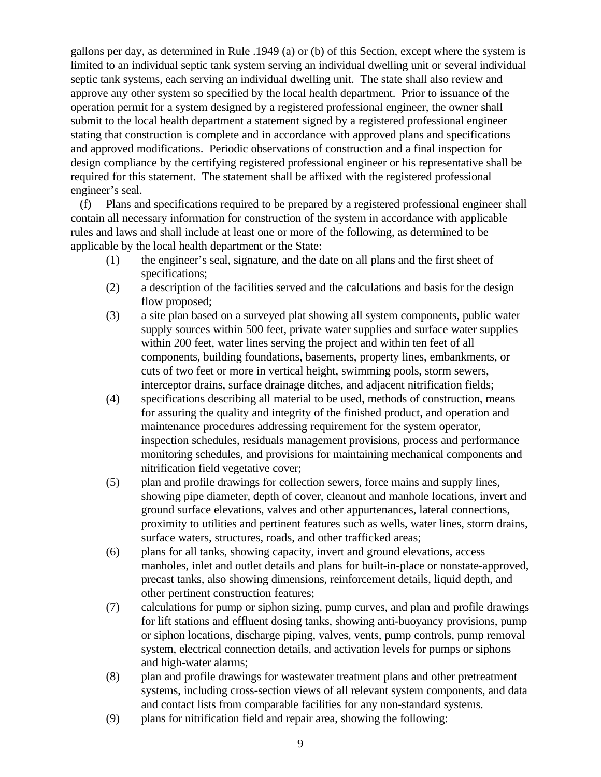gallons per day, as determined in Rule .1949 (a) or (b) of this Section, except where the system is limited to an individual septic tank system serving an individual dwelling unit or several individual septic tank systems, each serving an individual dwelling unit. The state shall also review and approve any other system so specified by the local health department. Prior to issuance of the operation permit for a system designed by a registered professional engineer, the owner shall submit to the local health department a statement signed by a registered professional engineer stating that construction is complete and in accordance with approved plans and specifications and approved modifications. Periodic observations of construction and a final inspection for design compliance by the certifying registered professional engineer or his representative shall be required for this statement. The statement shall be affixed with the registered professional engineer's seal.

 (f) Plans and specifications required to be prepared by a registered professional engineer shall contain all necessary information for construction of the system in accordance with applicable rules and laws and shall include at least one or more of the following, as determined to be applicable by the local health department or the State:

- (1) the engineer's seal, signature, and the date on all plans and the first sheet of specifications;
- (2) a description of the facilities served and the calculations and basis for the design flow proposed;
- (3) a site plan based on a surveyed plat showing all system components, public water supply sources within 500 feet, private water supplies and surface water supplies within 200 feet, water lines serving the project and within ten feet of all components, building foundations, basements, property lines, embankments, or cuts of two feet or more in vertical height, swimming pools, storm sewers, interceptor drains, surface drainage ditches, and adjacent nitrification fields;
- (4) specifications describing all material to be used, methods of construction, means for assuring the quality and integrity of the finished product, and operation and maintenance procedures addressing requirement for the system operator, inspection schedules, residuals management provisions, process and performance monitoring schedules, and provisions for maintaining mechanical components and nitrification field vegetative cover;
- (5) plan and profile drawings for collection sewers, force mains and supply lines, showing pipe diameter, depth of cover, cleanout and manhole locations, invert and ground surface elevations, valves and other appurtenances, lateral connections, proximity to utilities and pertinent features such as wells, water lines, storm drains, surface waters, structures, roads, and other trafficked areas;
- (6) plans for all tanks, showing capacity, invert and ground elevations, access manholes, inlet and outlet details and plans for built-in-place or nonstate-approved, precast tanks, also showing dimensions, reinforcement details, liquid depth, and other pertinent construction features;
- (7) calculations for pump or siphon sizing, pump curves, and plan and profile drawings for lift stations and effluent dosing tanks, showing anti-buoyancy provisions, pump or siphon locations, discharge piping, valves, vents, pump controls, pump removal system, electrical connection details, and activation levels for pumps or siphons and high-water alarms;
- (8) plan and profile drawings for wastewater treatment plans and other pretreatment systems, including cross-section views of all relevant system components, and data and contact lists from comparable facilities for any non-standard systems.
- (9) plans for nitrification field and repair area, showing the following: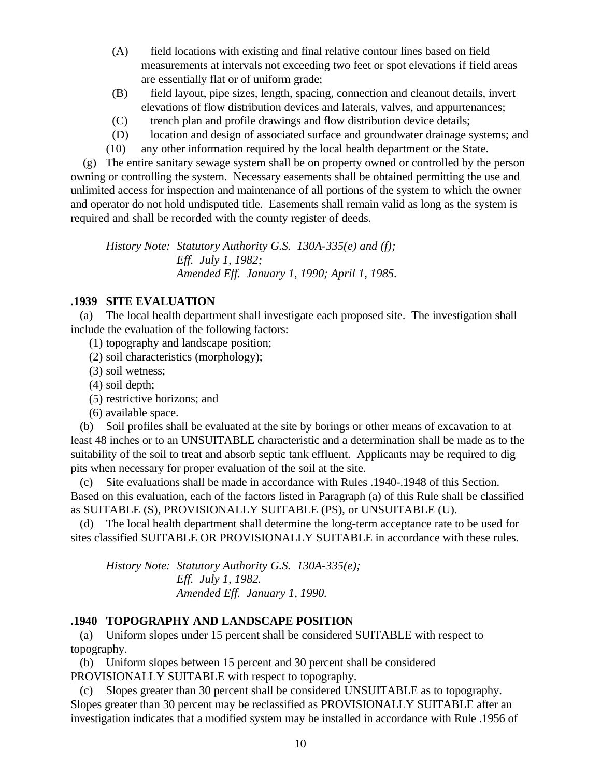- (A) field locations with existing and final relative contour lines based on field measurements at intervals not exceeding two feet or spot elevations if field areas are essentially flat or of uniform grade;
- (B) field layout, pipe sizes, length, spacing, connection and cleanout details, invert elevations of flow distribution devices and laterals, valves, and appurtenances;
- (C) trench plan and profile drawings and flow distribution device details;
- (D) location and design of associated surface and groundwater drainage systems; and
- (10) any other information required by the local health department or the State.

 (g) The entire sanitary sewage system shall be on property owned or controlled by the person owning or controlling the system. Necessary easements shall be obtained permitting the use and unlimited access for inspection and maintenance of all portions of the system to which the owner and operator do not hold undisputed title. Easements shall remain valid as long as the system is required and shall be recorded with the county register of deeds.

*History Note: Statutory Authority G.S. 130A-335(e) and (f); Eff. July 1, 1982; Amended Eff. January 1, 1990; April 1, 1985.*

# **.1939 SITE EVALUATION**

 (a) The local health department shall investigate each proposed site. The investigation shall include the evaluation of the following factors:

- (1) topography and landscape position;
- (2) soil characteristics (morphology);
- (3) soil wetness;
- (4) soil depth;
- (5) restrictive horizons; and
- (6) available space.

 (b) Soil profiles shall be evaluated at the site by borings or other means of excavation to at least 48 inches or to an UNSUITABLE characteristic and a determination shall be made as to the suitability of the soil to treat and absorb septic tank effluent. Applicants may be required to dig pits when necessary for proper evaluation of the soil at the site.

 (c) Site evaluations shall be made in accordance with Rules .1940-.1948 of this Section. Based on this evaluation, each of the factors listed in Paragraph (a) of this Rule shall be classified as SUITABLE (S), PROVISIONALLY SUITABLE (PS), or UNSUITABLE (U).

 (d) The local health department shall determine the long-term acceptance rate to be used for sites classified SUITABLE OR PROVISIONALLY SUITABLE in accordance with these rules.

*History Note: Statutory Authority G.S. 130A-335(e); Eff. July 1, 1982. Amended Eff. January 1, 1990.*

# **.1940 TOPOGRAPHY AND LANDSCAPE POSITION**

 (a) Uniform slopes under 15 percent shall be considered SUITABLE with respect to topography.

 (b) Uniform slopes between 15 percent and 30 percent shall be considered PROVISIONALLY SUITABLE with respect to topography.

 (c) Slopes greater than 30 percent shall be considered UNSUITABLE as to topography. Slopes greater than 30 percent may be reclassified as PROVISIONALLY SUITABLE after an investigation indicates that a modified system may be installed in accordance with Rule .1956 of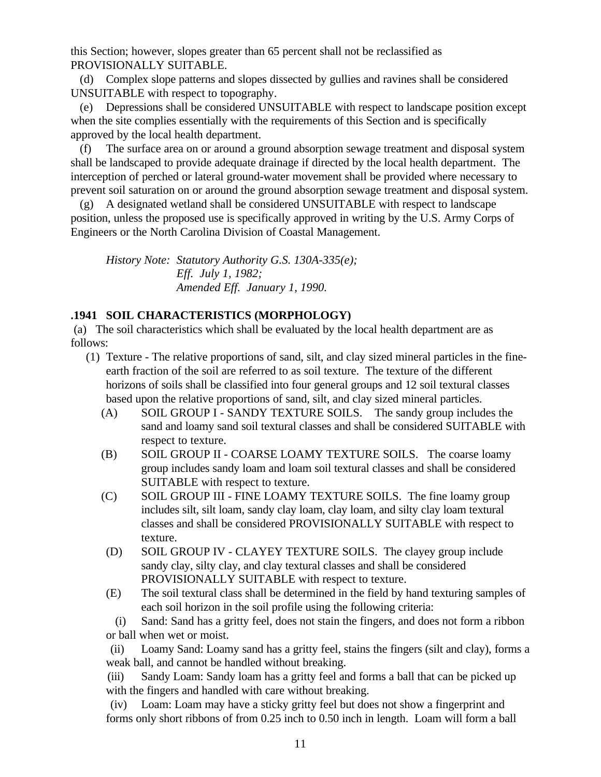this Section; however, slopes greater than 65 percent shall not be reclassified as PROVISIONALLY SUITABLE.

 (d) Complex slope patterns and slopes dissected by gullies and ravines shall be considered UNSUITABLE with respect to topography.

 (e) Depressions shall be considered UNSUITABLE with respect to landscape position except when the site complies essentially with the requirements of this Section and is specifically approved by the local health department.

 (f) The surface area on or around a ground absorption sewage treatment and disposal system shall be landscaped to provide adequate drainage if directed by the local health department. The interception of perched or lateral ground-water movement shall be provided where necessary to prevent soil saturation on or around the ground absorption sewage treatment and disposal system.

 (g) A designated wetland shall be considered UNSUITABLE with respect to landscape position, unless the proposed use is specifically approved in writing by the U.S. Army Corps of Engineers or the North Carolina Division of Coastal Management.

*History Note: Statutory Authority G.S. 130A-335(e); Eff. July 1, 1982; Amended Eff. January 1, 1990.*

# **.1941 SOIL CHARACTERISTICS (MORPHOLOGY)**

 (a) The soil characteristics which shall be evaluated by the local health department are as follows:

- (1) Texture The relative proportions of sand, silt, and clay sized mineral particles in the fineearth fraction of the soil are referred to as soil texture. The texture of the different horizons of soils shall be classified into four general groups and 12 soil textural classes based upon the relative proportions of sand, silt, and clay sized mineral particles.
	- (A) SOIL GROUP I SANDY TEXTURE SOILS. The sandy group includes the sand and loamy sand soil textural classes and shall be considered SUITABLE with respect to texture.
	- (B) SOIL GROUP II COARSE LOAMY TEXTURE SOILS. The coarse loamy group includes sandy loam and loam soil textural classes and shall be considered SUITABLE with respect to texture.
	- (C) SOIL GROUP III FINE LOAMY TEXTURE SOILS. The fine loamy group includes silt, silt loam, sandy clay loam, clay loam, and silty clay loam textural classes and shall be considered PROVISIONALLY SUITABLE with respect to texture.
	- (D) SOIL GROUP IV CLAYEY TEXTURE SOILS. The clayey group include sandy clay, silty clay, and clay textural classes and shall be considered PROVISIONALLY SUITABLE with respect to texture.
	- (E) The soil textural class shall be determined in the field by hand texturing samples of each soil horizon in the soil profile using the following criteria:

 (i) Sand: Sand has a gritty feel, does not stain the fingers, and does not form a ribbon or ball when wet or moist.

 (ii) Loamy Sand: Loamy sand has a gritty feel, stains the fingers (silt and clay), forms a weak ball, and cannot be handled without breaking.

 (iii) Sandy Loam: Sandy loam has a gritty feel and forms a ball that can be picked up with the fingers and handled with care without breaking.

 (iv) Loam: Loam may have a sticky gritty feel but does not show a fingerprint and forms only short ribbons of from 0.25 inch to 0.50 inch in length. Loam will form a ball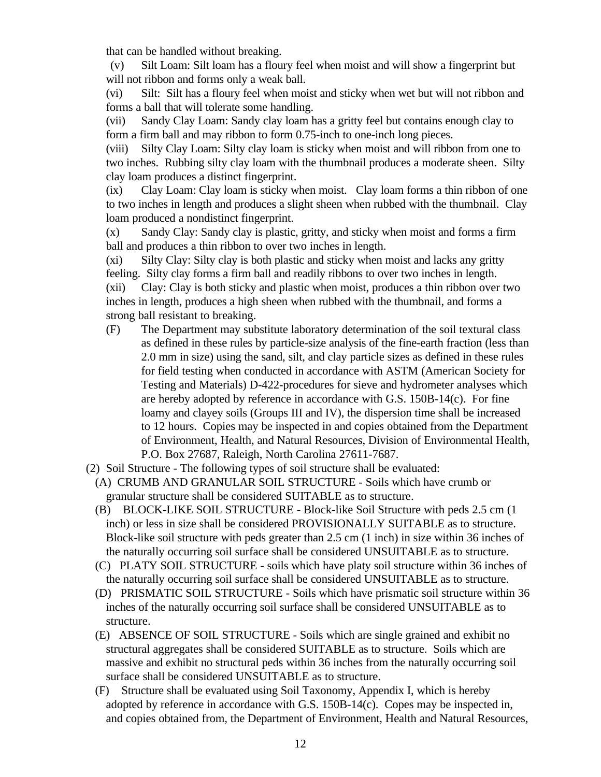that can be handled without breaking.

 (v) Silt Loam: Silt loam has a floury feel when moist and will show a fingerprint but will not ribbon and forms only a weak ball.

(vi) Silt: Silt has a floury feel when moist and sticky when wet but will not ribbon and forms a ball that will tolerate some handling.

(vii) Sandy Clay Loam: Sandy clay loam has a gritty feel but contains enough clay to form a firm ball and may ribbon to form 0.75-inch to one-inch long pieces.

(viii) Silty Clay Loam: Silty clay loam is sticky when moist and will ribbon from one to two inches. Rubbing silty clay loam with the thumbnail produces a moderate sheen. Silty clay loam produces a distinct fingerprint.

(ix) Clay Loam: Clay loam is sticky when moist. Clay loam forms a thin ribbon of one to two inches in length and produces a slight sheen when rubbed with the thumbnail. Clay loam produced a nondistinct fingerprint.

(x) Sandy Clay: Sandy clay is plastic, gritty, and sticky when moist and forms a firm ball and produces a thin ribbon to over two inches in length.

(xi) Silty Clay: Silty clay is both plastic and sticky when moist and lacks any gritty feeling. Silty clay forms a firm ball and readily ribbons to over two inches in length. (xii) Clay: Clay is both sticky and plastic when moist, produces a thin ribbon over two inches in length, produces a high sheen when rubbed with the thumbnail, and forms a strong ball resistant to breaking.

- (F) The Department may substitute laboratory determination of the soil textural class as defined in these rules by particle-size analysis of the fine-earth fraction (less than 2.0 mm in size) using the sand, silt, and clay particle sizes as defined in these rules for field testing when conducted in accordance with ASTM (American Society for Testing and Materials) D-422-procedures for sieve and hydrometer analyses which are hereby adopted by reference in accordance with G.S. 150B-14(c). For fine loamy and clayey soils (Groups III and IV), the dispersion time shall be increased to 12 hours. Copies may be inspected in and copies obtained from the Department of Environment, Health, and Natural Resources, Division of Environmental Health, P.O. Box 27687, Raleigh, North Carolina 27611-7687.
- (2) Soil Structure The following types of soil structure shall be evaluated:
	- (A) CRUMB AND GRANULAR SOIL STRUCTURE Soils which have crumb or granular structure shall be considered SUITABLE as to structure.
	- (B) BLOCK-LIKE SOIL STRUCTURE Block-like Soil Structure with peds 2.5 cm (1 inch) or less in size shall be considered PROVISIONALLY SUITABLE as to structure. Block-like soil structure with peds greater than 2.5 cm (1 inch) in size within 36 inches of the naturally occurring soil surface shall be considered UNSUITABLE as to structure.
	- (C) PLATY SOIL STRUCTURE soils which have platy soil structure within 36 inches of the naturally occurring soil surface shall be considered UNSUITABLE as to structure.
	- (D) PRISMATIC SOIL STRUCTURE Soils which have prismatic soil structure within 36 inches of the naturally occurring soil surface shall be considered UNSUITABLE as to structure.
	- (E) ABSENCE OF SOIL STRUCTURE Soils which are single grained and exhibit no structural aggregates shall be considered SUITABLE as to structure. Soils which are massive and exhibit no structural peds within 36 inches from the naturally occurring soil surface shall be considered UNSUITABLE as to structure.
	- (F) Structure shall be evaluated using Soil Taxonomy, Appendix I, which is hereby adopted by reference in accordance with G.S. 150B-14(c). Copes may be inspected in, and copies obtained from, the Department of Environment, Health and Natural Resources,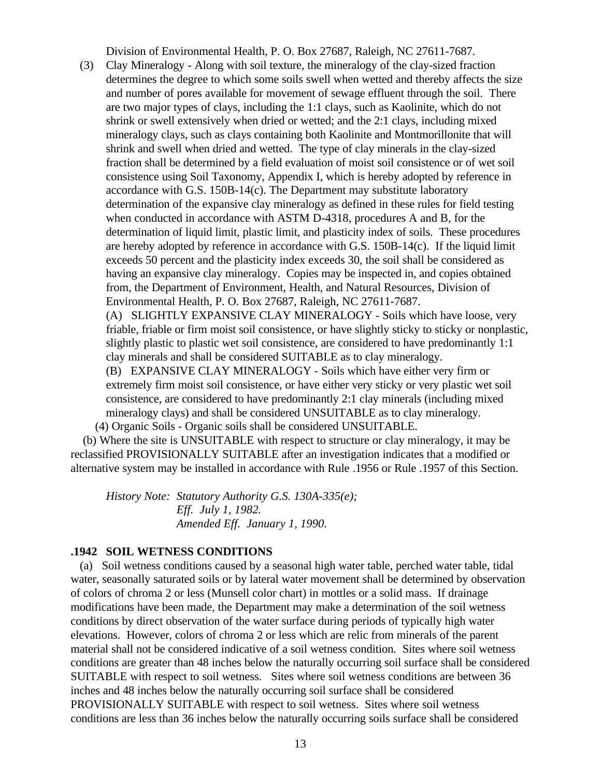Division of Environmental Health, P. O. Box 27687, Raleigh, NC 27611-7687.

 (3) Clay Mineralogy - Along with soil texture, the mineralogy of the clay-sized fraction determines the degree to which some soils swell when wetted and thereby affects the size and number of pores available for movement of sewage effluent through the soil. There are two major types of clays, including the 1:1 clays, such as Kaolinite, which do not shrink or swell extensively when dried or wetted; and the 2:1 clays, including mixed mineralogy clays, such as clays containing both Kaolinite and Montmorillonite that will shrink and swell when dried and wetted. The type of clay minerals in the clay-sized fraction shall be determined by a field evaluation of moist soil consistence or of wet soil consistence using Soil Taxonomy, Appendix I, which is hereby adopted by reference in accordance with G.S. 150B-14(c). The Department may substitute laboratory determination of the expansive clay mineralogy as defined in these rules for field testing when conducted in accordance with ASTM D-4318, procedures A and B, for the determination of liquid limit, plastic limit, and plasticity index of soils. These procedures are hereby adopted by reference in accordance with G.S. 150B-14(c). If the liquid limit exceeds 50 percent and the plasticity index exceeds 30, the soil shall be considered as having an expansive clay mineralogy. Copies may be inspected in, and copies obtained from, the Department of Environment, Health, and Natural Resources, Division of Environmental Health, P. O. Box 27687, Raleigh, NC 27611-7687.

(A) SLIGHTLY EXPANSIVE CLAY MINERALOGY - Soils which have loose, very friable, friable or firm moist soil consistence, or have slightly sticky to sticky or nonplastic, slightly plastic to plastic wet soil consistence, are considered to have predominantly 1:1 clay minerals and shall be considered SUITABLE as to clay mineralogy.

(B) EXPANSIVE CLAY MINERALOGY - Soils which have either very firm or extremely firm moist soil consistence, or have either very sticky or very plastic wet soil consistence, are considered to have predominantly 2:1 clay minerals (including mixed mineralogy clays) and shall be considered UNSUITABLE as to clay mineralogy. (4) Organic Soils - Organic soils shall be considered UNSUITABLE.

 (b) Where the site is UNSUITABLE with respect to structure or clay mineralogy, it may be reclassified PROVISIONALLY SUITABLE after an investigation indicates that a modified or alternative system may be installed in accordance with Rule .1956 or Rule .1957 of this Section.

*History Note: Statutory Authority G.S. 130A-335(e); Eff. July 1, 1982. Amended Eff. January 1, 1990.*

# **.1942 SOIL WETNESS CONDITIONS**

 (a) Soil wetness conditions caused by a seasonal high water table, perched water table, tidal water, seasonally saturated soils or by lateral water movement shall be determined by observation of colors of chroma 2 or less (Munsell color chart) in mottles or a solid mass. If drainage modifications have been made, the Department may make a determination of the soil wetness conditions by direct observation of the water surface during periods of typically high water elevations. However, colors of chroma 2 or less which are relic from minerals of the parent material shall not be considered indicative of a soil wetness condition. Sites where soil wetness conditions are greater than 48 inches below the naturally occurring soil surface shall be considered SUITABLE with respect to soil wetness. Sites where soil wetness conditions are between 36 inches and 48 inches below the naturally occurring soil surface shall be considered PROVISIONALLY SUITABLE with respect to soil wetness. Sites where soil wetness conditions are less than 36 inches below the naturally occurring soils surface shall be considered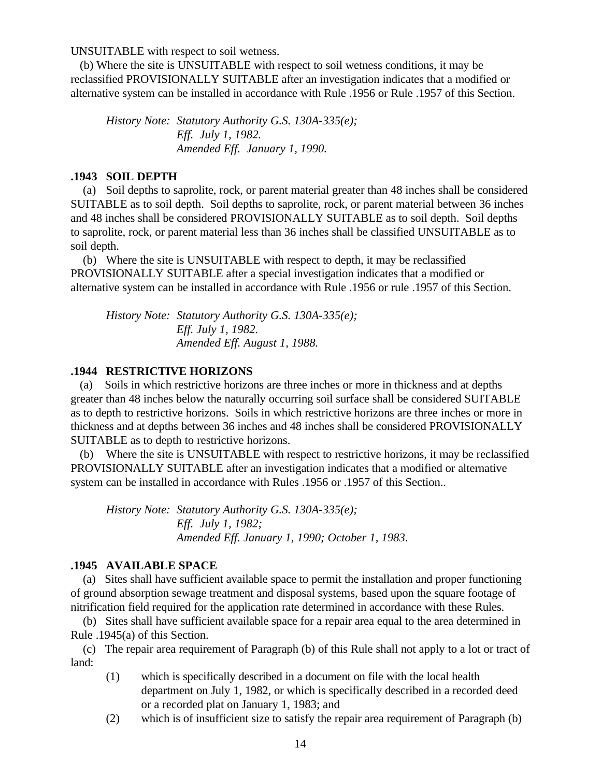UNSUITABLE with respect to soil wetness.

 (b) Where the site is UNSUITABLE with respect to soil wetness conditions, it may be reclassified PROVISIONALLY SUITABLE after an investigation indicates that a modified or alternative system can be installed in accordance with Rule .1956 or Rule .1957 of this Section.

*History Note: Statutory Authority G.S. 130A-335(e); Eff. July 1, 1982. Amended Eff. January 1, 1990.*

#### **.1943 SOIL DEPTH**

 (a) Soil depths to saprolite, rock, or parent material greater than 48 inches shall be considered SUITABLE as to soil depth. Soil depths to saprolite, rock, or parent material between 36 inches and 48 inches shall be considered PROVISIONALLY SUITABLE as to soil depth. Soil depths to saprolite, rock, or parent material less than 36 inches shall be classified UNSUITABLE as to soil depth.

 (b) Where the site is UNSUITABLE with respect to depth, it may be reclassified PROVISIONALLY SUITABLE after a special investigation indicates that a modified or alternative system can be installed in accordance with Rule .1956 or rule .1957 of this Section.

*History Note: Statutory Authority G.S. 130A-335(e); Eff. July 1, 1982. Amended Eff. August 1, 1988.*

#### **.1944 RESTRICTIVE HORIZONS**

 (a) Soils in which restrictive horizons are three inches or more in thickness and at depths greater than 48 inches below the naturally occurring soil surface shall be considered SUITABLE as to depth to restrictive horizons. Soils in which restrictive horizons are three inches or more in thickness and at depths between 36 inches and 48 inches shall be considered PROVISIONALLY SUITABLE as to depth to restrictive horizons.

 (b) Where the site is UNSUITABLE with respect to restrictive horizons, it may be reclassified PROVISIONALLY SUITABLE after an investigation indicates that a modified or alternative system can be installed in accordance with Rules .1956 or .1957 of this Section..

*History Note: Statutory Authority G.S. 130A-335(e); Eff. July 1, 1982; Amended Eff. January 1, 1990; October 1, 1983.*

#### **.1945 AVAILABLE SPACE**

 (a) Sites shall have sufficient available space to permit the installation and proper functioning of ground absorption sewage treatment and disposal systems, based upon the square footage of nitrification field required for the application rate determined in accordance with these Rules.

 (b) Sites shall have sufficient available space for a repair area equal to the area determined in Rule .1945(a) of this Section.

 (c) The repair area requirement of Paragraph (b) of this Rule shall not apply to a lot or tract of land:

- (1) which is specifically described in a document on file with the local health department on July 1, 1982, or which is specifically described in a recorded deed or a recorded plat on January 1, 1983; and
- (2) which is of insufficient size to satisfy the repair area requirement of Paragraph (b)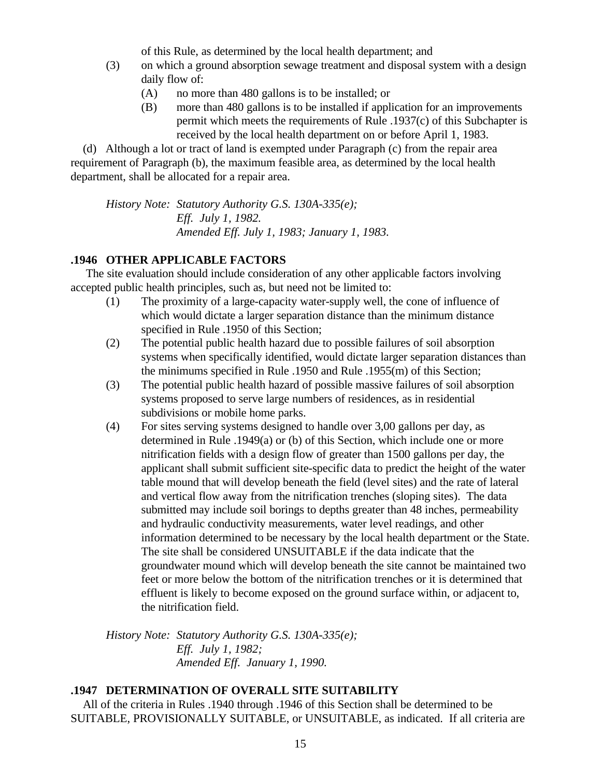of this Rule, as determined by the local health department; and

- (3) on which a ground absorption sewage treatment and disposal system with a design daily flow of:
	- (A) no more than 480 gallons is to be installed; or
	- (B) more than 480 gallons is to be installed if application for an improvements permit which meets the requirements of Rule .1937(c) of this Subchapter is received by the local health department on or before April 1, 1983.

 (d) Although a lot or tract of land is exempted under Paragraph (c) from the repair area requirement of Paragraph (b), the maximum feasible area, as determined by the local health department, shall be allocated for a repair area.

*History Note: Statutory Authority G.S. 130A-335(e); Eff. July 1, 1982. Amended Eff. July 1, 1983; January 1, 1983.*

# **.1946 OTHER APPLICABLE FACTORS**

 The site evaluation should include consideration of any other applicable factors involving accepted public health principles, such as, but need not be limited to:

- (1) The proximity of a large-capacity water-supply well, the cone of influence of which would dictate a larger separation distance than the minimum distance specified in Rule .1950 of this Section;
- (2) The potential public health hazard due to possible failures of soil absorption systems when specifically identified, would dictate larger separation distances than the minimums specified in Rule .1950 and Rule .1955(m) of this Section;
- (3) The potential public health hazard of possible massive failures of soil absorption systems proposed to serve large numbers of residences, as in residential subdivisions or mobile home parks.
- (4) For sites serving systems designed to handle over 3,00 gallons per day, as determined in Rule .1949(a) or (b) of this Section, which include one or more nitrification fields with a design flow of greater than 1500 gallons per day, the applicant shall submit sufficient site-specific data to predict the height of the water table mound that will develop beneath the field (level sites) and the rate of lateral and vertical flow away from the nitrification trenches (sloping sites). The data submitted may include soil borings to depths greater than 48 inches, permeability and hydraulic conductivity measurements, water level readings, and other information determined to be necessary by the local health department or the State. The site shall be considered UNSUITABLE if the data indicate that the groundwater mound which will develop beneath the site cannot be maintained two feet or more below the bottom of the nitrification trenches or it is determined that effluent is likely to become exposed on the ground surface within, or adjacent to, the nitrification field.

*History Note: Statutory Authority G.S. 130A-335(e); Eff. July 1, 1982; Amended Eff. January 1, 1990.*

# **.1947 DETERMINATION OF OVERALL SITE SUITABILITY**

 All of the criteria in Rules .1940 through .1946 of this Section shall be determined to be SUITABLE, PROVISIONALLY SUITABLE, or UNSUITABLE, as indicated. If all criteria are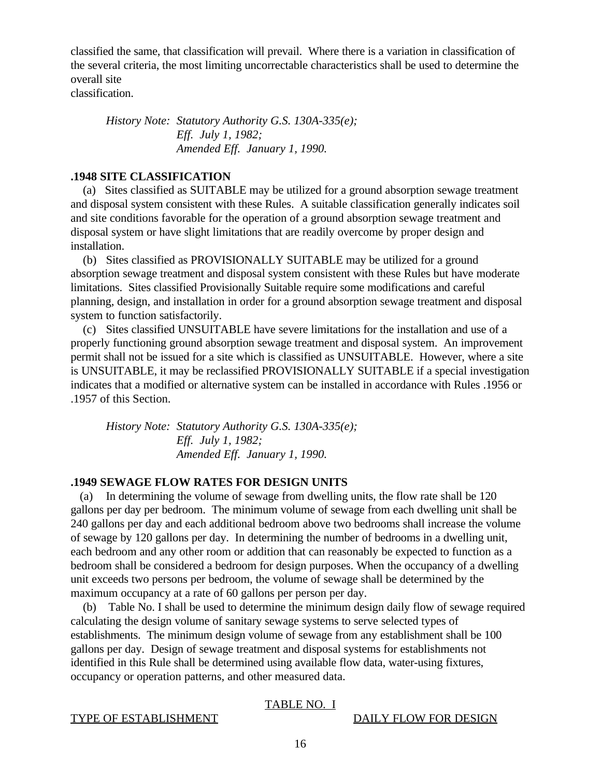classified the same, that classification will prevail. Where there is a variation in classification of the several criteria, the most limiting uncorrectable characteristics shall be used to determine the overall site

classification.

*History Note: Statutory Authority G.S. 130A-335(e); Eff. July 1, 1982; Amended Eff. January 1, 1990.*

## **.1948 SITE CLASSIFICATION**

 (a) Sites classified as SUITABLE may be utilized for a ground absorption sewage treatment and disposal system consistent with these Rules. A suitable classification generally indicates soil and site conditions favorable for the operation of a ground absorption sewage treatment and disposal system or have slight limitations that are readily overcome by proper design and installation.

 (b) Sites classified as PROVISIONALLY SUITABLE may be utilized for a ground absorption sewage treatment and disposal system consistent with these Rules but have moderate limitations. Sites classified Provisionally Suitable require some modifications and careful planning, design, and installation in order for a ground absorption sewage treatment and disposal system to function satisfactorily.

 (c) Sites classified UNSUITABLE have severe limitations for the installation and use of a properly functioning ground absorption sewage treatment and disposal system. An improvement permit shall not be issued for a site which is classified as UNSUITABLE. However, where a site is UNSUITABLE, it may be reclassified PROVISIONALLY SUITABLE if a special investigation indicates that a modified or alternative system can be installed in accordance with Rules .1956 or .1957 of this Section.

*History Note: Statutory Authority G.S. 130A-335(e); Eff. July 1, 1982; Amended Eff. January 1, 1990.*

## **.1949 SEWAGE FLOW RATES FOR DESIGN UNITS**

 (a) In determining the volume of sewage from dwelling units, the flow rate shall be 120 gallons per day per bedroom. The minimum volume of sewage from each dwelling unit shall be 240 gallons per day and each additional bedroom above two bedrooms shall increase the volume of sewage by 120 gallons per day. In determining the number of bedrooms in a dwelling unit, each bedroom and any other room or addition that can reasonably be expected to function as a bedroom shall be considered a bedroom for design purposes. When the occupancy of a dwelling unit exceeds two persons per bedroom, the volume of sewage shall be determined by the maximum occupancy at a rate of 60 gallons per person per day.

 (b) Table No. I shall be used to determine the minimum design daily flow of sewage required calculating the design volume of sanitary sewage systems to serve selected types of establishments. The minimum design volume of sewage from any establishment shall be 100 gallons per day. Design of sewage treatment and disposal systems for establishments not identified in this Rule shall be determined using available flow data, water-using fixtures, occupancy or operation patterns, and other measured data.

## TABLE NO. I

#### TYPE OF ESTABLISHMENT DAILY FLOW FOR DESIGN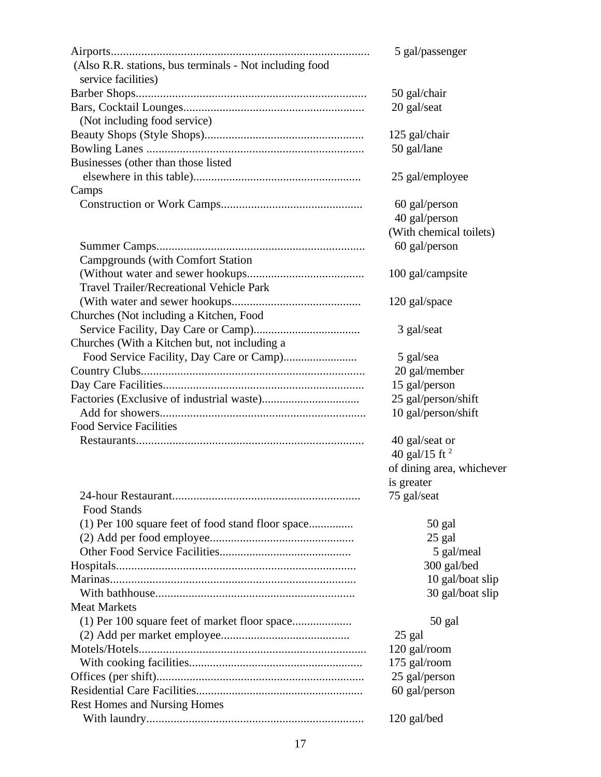|                                                         | 5 gal/passenger           |
|---------------------------------------------------------|---------------------------|
| (Also R.R. stations, bus terminals - Not including food |                           |
| service facilities)                                     |                           |
|                                                         | 50 gal/chair              |
|                                                         | 20 gal/seat               |
| (Not including food service)                            |                           |
|                                                         | 125 gal/chair             |
|                                                         | 50 gal/lane               |
| Businesses (other than those listed                     |                           |
|                                                         | 25 gal/employee           |
| Camps                                                   |                           |
|                                                         | 60 gal/person             |
|                                                         | 40 gal/person             |
|                                                         | (With chemical toilets)   |
|                                                         | 60 gal/person             |
| <b>Campgrounds (with Comfort Station)</b>               |                           |
|                                                         | 100 gal/campsite          |
| <b>Travel Trailer/Recreational Vehicle Park</b>         |                           |
|                                                         | 120 gal/space             |
| Churches (Not including a Kitchen, Food                 |                           |
|                                                         | 3 gal/seat                |
| Churches (With a Kitchen but, not including a           |                           |
|                                                         | 5 gal/sea                 |
|                                                         | 20 gal/member             |
|                                                         | 15 gal/person             |
|                                                         | 25 gal/person/shift       |
|                                                         | 10 gal/person/shift       |
| <b>Food Service Facilities</b>                          |                           |
|                                                         | 40 gal/seat or            |
|                                                         | 40 gal/15 ft $^2$         |
|                                                         | of dining area, whichever |
|                                                         | is greater                |
|                                                         | 75 gal/seat               |
| Food Stands                                             |                           |
|                                                         |                           |
| (1) Per 100 square feet of food stand floor space       | 50 gal                    |
|                                                         | 25 gal                    |
|                                                         | 5 gal/meal                |
|                                                         | 300 gal/bed               |
|                                                         | 10 gal/boat slip          |
|                                                         | 30 gal/boat slip          |
| <b>Meat Markets</b>                                     |                           |
| (1) Per 100 square feet of market floor space           | 50 gal                    |
|                                                         | 25 gal                    |
|                                                         | 120 gal/room              |
|                                                         | 175 gal/room              |
|                                                         | 25 gal/person             |
|                                                         | 60 gal/person             |
| <b>Rest Homes and Nursing Homes</b>                     |                           |
|                                                         | 120 gal/bed               |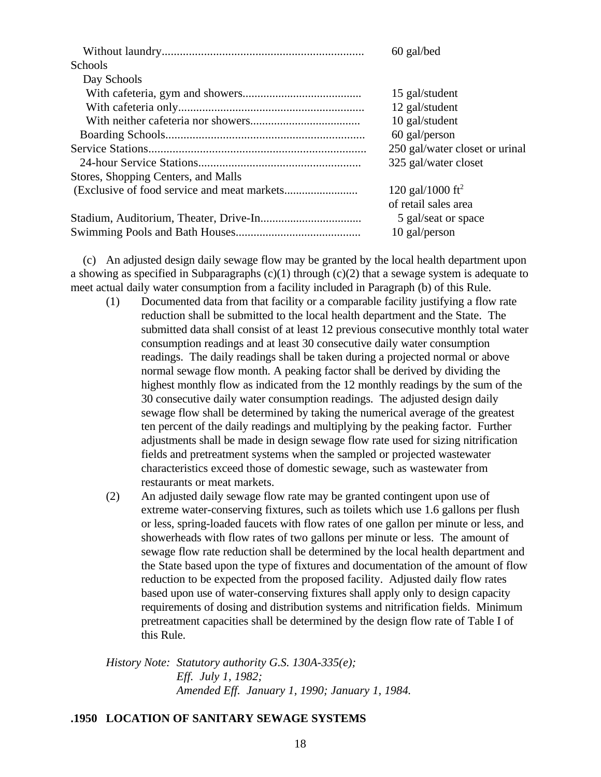|                                     | 60 gal/bed                     |
|-------------------------------------|--------------------------------|
| Schools                             |                                |
| Day Schools                         |                                |
|                                     | 15 gal/student                 |
|                                     | 12 gal/student                 |
|                                     | 10 gal/student                 |
|                                     | 60 gal/person                  |
|                                     | 250 gal/water closet or urinal |
|                                     | 325 gal/water closet           |
| Stores, Shopping Centers, and Malls |                                |
|                                     | 120 gal/1000 ft <sup>2</sup>   |
|                                     | of retail sales area           |
|                                     | 5 gal/seat or space            |
|                                     | 10 gal/person                  |

 (c) An adjusted design daily sewage flow may be granted by the local health department upon a showing as specified in Subparagraphs  $(c)(1)$  through  $(c)(2)$  that a sewage system is adequate to meet actual daily water consumption from a facility included in Paragraph (b) of this Rule.

- (1) Documented data from that facility or a comparable facility justifying a flow rate reduction shall be submitted to the local health department and the State. The submitted data shall consist of at least 12 previous consecutive monthly total water consumption readings and at least 30 consecutive daily water consumption readings. The daily readings shall be taken during a projected normal or above normal sewage flow month. A peaking factor shall be derived by dividing the highest monthly flow as indicated from the 12 monthly readings by the sum of the 30 consecutive daily water consumption readings. The adjusted design daily sewage flow shall be determined by taking the numerical average of the greatest ten percent of the daily readings and multiplying by the peaking factor. Further adjustments shall be made in design sewage flow rate used for sizing nitrification fields and pretreatment systems when the sampled or projected wastewater characteristics exceed those of domestic sewage, such as wastewater from restaurants or meat markets.
- (2) An adjusted daily sewage flow rate may be granted contingent upon use of extreme water-conserving fixtures, such as toilets which use 1.6 gallons per flush or less, spring-loaded faucets with flow rates of one gallon per minute or less, and showerheads with flow rates of two gallons per minute or less. The amount of sewage flow rate reduction shall be determined by the local health department and the State based upon the type of fixtures and documentation of the amount of flow reduction to be expected from the proposed facility. Adjusted daily flow rates based upon use of water-conserving fixtures shall apply only to design capacity requirements of dosing and distribution systems and nitrification fields. Minimum pretreatment capacities shall be determined by the design flow rate of Table I of this Rule.

*History Note: Statutory authority G.S. 130A-335(e); Eff. July 1, 1982; Amended Eff. January 1, 1990; January 1, 1984.*

# **.1950 LOCATION OF SANITARY SEWAGE SYSTEMS**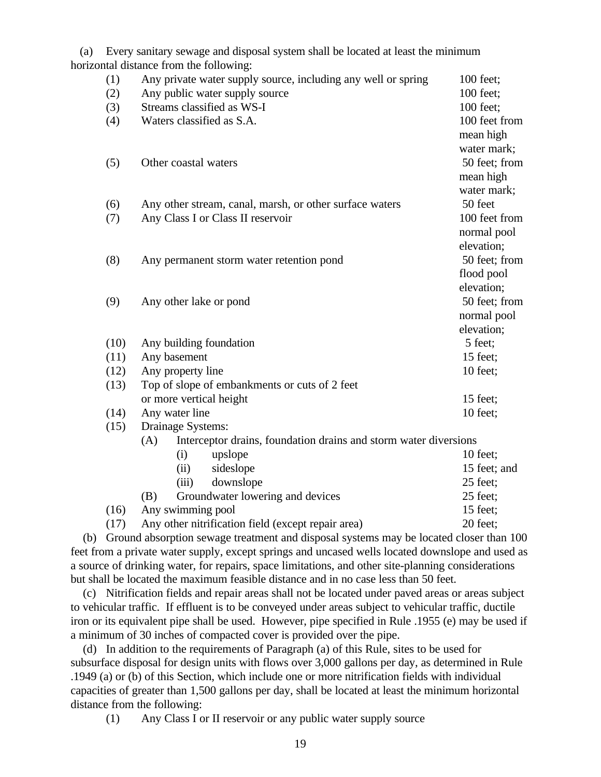(a) Every sanitary sewage and disposal system shall be located at least the minimum horizontal distance from the following:

| (1)  | Any private water supply source, including any well or spring           | 100 feet;     |  |
|------|-------------------------------------------------------------------------|---------------|--|
| (2)  | Any public water supply source                                          | 100 feet;     |  |
| (3)  | Streams classified as WS-I                                              | 100 feet;     |  |
| (4)  | Waters classified as S.A.                                               | 100 feet from |  |
|      |                                                                         | mean high     |  |
|      |                                                                         | water mark;   |  |
| (5)  | Other coastal waters                                                    | 50 feet; from |  |
|      |                                                                         | mean high     |  |
|      |                                                                         | water mark;   |  |
| (6)  | Any other stream, canal, marsh, or other surface waters                 | 50 feet       |  |
| (7)  | Any Class I or Class II reservoir                                       | 100 feet from |  |
|      |                                                                         | normal pool   |  |
|      |                                                                         | elevation;    |  |
| (8)  | Any permanent storm water retention pond                                | 50 feet; from |  |
|      |                                                                         | flood pool    |  |
|      |                                                                         | elevation;    |  |
| (9)  | Any other lake or pond                                                  | 50 feet; from |  |
|      |                                                                         | normal pool   |  |
|      |                                                                         | elevation;    |  |
| (10) | Any building foundation                                                 | 5 feet;       |  |
| (11) | Any basement<br>15 feet;                                                |               |  |
| (12) | Any property line                                                       | 10 feet;      |  |
| (13) | Top of slope of embankments or cuts of 2 feet                           |               |  |
|      | or more vertical height                                                 | 15 feet;      |  |
| (14) | Any water line                                                          | 10 feet;      |  |
| (15) | Drainage Systems:                                                       |               |  |
|      | Interceptor drains, foundation drains and storm water diversions<br>(A) |               |  |
|      | upslope<br>(i)                                                          | 10 feet;      |  |
|      | (ii)<br>sideslope                                                       | 15 feet; and  |  |
|      | downslope<br>(iii)                                                      | 25 feet;      |  |
|      | Groundwater lowering and devices<br>(B)                                 | 25 feet;      |  |
| (16) | Any swimming pool                                                       | 15 feet;      |  |
| (17) | Any other nitrification field (except repair area)<br>20 feet;          |               |  |

 (b) Ground absorption sewage treatment and disposal systems may be located closer than 100 feet from a private water supply, except springs and uncased wells located downslope and used as a source of drinking water, for repairs, space limitations, and other site-planning considerations but shall be located the maximum feasible distance and in no case less than 50 feet.

 (c) Nitrification fields and repair areas shall not be located under paved areas or areas subject to vehicular traffic. If effluent is to be conveyed under areas subject to vehicular traffic, ductile iron or its equivalent pipe shall be used. However, pipe specified in Rule .1955 (e) may be used if a minimum of 30 inches of compacted cover is provided over the pipe.

 (d) In addition to the requirements of Paragraph (a) of this Rule, sites to be used for subsurface disposal for design units with flows over 3,000 gallons per day, as determined in Rule .1949 (a) or (b) of this Section, which include one or more nitrification fields with individual capacities of greater than 1,500 gallons per day, shall be located at least the minimum horizontal distance from the following:

(1) Any Class I or II reservoir or any public water supply source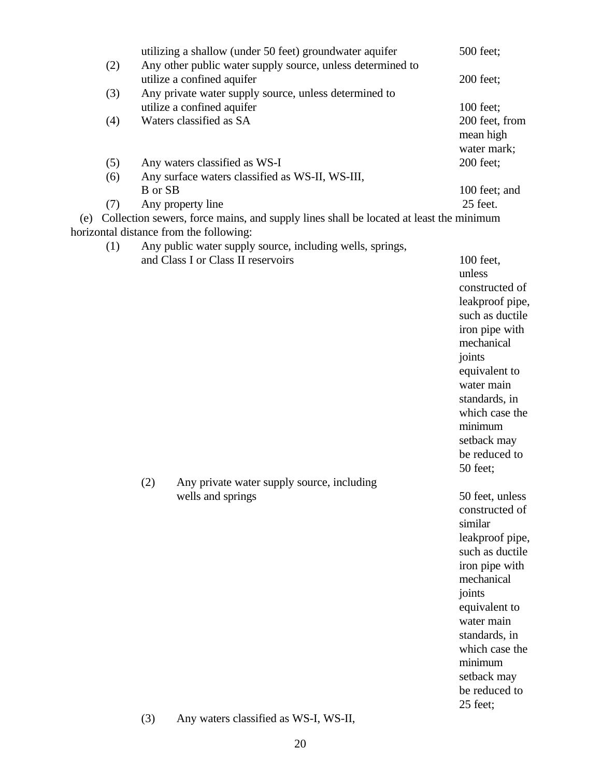|     |     |                | utilizing a shallow (under 50 feet) groundwater aquifer                                                                           | 500 feet;                         |
|-----|-----|----------------|-----------------------------------------------------------------------------------------------------------------------------------|-----------------------------------|
|     | (2) |                | Any other public water supply source, unless determined to<br>utilize a confined aquifer                                          | 200 feet;                         |
|     | (3) |                | Any private water supply source, unless determined to                                                                             |                                   |
|     |     |                | utilize a confined aquifer<br>Waters classified as SA                                                                             | 100 feet;                         |
|     | (4) |                |                                                                                                                                   | 200 feet, from<br>mean high       |
|     |     |                |                                                                                                                                   | water mark;                       |
|     | (5) |                | Any waters classified as WS-I                                                                                                     | 200 feet;                         |
|     | (6) |                | Any surface waters classified as WS-II, WS-III,                                                                                   |                                   |
|     |     | <b>B</b> or SB |                                                                                                                                   | 100 feet; and                     |
|     | (7) |                | Any property line                                                                                                                 | 25 feet.                          |
| (e) |     |                | Collection sewers, force mains, and supply lines shall be located at least the minimum<br>horizontal distance from the following: |                                   |
|     | (1) |                | Any public water supply source, including wells, springs,                                                                         |                                   |
|     |     |                | and Class I or Class II reservoirs                                                                                                | 100 feet,                         |
|     |     |                |                                                                                                                                   | unless<br>constructed of          |
|     |     |                |                                                                                                                                   | leakproof pipe,                   |
|     |     |                |                                                                                                                                   | such as ductile                   |
|     |     |                |                                                                                                                                   | iron pipe with                    |
|     |     |                |                                                                                                                                   | mechanical                        |
|     |     |                |                                                                                                                                   | joints                            |
|     |     |                |                                                                                                                                   | equivalent to                     |
|     |     |                |                                                                                                                                   | water main<br>standards, in       |
|     |     |                |                                                                                                                                   | which case the                    |
|     |     |                |                                                                                                                                   | minimum                           |
|     |     |                |                                                                                                                                   | setback may                       |
|     |     |                |                                                                                                                                   | be reduced to                     |
|     |     |                |                                                                                                                                   | 50 feet;                          |
|     |     | (2)            | Any private water supply source, including                                                                                        |                                   |
|     |     |                | wells and springs                                                                                                                 | 50 feet, unless<br>constructed of |
|     |     |                |                                                                                                                                   | similar                           |
|     |     |                |                                                                                                                                   | leakproof pipe,                   |
|     |     |                |                                                                                                                                   | such as ductile                   |
|     |     |                |                                                                                                                                   | iron pipe with                    |
|     |     |                |                                                                                                                                   | mechanical                        |
|     |     |                |                                                                                                                                   | joints                            |
|     |     |                |                                                                                                                                   | equivalent to<br>water main       |
|     |     |                |                                                                                                                                   | standards, in                     |
|     |     |                |                                                                                                                                   | which case the                    |
|     |     |                |                                                                                                                                   | minimum                           |
|     |     |                |                                                                                                                                   | setback may                       |
|     |     |                |                                                                                                                                   | be reduced to                     |
|     |     |                |                                                                                                                                   | 25 feet;                          |
|     |     | (3)            | Any waters classified as WS-I, WS-II,                                                                                             |                                   |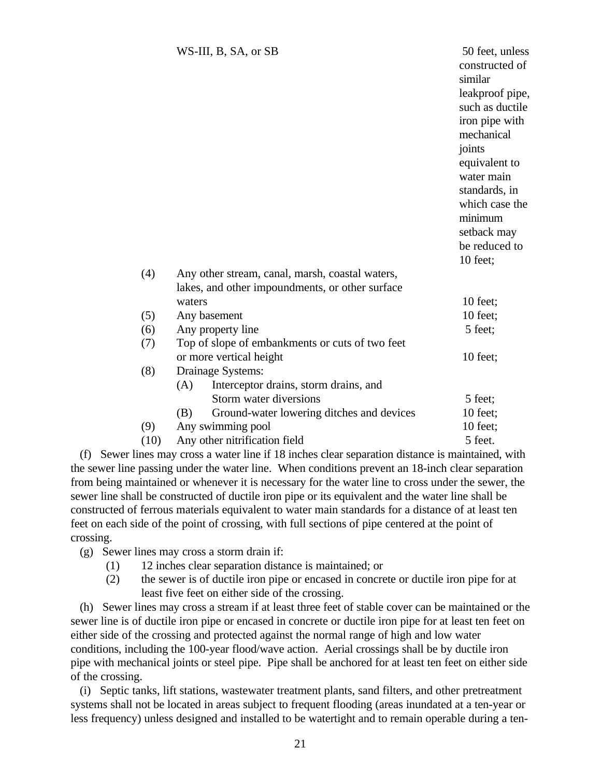|      | WS-III, B, SA, or SB                             | 50 feet, unless<br>constructed of<br>similar |  |
|------|--------------------------------------------------|----------------------------------------------|--|
|      |                                                  | leakproof pipe,                              |  |
|      |                                                  | such as ductile                              |  |
|      |                                                  | iron pipe with                               |  |
|      |                                                  | mechanical                                   |  |
|      |                                                  | joints<br>equivalent to                      |  |
|      |                                                  | water main                                   |  |
|      |                                                  | standards, in                                |  |
|      |                                                  | which case the                               |  |
|      |                                                  | minimum                                      |  |
|      |                                                  | setback may                                  |  |
|      |                                                  | be reduced to                                |  |
|      |                                                  | 10 feet;                                     |  |
| (4)  | Any other stream, canal, marsh, coastal waters,  |                                              |  |
|      | lakes, and other impoundments, or other surface  |                                              |  |
|      | waters                                           | 10 feet;                                     |  |
| (5)  | Any basement                                     | 10 feet;                                     |  |
| (6)  | Any property line                                | 5 feet;                                      |  |
| (7)  | Top of slope of embankments or cuts of two feet  |                                              |  |
|      | or more vertical height                          | 10 feet;                                     |  |
| (8)  | Drainage Systems:                                |                                              |  |
|      | Interceptor drains, storm drains, and<br>(A)     |                                              |  |
|      | Storm water diversions                           | 5 feet;                                      |  |
|      | Ground-water lowering ditches and devices<br>(B) | $10$ feet;                                   |  |
| (9)  | Any swimming pool<br>10 feet;                    |                                              |  |
| (10) | Any other nitrification field                    | 5 feet.                                      |  |

 (f) Sewer lines may cross a water line if 18 inches clear separation distance is maintained, with the sewer line passing under the water line. When conditions prevent an 18-inch clear separation from being maintained or whenever it is necessary for the water line to cross under the sewer, the sewer line shall be constructed of ductile iron pipe or its equivalent and the water line shall be constructed of ferrous materials equivalent to water main standards for a distance of at least ten feet on each side of the point of crossing, with full sections of pipe centered at the point of crossing.

(g) Sewer lines may cross a storm drain if:

- (1) 12 inches clear separation distance is maintained; or
- (2) the sewer is of ductile iron pipe or encased in concrete or ductile iron pipe for at least five feet on either side of the crossing.

 (h) Sewer lines may cross a stream if at least three feet of stable cover can be maintained or the sewer line is of ductile iron pipe or encased in concrete or ductile iron pipe for at least ten feet on either side of the crossing and protected against the normal range of high and low water conditions, including the 100-year flood/wave action. Aerial crossings shall be by ductile iron pipe with mechanical joints or steel pipe. Pipe shall be anchored for at least ten feet on either side of the crossing.

 (i) Septic tanks, lift stations, wastewater treatment plants, sand filters, and other pretreatment systems shall not be located in areas subject to frequent flooding (areas inundated at a ten-year or less frequency) unless designed and installed to be watertight and to remain operable during a ten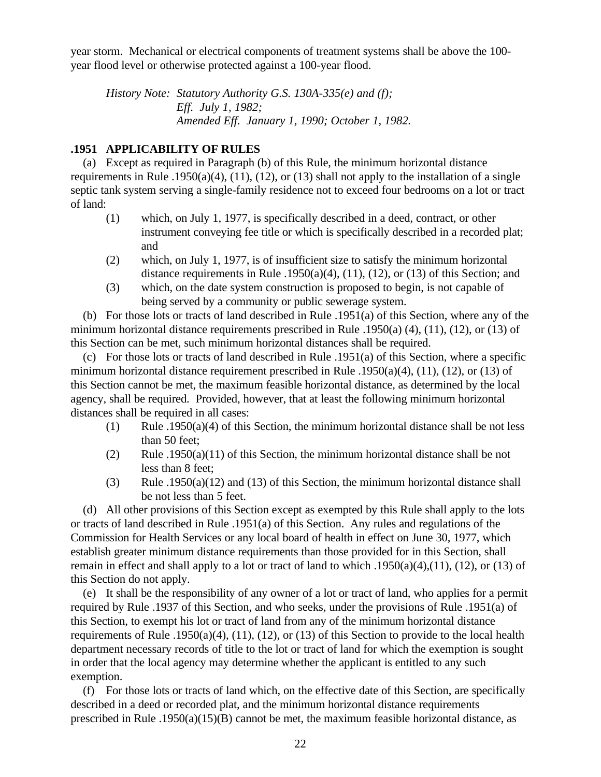year storm. Mechanical or electrical components of treatment systems shall be above the 100 year flood level or otherwise protected against a 100-year flood.

*History Note: Statutory Authority G.S. 130A-335(e) and (f); Eff. July 1, 1982; Amended Eff. January 1, 1990; October 1, 1982.*

# **.1951 APPLICABILITY OF RULES**

 (a) Except as required in Paragraph (b) of this Rule, the minimum horizontal distance requirements in Rule .1950(a)(4), (11), (12), or (13) shall not apply to the installation of a single septic tank system serving a single-family residence not to exceed four bedrooms on a lot or tract of land:

- (1) which, on July 1, 1977, is specifically described in a deed, contract, or other instrument conveying fee title or which is specifically described in a recorded plat; and
- (2) which, on July 1, 1977, is of insufficient size to satisfy the minimum horizontal distance requirements in Rule .1950(a)(4), (11), (12), or (13) of this Section; and
- (3) which, on the date system construction is proposed to begin, is not capable of being served by a community or public sewerage system.

 (b) For those lots or tracts of land described in Rule .1951(a) of this Section, where any of the minimum horizontal distance requirements prescribed in Rule .1950(a) (4), (11), (12), or (13) of this Section can be met, such minimum horizontal distances shall be required.

 (c) For those lots or tracts of land described in Rule .1951(a) of this Section, where a specific minimum horizontal distance requirement prescribed in Rule .1950(a)(4), (11), (12), or (13) of this Section cannot be met, the maximum feasible horizontal distance, as determined by the local agency, shall be required. Provided, however, that at least the following minimum horizontal distances shall be required in all cases:

- (1) Rule .1950(a)(4) of this Section, the minimum horizontal distance shall be not less than 50 feet;
- (2) Rule .1950(a)(11) of this Section, the minimum horizontal distance shall be not less than 8 feet;
- (3) Rule .1950(a)(12) and (13) of this Section, the minimum horizontal distance shall be not less than 5 feet.

 (d) All other provisions of this Section except as exempted by this Rule shall apply to the lots or tracts of land described in Rule .1951(a) of this Section. Any rules and regulations of the Commission for Health Services or any local board of health in effect on June 30, 1977, which establish greater minimum distance requirements than those provided for in this Section, shall remain in effect and shall apply to a lot or tract of land to which .1950(a)(4),(11), (12), or (13) of this Section do not apply.

 (e) It shall be the responsibility of any owner of a lot or tract of land, who applies for a permit required by Rule .1937 of this Section, and who seeks, under the provisions of Rule .1951(a) of this Section, to exempt his lot or tract of land from any of the minimum horizontal distance requirements of Rule .1950(a)(4), (11), (12), or (13) of this Section to provide to the local health department necessary records of title to the lot or tract of land for which the exemption is sought in order that the local agency may determine whether the applicant is entitled to any such exemption.

 (f) For those lots or tracts of land which, on the effective date of this Section, are specifically described in a deed or recorded plat, and the minimum horizontal distance requirements prescribed in Rule .1950(a)(15)(B) cannot be met, the maximum feasible horizontal distance, as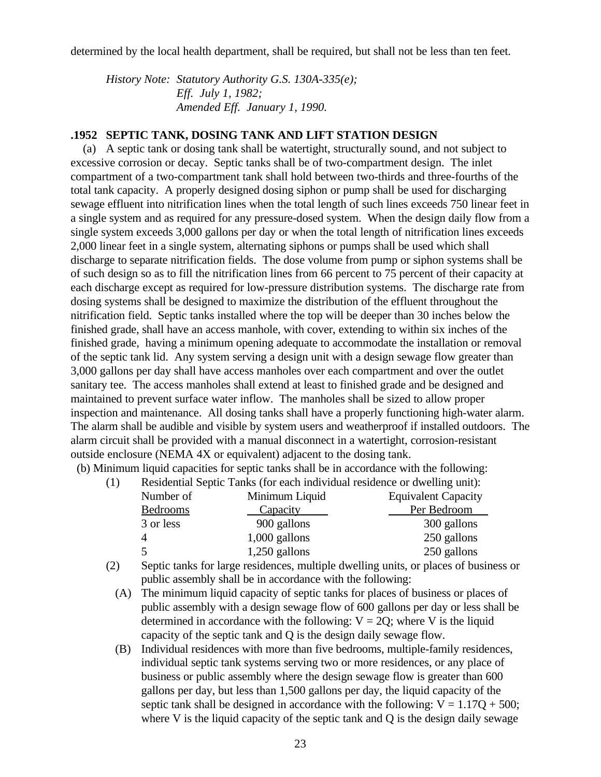determined by the local health department, shall be required, but shall not be less than ten feet.

*History Note: Statutory Authority G.S. 130A-335(e); Eff. July 1, 1982; Amended Eff. January 1, 1990.*

#### **.1952 SEPTIC TANK, DOSING TANK AND LIFT STATION DESIGN**

 (a) A septic tank or dosing tank shall be watertight, structurally sound, and not subject to excessive corrosion or decay. Septic tanks shall be of two-compartment design. The inlet compartment of a two-compartment tank shall hold between two-thirds and three-fourths of the total tank capacity. A properly designed dosing siphon or pump shall be used for discharging sewage effluent into nitrification lines when the total length of such lines exceeds 750 linear feet in a single system and as required for any pressure-dosed system. When the design daily flow from a single system exceeds 3,000 gallons per day or when the total length of nitrification lines exceeds 2,000 linear feet in a single system, alternating siphons or pumps shall be used which shall discharge to separate nitrification fields. The dose volume from pump or siphon systems shall be of such design so as to fill the nitrification lines from 66 percent to 75 percent of their capacity at each discharge except as required for low-pressure distribution systems. The discharge rate from dosing systems shall be designed to maximize the distribution of the effluent throughout the nitrification field. Septic tanks installed where the top will be deeper than 30 inches below the finished grade, shall have an access manhole, with cover, extending to within six inches of the finished grade, having a minimum opening adequate to accommodate the installation or removal of the septic tank lid. Any system serving a design unit with a design sewage flow greater than 3,000 gallons per day shall have access manholes over each compartment and over the outlet sanitary tee. The access manholes shall extend at least to finished grade and be designed and maintained to prevent surface water inflow. The manholes shall be sized to allow proper inspection and maintenance. All dosing tanks shall have a properly functioning high-water alarm. The alarm shall be audible and visible by system users and weatherproof if installed outdoors. The alarm circuit shall be provided with a manual disconnect in a watertight, corrosion-resistant outside enclosure (NEMA 4X or equivalent) adjacent to the dosing tank.

(b) Minimum liquid capacities for septic tanks shall be in accordance with the following:

| (1) | Residential Septic Tanks (for each individual residence or dwelling unit): |                 |                            |  |
|-----|----------------------------------------------------------------------------|-----------------|----------------------------|--|
|     | Number of<br>Minimum Liquid                                                |                 | <b>Equivalent Capacity</b> |  |
|     | Bedrooms                                                                   | <b>Capacity</b> | Per Bedroom                |  |
|     | 3 or less                                                                  | 900 gallons     | 300 gallons                |  |
|     | 4                                                                          | $1,000$ gallons | 250 gallons                |  |
|     |                                                                            | $1,250$ gallons | 250 gallons                |  |

- (2) Septic tanks for large residences, multiple dwelling units, or places of business or public assembly shall be in accordance with the following:
	- (A) The minimum liquid capacity of septic tanks for places of business or places of public assembly with a design sewage flow of 600 gallons per day or less shall be determined in accordance with the following:  $V = 20$ ; where V is the liquid capacity of the septic tank and Q is the design daily sewage flow.
	- (B) Individual residences with more than five bedrooms, multiple-family residences, individual septic tank systems serving two or more residences, or any place of business or public assembly where the design sewage flow is greater than 600 gallons per day, but less than 1,500 gallons per day, the liquid capacity of the septic tank shall be designed in accordance with the following:  $V = 1.17Q + 500$ ; where V is the liquid capacity of the septic tank and Q is the design daily sewage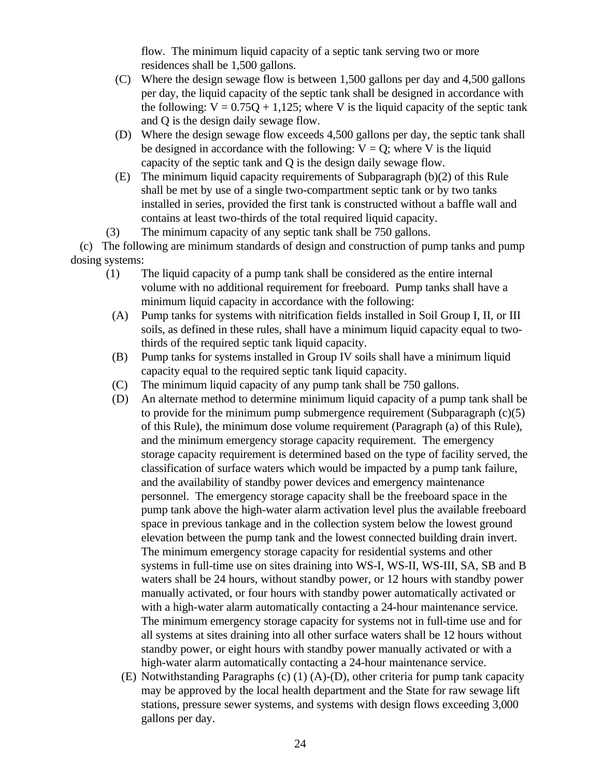flow. The minimum liquid capacity of a septic tank serving two or more residences shall be 1,500 gallons.

- (C) Where the design sewage flow is between 1,500 gallons per day and 4,500 gallons per day, the liquid capacity of the septic tank shall be designed in accordance with the following:  $V = 0.75Q + 1,125$ ; where V is the liquid capacity of the septic tank and Q is the design daily sewage flow.
- (D) Where the design sewage flow exceeds 4,500 gallons per day, the septic tank shall be designed in accordance with the following:  $V = Q$ ; where V is the liquid capacity of the septic tank and Q is the design daily sewage flow.
- (E) The minimum liquid capacity requirements of Subparagraph (b)(2) of this Rule shall be met by use of a single two-compartment septic tank or by two tanks installed in series, provided the first tank is constructed without a baffle wall and contains at least two-thirds of the total required liquid capacity.
- (3) The minimum capacity of any septic tank shall be 750 gallons.

 (c) The following are minimum standards of design and construction of pump tanks and pump dosing systems:

- (1) The liquid capacity of a pump tank shall be considered as the entire internal volume with no additional requirement for freeboard. Pump tanks shall have a minimum liquid capacity in accordance with the following:
- (A) Pump tanks for systems with nitrification fields installed in Soil Group I, II, or III soils, as defined in these rules, shall have a minimum liquid capacity equal to twothirds of the required septic tank liquid capacity.
- (B) Pump tanks for systems installed in Group IV soils shall have a minimum liquid capacity equal to the required septic tank liquid capacity.
- (C) The minimum liquid capacity of any pump tank shall be 750 gallons.
- (D) An alternate method to determine minimum liquid capacity of a pump tank shall be to provide for the minimum pump submergence requirement (Subparagraph  $(c)(5)$ ) of this Rule), the minimum dose volume requirement (Paragraph (a) of this Rule), and the minimum emergency storage capacity requirement. The emergency storage capacity requirement is determined based on the type of facility served, the classification of surface waters which would be impacted by a pump tank failure, and the availability of standby power devices and emergency maintenance personnel. The emergency storage capacity shall be the freeboard space in the pump tank above the high-water alarm activation level plus the available freeboard space in previous tankage and in the collection system below the lowest ground elevation between the pump tank and the lowest connected building drain invert. The minimum emergency storage capacity for residential systems and other systems in full-time use on sites draining into WS-I, WS-II, WS-III, SA, SB and B waters shall be 24 hours, without standby power, or 12 hours with standby power manually activated, or four hours with standby power automatically activated or with a high-water alarm automatically contacting a 24-hour maintenance service. The minimum emergency storage capacity for systems not in full-time use and for all systems at sites draining into all other surface waters shall be 12 hours without standby power, or eight hours with standby power manually activated or with a high-water alarm automatically contacting a 24-hour maintenance service.
	- (E) Notwithstanding Paragraphs (c) (1) (A)-(D), other criteria for pump tank capacity may be approved by the local health department and the State for raw sewage lift stations, pressure sewer systems, and systems with design flows exceeding 3,000 gallons per day.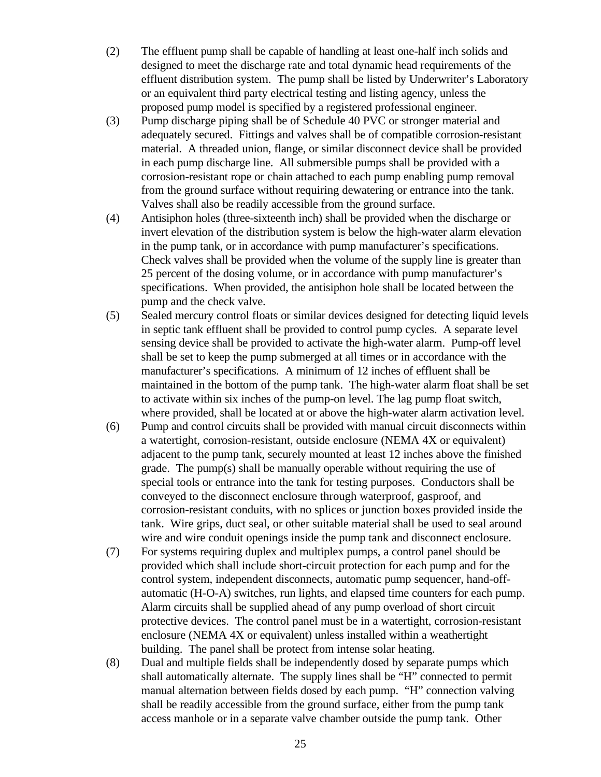- (2) The effluent pump shall be capable of handling at least one-half inch solids and designed to meet the discharge rate and total dynamic head requirements of the effluent distribution system. The pump shall be listed by Underwriter's Laboratory or an equivalent third party electrical testing and listing agency, unless the proposed pump model is specified by a registered professional engineer.
- (3) Pump discharge piping shall be of Schedule 40 PVC or stronger material and adequately secured. Fittings and valves shall be of compatible corrosion-resistant material. A threaded union, flange, or similar disconnect device shall be provided in each pump discharge line. All submersible pumps shall be provided with a corrosion-resistant rope or chain attached to each pump enabling pump removal from the ground surface without requiring dewatering or entrance into the tank. Valves shall also be readily accessible from the ground surface.
- (4) Antisiphon holes (three-sixteenth inch) shall be provided when the discharge or invert elevation of the distribution system is below the high-water alarm elevation in the pump tank, or in accordance with pump manufacturer's specifications. Check valves shall be provided when the volume of the supply line is greater than 25 percent of the dosing volume, or in accordance with pump manufacturer's specifications. When provided, the antisiphon hole shall be located between the pump and the check valve.
- (5) Sealed mercury control floats or similar devices designed for detecting liquid levels in septic tank effluent shall be provided to control pump cycles. A separate level sensing device shall be provided to activate the high-water alarm. Pump-off level shall be set to keep the pump submerged at all times or in accordance with the manufacturer's specifications. A minimum of 12 inches of effluent shall be maintained in the bottom of the pump tank. The high-water alarm float shall be set to activate within six inches of the pump-on level. The lag pump float switch, where provided, shall be located at or above the high-water alarm activation level.
- (6) Pump and control circuits shall be provided with manual circuit disconnects within a watertight, corrosion-resistant, outside enclosure (NEMA 4X or equivalent) adjacent to the pump tank, securely mounted at least 12 inches above the finished grade. The pump(s) shall be manually operable without requiring the use of special tools or entrance into the tank for testing purposes. Conductors shall be conveyed to the disconnect enclosure through waterproof, gasproof, and corrosion-resistant conduits, with no splices or junction boxes provided inside the tank. Wire grips, duct seal, or other suitable material shall be used to seal around wire and wire conduit openings inside the pump tank and disconnect enclosure.
- (7) For systems requiring duplex and multiplex pumps, a control panel should be provided which shall include short-circuit protection for each pump and for the control system, independent disconnects, automatic pump sequencer, hand-offautomatic (H-O-A) switches, run lights, and elapsed time counters for each pump. Alarm circuits shall be supplied ahead of any pump overload of short circuit protective devices. The control panel must be in a watertight, corrosion-resistant enclosure (NEMA 4X or equivalent) unless installed within a weathertight building. The panel shall be protect from intense solar heating.
- (8) Dual and multiple fields shall be independently dosed by separate pumps which shall automatically alternate. The supply lines shall be "H" connected to permit manual alternation between fields dosed by each pump. "H" connection valving shall be readily accessible from the ground surface, either from the pump tank access manhole or in a separate valve chamber outside the pump tank. Other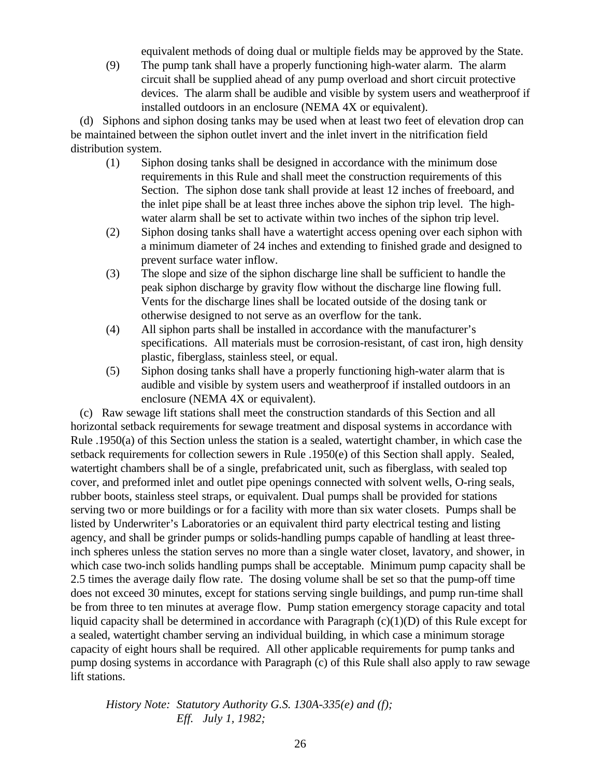equivalent methods of doing dual or multiple fields may be approved by the State.

(9) The pump tank shall have a properly functioning high-water alarm. The alarm circuit shall be supplied ahead of any pump overload and short circuit protective devices. The alarm shall be audible and visible by system users and weatherproof if installed outdoors in an enclosure (NEMA 4X or equivalent).

 (d) Siphons and siphon dosing tanks may be used when at least two feet of elevation drop can be maintained between the siphon outlet invert and the inlet invert in the nitrification field distribution system.

- (1) Siphon dosing tanks shall be designed in accordance with the minimum dose requirements in this Rule and shall meet the construction requirements of this Section. The siphon dose tank shall provide at least 12 inches of freeboard, and the inlet pipe shall be at least three inches above the siphon trip level. The highwater alarm shall be set to activate within two inches of the siphon trip level.
- (2) Siphon dosing tanks shall have a watertight access opening over each siphon with a minimum diameter of 24 inches and extending to finished grade and designed to prevent surface water inflow.
- (3) The slope and size of the siphon discharge line shall be sufficient to handle the peak siphon discharge by gravity flow without the discharge line flowing full. Vents for the discharge lines shall be located outside of the dosing tank or otherwise designed to not serve as an overflow for the tank.
- (4) All siphon parts shall be installed in accordance with the manufacturer's specifications. All materials must be corrosion-resistant, of cast iron, high density plastic, fiberglass, stainless steel, or equal.
- (5) Siphon dosing tanks shall have a properly functioning high-water alarm that is audible and visible by system users and weatherproof if installed outdoors in an enclosure (NEMA 4X or equivalent).

 (c) Raw sewage lift stations shall meet the construction standards of this Section and all horizontal setback requirements for sewage treatment and disposal systems in accordance with Rule .1950(a) of this Section unless the station is a sealed, watertight chamber, in which case the setback requirements for collection sewers in Rule .1950(e) of this Section shall apply. Sealed, watertight chambers shall be of a single, prefabricated unit, such as fiberglass, with sealed top cover, and preformed inlet and outlet pipe openings connected with solvent wells, O-ring seals, rubber boots, stainless steel straps, or equivalent. Dual pumps shall be provided for stations serving two or more buildings or for a facility with more than six water closets. Pumps shall be listed by Underwriter's Laboratories or an equivalent third party electrical testing and listing agency, and shall be grinder pumps or solids-handling pumps capable of handling at least threeinch spheres unless the station serves no more than a single water closet, lavatory, and shower, in which case two-inch solids handling pumps shall be acceptable. Minimum pump capacity shall be 2.5 times the average daily flow rate. The dosing volume shall be set so that the pump-off time does not exceed 30 minutes, except for stations serving single buildings, and pump run-time shall be from three to ten minutes at average flow. Pump station emergency storage capacity and total liquid capacity shall be determined in accordance with Paragraph (c)(1)(D) of this Rule except for a sealed, watertight chamber serving an individual building, in which case a minimum storage capacity of eight hours shall be required. All other applicable requirements for pump tanks and pump dosing systems in accordance with Paragraph (c) of this Rule shall also apply to raw sewage lift stations.

*History Note: Statutory Authority G.S. 130A-335(e) and (f); Eff. July 1, 1982;*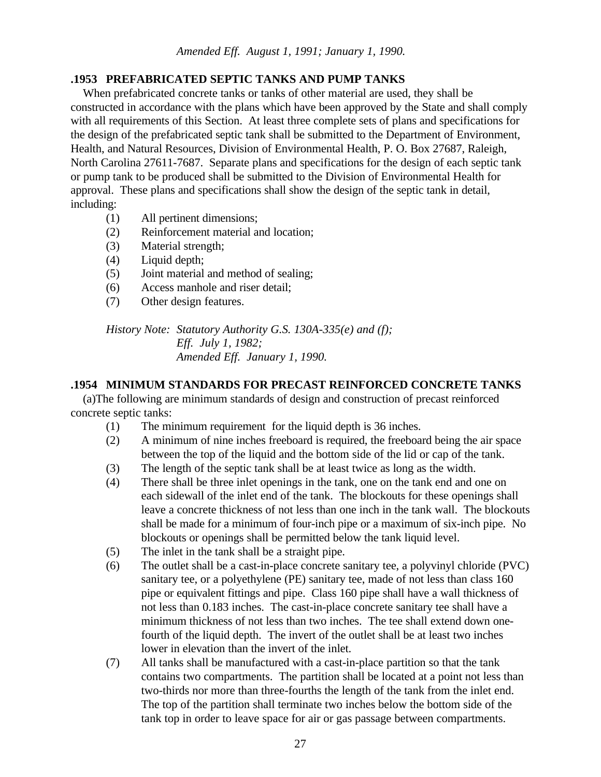# **.1953 PREFABRICATED SEPTIC TANKS AND PUMP TANKS**

 When prefabricated concrete tanks or tanks of other material are used, they shall be constructed in accordance with the plans which have been approved by the State and shall comply with all requirements of this Section. At least three complete sets of plans and specifications for the design of the prefabricated septic tank shall be submitted to the Department of Environment, Health, and Natural Resources, Division of Environmental Health, P. O. Box 27687, Raleigh, North Carolina 27611-7687. Separate plans and specifications for the design of each septic tank or pump tank to be produced shall be submitted to the Division of Environmental Health for approval. These plans and specifications shall show the design of the septic tank in detail, including:

- (1) All pertinent dimensions;
- (2) Reinforcement material and location;
- (3) Material strength;
- (4) Liquid depth;
- (5) Joint material and method of sealing;
- (6) Access manhole and riser detail;
- (7) Other design features.

*History Note: Statutory Authority G.S. 130A-335(e) and (f); Eff. July 1, 1982; Amended Eff. January 1, 1990.*

## **.1954 MINIMUM STANDARDS FOR PRECAST REINFORCED CONCRETE TANKS**

 (a)The following are minimum standards of design and construction of precast reinforced concrete septic tanks:

- (1) The minimum requirement for the liquid depth is 36 inches.
- (2) A minimum of nine inches freeboard is required, the freeboard being the air space between the top of the liquid and the bottom side of the lid or cap of the tank.
- (3) The length of the septic tank shall be at least twice as long as the width.
- (4) There shall be three inlet openings in the tank, one on the tank end and one on each sidewall of the inlet end of the tank. The blockouts for these openings shall leave a concrete thickness of not less than one inch in the tank wall. The blockouts shall be made for a minimum of four-inch pipe or a maximum of six-inch pipe. No blockouts or openings shall be permitted below the tank liquid level.
- (5) The inlet in the tank shall be a straight pipe.
- (6) The outlet shall be a cast-in-place concrete sanitary tee, a polyvinyl chloride (PVC) sanitary tee, or a polyethylene (PE) sanitary tee, made of not less than class 160 pipe or equivalent fittings and pipe. Class 160 pipe shall have a wall thickness of not less than 0.183 inches. The cast-in-place concrete sanitary tee shall have a minimum thickness of not less than two inches. The tee shall extend down onefourth of the liquid depth. The invert of the outlet shall be at least two inches lower in elevation than the invert of the inlet.
- (7) All tanks shall be manufactured with a cast-in-place partition so that the tank contains two compartments. The partition shall be located at a point not less than two-thirds nor more than three-fourths the length of the tank from the inlet end. The top of the partition shall terminate two inches below the bottom side of the tank top in order to leave space for air or gas passage between compartments.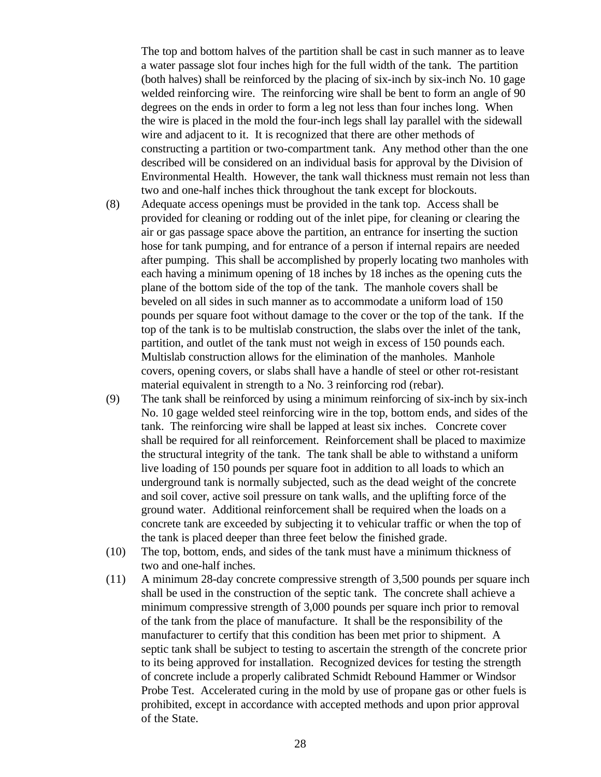The top and bottom halves of the partition shall be cast in such manner as to leave a water passage slot four inches high for the full width of the tank. The partition (both halves) shall be reinforced by the placing of six-inch by six-inch No. 10 gage welded reinforcing wire. The reinforcing wire shall be bent to form an angle of 90 degrees on the ends in order to form a leg not less than four inches long. When the wire is placed in the mold the four-inch legs shall lay parallel with the sidewall wire and adjacent to it. It is recognized that there are other methods of constructing a partition or two-compartment tank. Any method other than the one described will be considered on an individual basis for approval by the Division of Environmental Health. However, the tank wall thickness must remain not less than two and one-half inches thick throughout the tank except for blockouts.

- (8) Adequate access openings must be provided in the tank top. Access shall be provided for cleaning or rodding out of the inlet pipe, for cleaning or clearing the air or gas passage space above the partition, an entrance for inserting the suction hose for tank pumping, and for entrance of a person if internal repairs are needed after pumping. This shall be accomplished by properly locating two manholes with each having a minimum opening of 18 inches by 18 inches as the opening cuts the plane of the bottom side of the top of the tank. The manhole covers shall be beveled on all sides in such manner as to accommodate a uniform load of 150 pounds per square foot without damage to the cover or the top of the tank. If the top of the tank is to be multislab construction, the slabs over the inlet of the tank, partition, and outlet of the tank must not weigh in excess of 150 pounds each. Multislab construction allows for the elimination of the manholes. Manhole covers, opening covers, or slabs shall have a handle of steel or other rot-resistant material equivalent in strength to a No. 3 reinforcing rod (rebar).
- (9) The tank shall be reinforced by using a minimum reinforcing of six-inch by six-inch No. 10 gage welded steel reinforcing wire in the top, bottom ends, and sides of the tank. The reinforcing wire shall be lapped at least six inches. Concrete cover shall be required for all reinforcement. Reinforcement shall be placed to maximize the structural integrity of the tank. The tank shall be able to withstand a uniform live loading of 150 pounds per square foot in addition to all loads to which an underground tank is normally subjected, such as the dead weight of the concrete and soil cover, active soil pressure on tank walls, and the uplifting force of the ground water. Additional reinforcement shall be required when the loads on a concrete tank are exceeded by subjecting it to vehicular traffic or when the top of the tank is placed deeper than three feet below the finished grade.
- (10) The top, bottom, ends, and sides of the tank must have a minimum thickness of two and one-half inches.
- (11) A minimum 28-day concrete compressive strength of 3,500 pounds per square inch shall be used in the construction of the septic tank. The concrete shall achieve a minimum compressive strength of 3,000 pounds per square inch prior to removal of the tank from the place of manufacture. It shall be the responsibility of the manufacturer to certify that this condition has been met prior to shipment. A septic tank shall be subject to testing to ascertain the strength of the concrete prior to its being approved for installation. Recognized devices for testing the strength of concrete include a properly calibrated Schmidt Rebound Hammer or Windsor Probe Test. Accelerated curing in the mold by use of propane gas or other fuels is prohibited, except in accordance with accepted methods and upon prior approval of the State.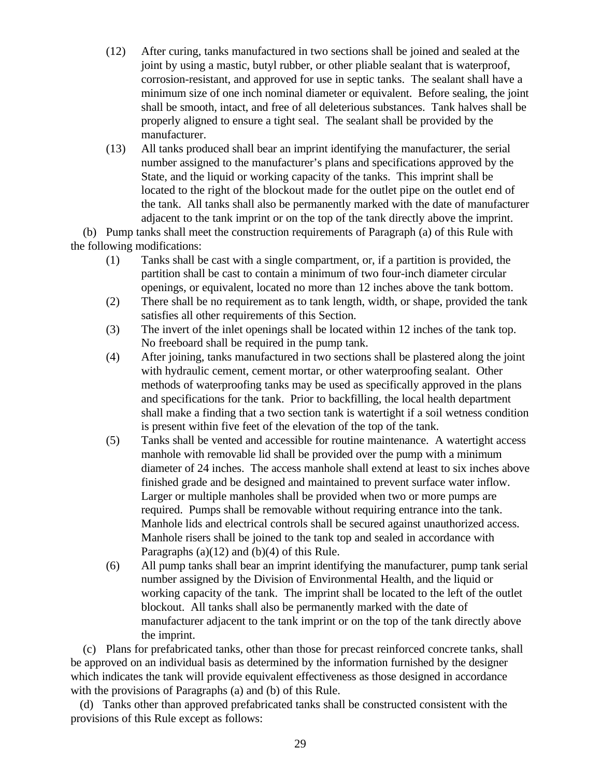- (12) After curing, tanks manufactured in two sections shall be joined and sealed at the joint by using a mastic, butyl rubber, or other pliable sealant that is waterproof, corrosion-resistant, and approved for use in septic tanks. The sealant shall have a minimum size of one inch nominal diameter or equivalent. Before sealing, the joint shall be smooth, intact, and free of all deleterious substances. Tank halves shall be properly aligned to ensure a tight seal. The sealant shall be provided by the manufacturer.
- (13) All tanks produced shall bear an imprint identifying the manufacturer, the serial number assigned to the manufacturer's plans and specifications approved by the State, and the liquid or working capacity of the tanks. This imprint shall be located to the right of the blockout made for the outlet pipe on the outlet end of the tank. All tanks shall also be permanently marked with the date of manufacturer adjacent to the tank imprint or on the top of the tank directly above the imprint.

 (b) Pump tanks shall meet the construction requirements of Paragraph (a) of this Rule with the following modifications:

- (1) Tanks shall be cast with a single compartment, or, if a partition is provided, the partition shall be cast to contain a minimum of two four-inch diameter circular openings, or equivalent, located no more than 12 inches above the tank bottom.
- (2) There shall be no requirement as to tank length, width, or shape, provided the tank satisfies all other requirements of this Section.
- (3) The invert of the inlet openings shall be located within 12 inches of the tank top. No freeboard shall be required in the pump tank.
- (4) After joining, tanks manufactured in two sections shall be plastered along the joint with hydraulic cement, cement mortar, or other waterproofing sealant. Other methods of waterproofing tanks may be used as specifically approved in the plans and specifications for the tank. Prior to backfilling, the local health department shall make a finding that a two section tank is watertight if a soil wetness condition is present within five feet of the elevation of the top of the tank.
- (5) Tanks shall be vented and accessible for routine maintenance. A watertight access manhole with removable lid shall be provided over the pump with a minimum diameter of 24 inches. The access manhole shall extend at least to six inches above finished grade and be designed and maintained to prevent surface water inflow. Larger or multiple manholes shall be provided when two or more pumps are required. Pumps shall be removable without requiring entrance into the tank. Manhole lids and electrical controls shall be secured against unauthorized access. Manhole risers shall be joined to the tank top and sealed in accordance with Paragraphs (a)(12) and (b)(4) of this Rule.
- (6) All pump tanks shall bear an imprint identifying the manufacturer, pump tank serial number assigned by the Division of Environmental Health, and the liquid or working capacity of the tank. The imprint shall be located to the left of the outlet blockout. All tanks shall also be permanently marked with the date of manufacturer adjacent to the tank imprint or on the top of the tank directly above the imprint.

 (c) Plans for prefabricated tanks, other than those for precast reinforced concrete tanks, shall be approved on an individual basis as determined by the information furnished by the designer which indicates the tank will provide equivalent effectiveness as those designed in accordance with the provisions of Paragraphs (a) and (b) of this Rule.

 (d) Tanks other than approved prefabricated tanks shall be constructed consistent with the provisions of this Rule except as follows: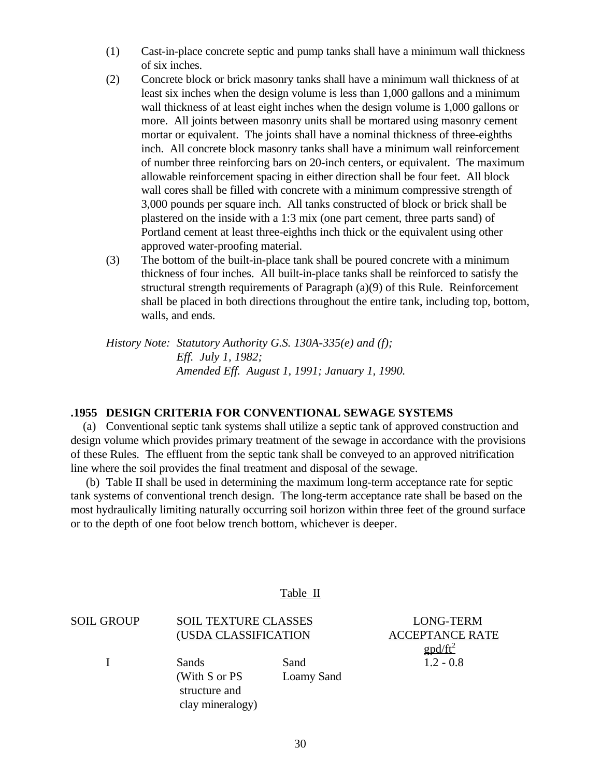- (1) Cast-in-place concrete septic and pump tanks shall have a minimum wall thickness of six inches.
- (2) Concrete block or brick masonry tanks shall have a minimum wall thickness of at least six inches when the design volume is less than 1,000 gallons and a minimum wall thickness of at least eight inches when the design volume is 1,000 gallons or more. All joints between masonry units shall be mortared using masonry cement mortar or equivalent. The joints shall have a nominal thickness of three-eighths inch. All concrete block masonry tanks shall have a minimum wall reinforcement of number three reinforcing bars on 20-inch centers, or equivalent. The maximum allowable reinforcement spacing in either direction shall be four feet. All block wall cores shall be filled with concrete with a minimum compressive strength of 3,000 pounds per square inch. All tanks constructed of block or brick shall be plastered on the inside with a 1:3 mix (one part cement, three parts sand) of Portland cement at least three-eighths inch thick or the equivalent using other approved water-proofing material.
- (3) The bottom of the built-in-place tank shall be poured concrete with a minimum thickness of four inches. All built-in-place tanks shall be reinforced to satisfy the structural strength requirements of Paragraph (a)(9) of this Rule. Reinforcement shall be placed in both directions throughout the entire tank, including top, bottom, walls, and ends.

*History Note: Statutory Authority G.S. 130A-335(e) and (f); Eff. July 1, 1982; Amended Eff. August 1, 1991; January 1, 1990.*

#### **.1955 DESIGN CRITERIA FOR CONVENTIONAL SEWAGE SYSTEMS**

 (a) Conventional septic tank systems shall utilize a septic tank of approved construction and design volume which provides primary treatment of the sewage in accordance with the provisions of these Rules. The effluent from the septic tank shall be conveyed to an approved nitrification line where the soil provides the final treatment and disposal of the sewage.

 (b) Table II shall be used in determining the maximum long-term acceptance rate for septic tank systems of conventional trench design. The long-term acceptance rate shall be based on the most hydraulically limiting naturally occurring soil horizon within three feet of the ground surface or to the depth of one foot below trench bottom, whichever is deeper.

|            |                                                             | Table II                  |                                                                                                |
|------------|-------------------------------------------------------------|---------------------------|------------------------------------------------------------------------------------------------|
| SOIL GROUP | <b>SOIL TEXTURE CLASSES</b><br>(USDA CLASSIFICATION         |                           | <b>LONG-TERM</b><br><b>ACCEPTANCE RATE</b><br>$\text{g} \text{p} \text{d}/\text{f} \text{t}^2$ |
|            | Sands<br>(With S or PS<br>structure and<br>clay mineralogy) | Sand<br><b>Loamy Sand</b> | $1.2 - 0.8$                                                                                    |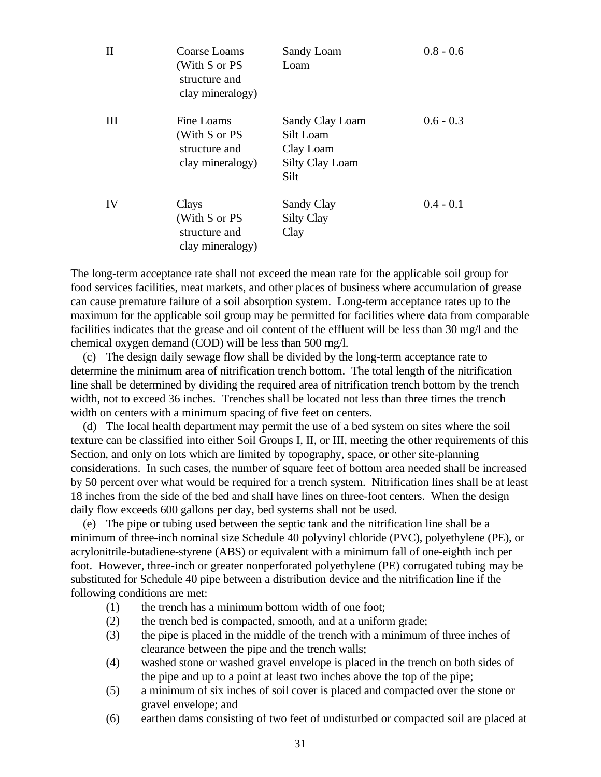| $\rm II$ | Coarse Loams<br>(With S or PS<br>structure and<br>clay mineralogy) | Sandy Loam<br>Loam                                                          | $0.8 - 0.6$ |
|----------|--------------------------------------------------------------------|-----------------------------------------------------------------------------|-------------|
| III      | Fine Loams<br>(With S or PS<br>structure and<br>clay mineralogy)   | Sandy Clay Loam<br>Silt Loam<br>Clay Loam<br><b>Silty Clay Loam</b><br>Silt | $0.6 - 0.3$ |
| IV       | Clays<br>(With S or PS<br>structure and<br>clay mineralogy)        | Sandy Clay<br><b>Silty Clay</b><br>Clay                                     | $0.4 - 0.1$ |

The long-term acceptance rate shall not exceed the mean rate for the applicable soil group for food services facilities, meat markets, and other places of business where accumulation of grease can cause premature failure of a soil absorption system. Long-term acceptance rates up to the maximum for the applicable soil group may be permitted for facilities where data from comparable facilities indicates that the grease and oil content of the effluent will be less than 30 mg/l and the chemical oxygen demand (COD) will be less than 500 mg/l.

 (c) The design daily sewage flow shall be divided by the long-term acceptance rate to determine the minimum area of nitrification trench bottom. The total length of the nitrification line shall be determined by dividing the required area of nitrification trench bottom by the trench width, not to exceed 36 inches. Trenches shall be located not less than three times the trench width on centers with a minimum spacing of five feet on centers.

 (d) The local health department may permit the use of a bed system on sites where the soil texture can be classified into either Soil Groups I, II, or III, meeting the other requirements of this Section, and only on lots which are limited by topography, space, or other site-planning considerations. In such cases, the number of square feet of bottom area needed shall be increased by 50 percent over what would be required for a trench system. Nitrification lines shall be at least 18 inches from the side of the bed and shall have lines on three-foot centers. When the design daily flow exceeds 600 gallons per day, bed systems shall not be used.

 (e) The pipe or tubing used between the septic tank and the nitrification line shall be a minimum of three-inch nominal size Schedule 40 polyvinyl chloride (PVC), polyethylene (PE), or acrylonitrile-butadiene-styrene (ABS) or equivalent with a minimum fall of one-eighth inch per foot. However, three-inch or greater nonperforated polyethylene (PE) corrugated tubing may be substituted for Schedule 40 pipe between a distribution device and the nitrification line if the following conditions are met:

- (1) the trench has a minimum bottom width of one foot;
- (2) the trench bed is compacted, smooth, and at a uniform grade;
- (3) the pipe is placed in the middle of the trench with a minimum of three inches of clearance between the pipe and the trench walls;
- (4) washed stone or washed gravel envelope is placed in the trench on both sides of the pipe and up to a point at least two inches above the top of the pipe;
- (5) a minimum of six inches of soil cover is placed and compacted over the stone or gravel envelope; and
- (6) earthen dams consisting of two feet of undisturbed or compacted soil are placed at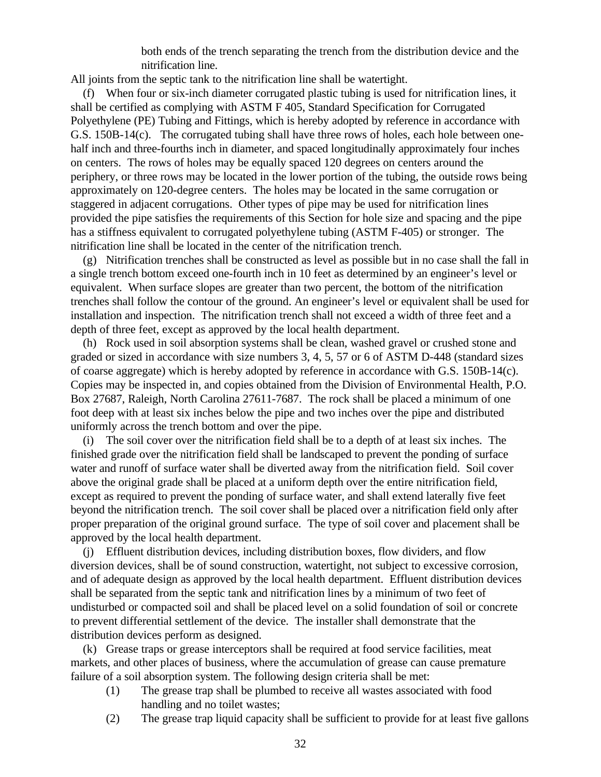both ends of the trench separating the trench from the distribution device and the nitrification line.

All joints from the septic tank to the nitrification line shall be watertight.

 (f) When four or six-inch diameter corrugated plastic tubing is used for nitrification lines, it shall be certified as complying with ASTM F 405, Standard Specification for Corrugated Polyethylene (PE) Tubing and Fittings, which is hereby adopted by reference in accordance with G.S. 150B-14(c). The corrugated tubing shall have three rows of holes, each hole between onehalf inch and three-fourths inch in diameter, and spaced longitudinally approximately four inches on centers. The rows of holes may be equally spaced 120 degrees on centers around the periphery, or three rows may be located in the lower portion of the tubing, the outside rows being approximately on 120-degree centers. The holes may be located in the same corrugation or staggered in adjacent corrugations. Other types of pipe may be used for nitrification lines provided the pipe satisfies the requirements of this Section for hole size and spacing and the pipe has a stiffness equivalent to corrugated polyethylene tubing (ASTM F-405) or stronger. The nitrification line shall be located in the center of the nitrification trench.

 (g) Nitrification trenches shall be constructed as level as possible but in no case shall the fall in a single trench bottom exceed one-fourth inch in 10 feet as determined by an engineer's level or equivalent. When surface slopes are greater than two percent, the bottom of the nitrification trenches shall follow the contour of the ground. An engineer's level or equivalent shall be used for installation and inspection. The nitrification trench shall not exceed a width of three feet and a depth of three feet, except as approved by the local health department.

 (h) Rock used in soil absorption systems shall be clean, washed gravel or crushed stone and graded or sized in accordance with size numbers 3, 4, 5, 57 or 6 of ASTM D-448 (standard sizes of coarse aggregate) which is hereby adopted by reference in accordance with G.S. 150B-14(c). Copies may be inspected in, and copies obtained from the Division of Environmental Health, P.O. Box 27687, Raleigh, North Carolina 27611-7687. The rock shall be placed a minimum of one foot deep with at least six inches below the pipe and two inches over the pipe and distributed uniformly across the trench bottom and over the pipe.

 (i) The soil cover over the nitrification field shall be to a depth of at least six inches. The finished grade over the nitrification field shall be landscaped to prevent the ponding of surface water and runoff of surface water shall be diverted away from the nitrification field. Soil cover above the original grade shall be placed at a uniform depth over the entire nitrification field, except as required to prevent the ponding of surface water, and shall extend laterally five feet beyond the nitrification trench. The soil cover shall be placed over a nitrification field only after proper preparation of the original ground surface. The type of soil cover and placement shall be approved by the local health department.

 (j) Effluent distribution devices, including distribution boxes, flow dividers, and flow diversion devices, shall be of sound construction, watertight, not subject to excessive corrosion, and of adequate design as approved by the local health department. Effluent distribution devices shall be separated from the septic tank and nitrification lines by a minimum of two feet of undisturbed or compacted soil and shall be placed level on a solid foundation of soil or concrete to prevent differential settlement of the device. The installer shall demonstrate that the distribution devices perform as designed.

 (k) Grease traps or grease interceptors shall be required at food service facilities, meat markets, and other places of business, where the accumulation of grease can cause premature failure of a soil absorption system. The following design criteria shall be met:

- (1) The grease trap shall be plumbed to receive all wastes associated with food handling and no toilet wastes;
- (2) The grease trap liquid capacity shall be sufficient to provide for at least five gallons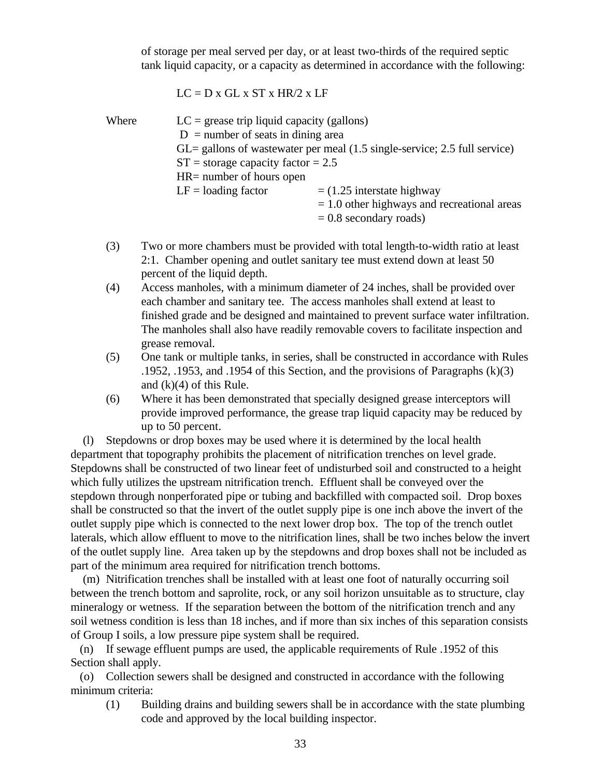of storage per meal served per day, or at least two-thirds of the required septic tank liquid capacity, or a capacity as determined in accordance with the following:

$$
LC = D x GL x ST x HR/2 x LF
$$

| Where | $LC$ = grease trip liquid capacity (gallons)                                                   |                                               |  |  |
|-------|------------------------------------------------------------------------------------------------|-----------------------------------------------|--|--|
|       | $D =$ number of seats in dining area                                                           |                                               |  |  |
|       | $GL =$ gallons of wastewater per meal $(1.5 \text{ single-service}; 2.5 \text{ full service})$ |                                               |  |  |
|       | $ST =$ storage capacity factor = 2.5                                                           |                                               |  |  |
|       | $HR =$ number of hours open                                                                    |                                               |  |  |
|       | $LF =$ loading factor                                                                          | $=$ (1.25 interstate highway                  |  |  |
|       |                                                                                                | $= 1.0$ other highways and recreational areas |  |  |
|       |                                                                                                | $= 0.8$ secondary roads)                      |  |  |

- (3) Two or more chambers must be provided with total length-to-width ratio at least 2:1. Chamber opening and outlet sanitary tee must extend down at least 50 percent of the liquid depth.
- (4) Access manholes, with a minimum diameter of 24 inches, shall be provided over each chamber and sanitary tee. The access manholes shall extend at least to finished grade and be designed and maintained to prevent surface water infiltration. The manholes shall also have readily removable covers to facilitate inspection and grease removal.
- (5) One tank or multiple tanks, in series, shall be constructed in accordance with Rules .1952, .1953, and .1954 of this Section, and the provisions of Paragraphs (k)(3) and  $(k)(4)$  of this Rule.
- (6) Where it has been demonstrated that specially designed grease interceptors will provide improved performance, the grease trap liquid capacity may be reduced by up to 50 percent.

 (l) Stepdowns or drop boxes may be used where it is determined by the local health department that topography prohibits the placement of nitrification trenches on level grade. Stepdowns shall be constructed of two linear feet of undisturbed soil and constructed to a height which fully utilizes the upstream nitrification trench. Effluent shall be conveyed over the stepdown through nonperforated pipe or tubing and backfilled with compacted soil. Drop boxes shall be constructed so that the invert of the outlet supply pipe is one inch above the invert of the outlet supply pipe which is connected to the next lower drop box. The top of the trench outlet laterals, which allow effluent to move to the nitrification lines, shall be two inches below the invert of the outlet supply line. Area taken up by the stepdowns and drop boxes shall not be included as part of the minimum area required for nitrification trench bottoms.

 (m) Nitrification trenches shall be installed with at least one foot of naturally occurring soil between the trench bottom and saprolite, rock, or any soil horizon unsuitable as to structure, clay mineralogy or wetness. If the separation between the bottom of the nitrification trench and any soil wetness condition is less than 18 inches, and if more than six inches of this separation consists of Group I soils, a low pressure pipe system shall be required.

 (n) If sewage effluent pumps are used, the applicable requirements of Rule .1952 of this Section shall apply.

 (o) Collection sewers shall be designed and constructed in accordance with the following minimum criteria:

(1) Building drains and building sewers shall be in accordance with the state plumbing code and approved by the local building inspector.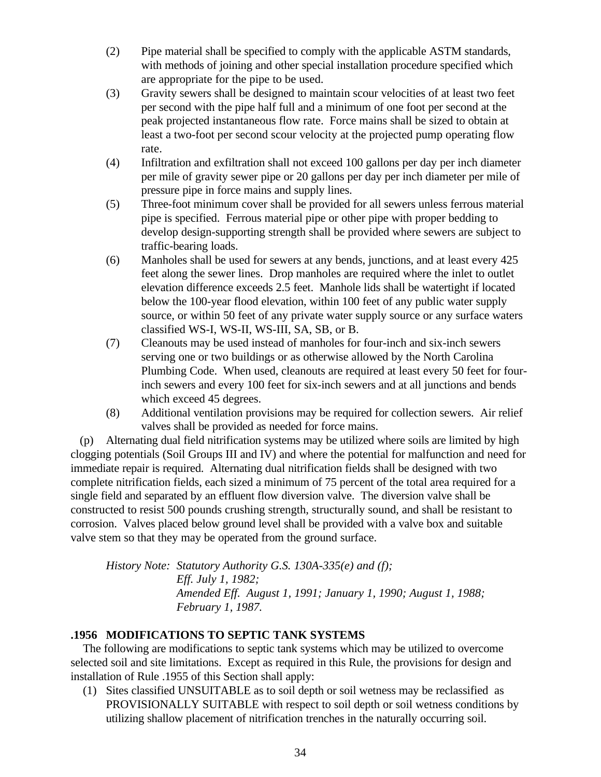- (2) Pipe material shall be specified to comply with the applicable ASTM standards, with methods of joining and other special installation procedure specified which are appropriate for the pipe to be used.
- (3) Gravity sewers shall be designed to maintain scour velocities of at least two feet per second with the pipe half full and a minimum of one foot per second at the peak projected instantaneous flow rate. Force mains shall be sized to obtain at least a two-foot per second scour velocity at the projected pump operating flow rate.
- (4) Infiltration and exfiltration shall not exceed 100 gallons per day per inch diameter per mile of gravity sewer pipe or 20 gallons per day per inch diameter per mile of pressure pipe in force mains and supply lines.
- (5) Three-foot minimum cover shall be provided for all sewers unless ferrous material pipe is specified. Ferrous material pipe or other pipe with proper bedding to develop design-supporting strength shall be provided where sewers are subject to traffic-bearing loads.
- (6) Manholes shall be used for sewers at any bends, junctions, and at least every 425 feet along the sewer lines. Drop manholes are required where the inlet to outlet elevation difference exceeds 2.5 feet. Manhole lids shall be watertight if located below the 100-year flood elevation, within 100 feet of any public water supply source, or within 50 feet of any private water supply source or any surface waters classified WS-I, WS-II, WS-III, SA, SB, or B.
- (7) Cleanouts may be used instead of manholes for four-inch and six-inch sewers serving one or two buildings or as otherwise allowed by the North Carolina Plumbing Code. When used, cleanouts are required at least every 50 feet for fourinch sewers and every 100 feet for six-inch sewers and at all junctions and bends which exceed 45 degrees.
- (8) Additional ventilation provisions may be required for collection sewers. Air relief valves shall be provided as needed for force mains.

 (p) Alternating dual field nitrification systems may be utilized where soils are limited by high clogging potentials (Soil Groups III and IV) and where the potential for malfunction and need for immediate repair is required. Alternating dual nitrification fields shall be designed with two complete nitrification fields, each sized a minimum of 75 percent of the total area required for a single field and separated by an effluent flow diversion valve. The diversion valve shall be constructed to resist 500 pounds crushing strength, structurally sound, and shall be resistant to corrosion. Valves placed below ground level shall be provided with a valve box and suitable valve stem so that they may be operated from the ground surface.

*History Note: Statutory Authority G.S. 130A-335(e) and (f); Eff. July 1, 1982; Amended Eff. August 1, 1991; January 1, 1990; August 1, 1988; February 1, 1987.*

# **.1956 MODIFICATIONS TO SEPTIC TANK SYSTEMS**

 The following are modifications to septic tank systems which may be utilized to overcome selected soil and site limitations. Except as required in this Rule, the provisions for design and installation of Rule .1955 of this Section shall apply:

 (1) Sites classified UNSUITABLE as to soil depth or soil wetness may be reclassified as PROVISIONALLY SUITABLE with respect to soil depth or soil wetness conditions by utilizing shallow placement of nitrification trenches in the naturally occurring soil.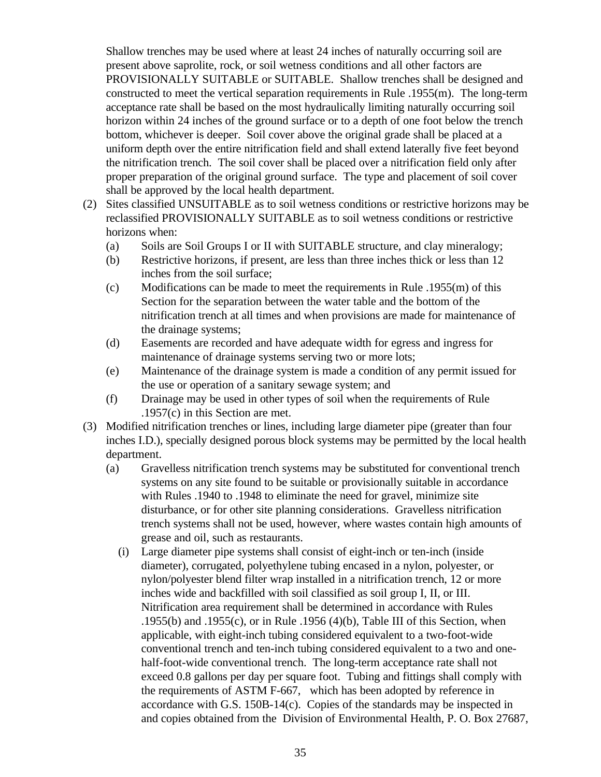Shallow trenches may be used where at least 24 inches of naturally occurring soil are present above saprolite, rock, or soil wetness conditions and all other factors are PROVISIONALLY SUITABLE or SUITABLE. Shallow trenches shall be designed and constructed to meet the vertical separation requirements in Rule .1955(m). The long-term acceptance rate shall be based on the most hydraulically limiting naturally occurring soil horizon within 24 inches of the ground surface or to a depth of one foot below the trench bottom, whichever is deeper. Soil cover above the original grade shall be placed at a uniform depth over the entire nitrification field and shall extend laterally five feet beyond the nitrification trench. The soil cover shall be placed over a nitrification field only after proper preparation of the original ground surface. The type and placement of soil cover shall be approved by the local health department.

- (2) Sites classified UNSUITABLE as to soil wetness conditions or restrictive horizons may be reclassified PROVISIONALLY SUITABLE as to soil wetness conditions or restrictive horizons when:
	- (a) Soils are Soil Groups I or II with SUITABLE structure, and clay mineralogy;
	- (b) Restrictive horizons, if present, are less than three inches thick or less than 12 inches from the soil surface;
	- (c) Modifications can be made to meet the requirements in Rule  $.1955(m)$  of this Section for the separation between the water table and the bottom of the nitrification trench at all times and when provisions are made for maintenance of the drainage systems;
	- (d) Easements are recorded and have adequate width for egress and ingress for maintenance of drainage systems serving two or more lots;
	- (e) Maintenance of the drainage system is made a condition of any permit issued for the use or operation of a sanitary sewage system; and
	- (f) Drainage may be used in other types of soil when the requirements of Rule .1957(c) in this Section are met.
- (3) Modified nitrification trenches or lines, including large diameter pipe (greater than four inches I.D.), specially designed porous block systems may be permitted by the local health department.
	- (a) Gravelless nitrification trench systems may be substituted for conventional trench systems on any site found to be suitable or provisionally suitable in accordance with Rules .1940 to .1948 to eliminate the need for gravel, minimize site disturbance, or for other site planning considerations. Gravelless nitrification trench systems shall not be used, however, where wastes contain high amounts of grease and oil, such as restaurants.
		- (i) Large diameter pipe systems shall consist of eight-inch or ten-inch (inside diameter), corrugated, polyethylene tubing encased in a nylon, polyester, or nylon/polyester blend filter wrap installed in a nitrification trench, 12 or more inches wide and backfilled with soil classified as soil group I, II, or III. Nitrification area requirement shall be determined in accordance with Rules .1955(b) and .1955(c), or in Rule .1956 (4)(b), Table III of this Section, when applicable, with eight-inch tubing considered equivalent to a two-foot-wide conventional trench and ten-inch tubing considered equivalent to a two and onehalf-foot-wide conventional trench. The long-term acceptance rate shall not exceed 0.8 gallons per day per square foot. Tubing and fittings shall comply with the requirements of ASTM F-667, which has been adopted by reference in accordance with G.S. 150B-14(c). Copies of the standards may be inspected in and copies obtained from the Division of Environmental Health, P. O. Box 27687,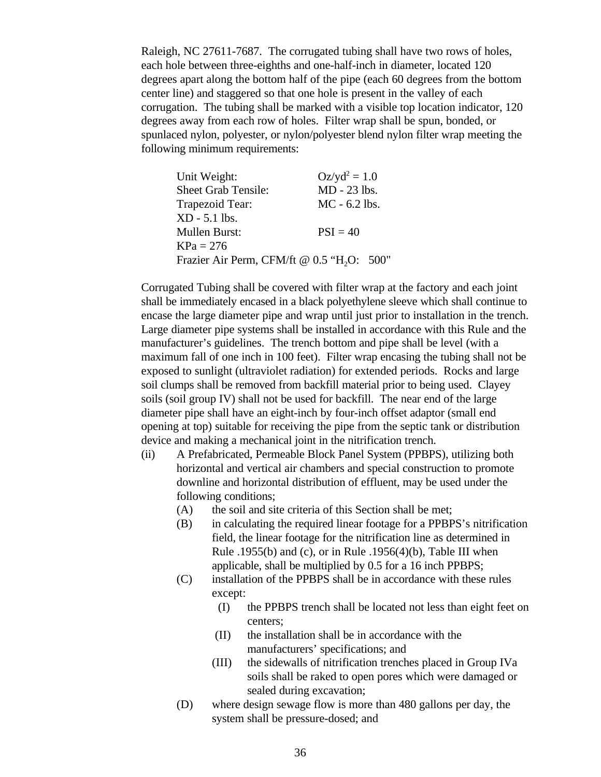Raleigh, NC 27611-7687. The corrugated tubing shall have two rows of holes, each hole between three-eighths and one-half-inch in diameter, located 120 degrees apart along the bottom half of the pipe (each 60 degrees from the bottom center line) and staggered so that one hole is present in the valley of each corrugation. The tubing shall be marked with a visible top location indicator, 120 degrees away from each row of holes. Filter wrap shall be spun, bonded, or spunlaced nylon, polyester, or nylon/polyester blend nylon filter wrap meeting the following minimum requirements:

| $Oz/yd^2 = 1.0$                                        |
|--------------------------------------------------------|
| MD - 23 lbs.                                           |
| $MC - 6.2$ lbs.                                        |
|                                                        |
| $PSI = 40$                                             |
|                                                        |
| Frazier Air Perm, CFM/ft @ 0.5 "H <sub>2</sub> O: 500" |
|                                                        |

Corrugated Tubing shall be covered with filter wrap at the factory and each joint shall be immediately encased in a black polyethylene sleeve which shall continue to encase the large diameter pipe and wrap until just prior to installation in the trench. Large diameter pipe systems shall be installed in accordance with this Rule and the manufacturer's guidelines. The trench bottom and pipe shall be level (with a maximum fall of one inch in 100 feet). Filter wrap encasing the tubing shall not be exposed to sunlight (ultraviolet radiation) for extended periods. Rocks and large soil clumps shall be removed from backfill material prior to being used. Clayey soils (soil group IV) shall not be used for backfill. The near end of the large diameter pipe shall have an eight-inch by four-inch offset adaptor (small end opening at top) suitable for receiving the pipe from the septic tank or distribution device and making a mechanical joint in the nitrification trench.

- (ii) A Prefabricated, Permeable Block Panel System (PPBPS), utilizing both horizontal and vertical air chambers and special construction to promote downline and horizontal distribution of effluent, may be used under the following conditions;
	- (A) the soil and site criteria of this Section shall be met;
	- (B) in calculating the required linear footage for a PPBPS's nitrification field, the linear footage for the nitrification line as determined in Rule .1955(b) and (c), or in Rule .1956(4)(b), Table III when applicable, shall be multiplied by 0.5 for a 16 inch PPBPS;
	- (C) installation of the PPBPS shall be in accordance with these rules except:
		- (I) the PPBPS trench shall be located not less than eight feet on centers;
		- (II) the installation shall be in accordance with the manufacturers' specifications; and
		- (III) the sidewalls of nitrification trenches placed in Group IVa soils shall be raked to open pores which were damaged or sealed during excavation;
	- (D) where design sewage flow is more than 480 gallons per day, the system shall be pressure-dosed; and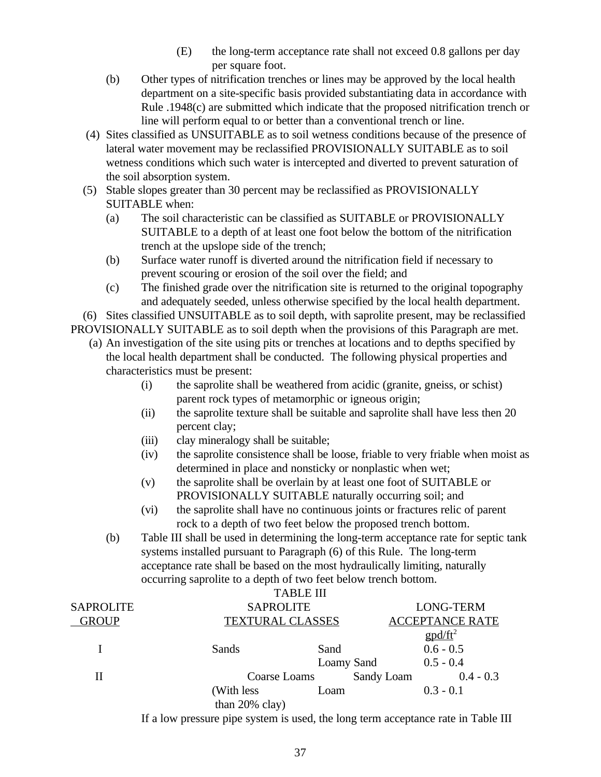- (E) the long-term acceptance rate shall not exceed 0.8 gallons per day per square foot.
- (b) Other types of nitrification trenches or lines may be approved by the local health department on a site-specific basis provided substantiating data in accordance with Rule .1948(c) are submitted which indicate that the proposed nitrification trench or line will perform equal to or better than a conventional trench or line.
- (4) Sites classified as UNSUITABLE as to soil wetness conditions because of the presence of lateral water movement may be reclassified PROVISIONALLY SUITABLE as to soil wetness conditions which such water is intercepted and diverted to prevent saturation of the soil absorption system.
- (5) Stable slopes greater than 30 percent may be reclassified as PROVISIONALLY SUITABLE when:
	- (a) The soil characteristic can be classified as SUITABLE or PROVISIONALLY SUITABLE to a depth of at least one foot below the bottom of the nitrification trench at the upslope side of the trench;
	- (b) Surface water runoff is diverted around the nitrification field if necessary to prevent scouring or erosion of the soil over the field; and
	- (c) The finished grade over the nitrification site is returned to the original topography and adequately seeded, unless otherwise specified by the local health department.

 (6) Sites classified UNSUITABLE as to soil depth, with saprolite present, may be reclassified PROVISIONALLY SUITABLE as to soil depth when the provisions of this Paragraph are met.

- (a) An investigation of the site using pits or trenches at locations and to depths specified by the local health department shall be conducted. The following physical properties and characteristics must be present:
	- (i) the saprolite shall be weathered from acidic (granite, gneiss, or schist) parent rock types of metamorphic or igneous origin;
	- (ii) the saprolite texture shall be suitable and saprolite shall have less then 20 percent clay;
	- (iii) clay mineralogy shall be suitable;
	- (iv) the saprolite consistence shall be loose, friable to very friable when moist as determined in place and nonsticky or nonplastic when wet;
	- (v) the saprolite shall be overlain by at least one foot of SUITABLE or PROVISIONALLY SUITABLE naturally occurring soil; and
	- (vi) the saprolite shall have no continuous joints or fractures relic of parent rock to a depth of two feet below the proposed trench bottom.
	- (b) Table III shall be used in determining the long-term acceptance rate for septic tank systems installed pursuant to Paragraph (6) of this Rule. The long-term acceptance rate shall be based on the most hydraulically limiting, naturally occurring saprolite to a depth of two feet below trench bottom.

|                  |                         | <b>TABLE III</b> |                                                  |
|------------------|-------------------------|------------------|--------------------------------------------------|
| <b>SAPROLITE</b> | <b>SAPROLITE</b>        |                  | <b>LONG-TERM</b>                                 |
| <b>GROUP</b>     | <b>TEXTURAL CLASSES</b> |                  | <b>ACCEPTANCE RATE</b>                           |
|                  |                         |                  | $\text{g} \text{p} \text{d}/\text{f} \text{t}^2$ |
|                  | Sands                   | Sand             | $0.6 - 0.5$                                      |
|                  |                         | Loamy Sand       | $0.5 - 0.4$                                      |
| П                | Coarse Loams            |                  | Sandy Loam<br>$0.4 - 0.3$                        |
|                  | (With less              | Loam             | $0.3 - 0.1$                                      |
|                  | than $20\%$ clay)       |                  |                                                  |
|                  |                         |                  |                                                  |

If a low pressure pipe system is used, the long term acceptance rate in Table III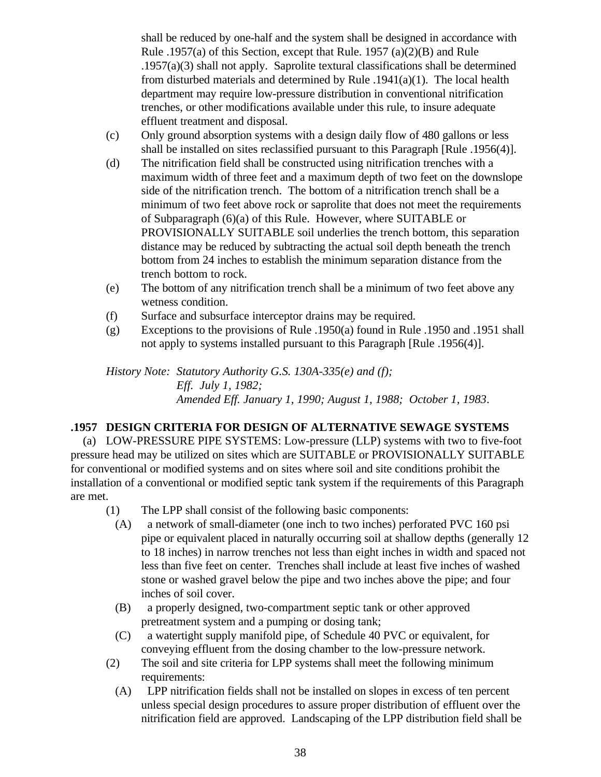shall be reduced by one-half and the system shall be designed in accordance with Rule .1957(a) of this Section, except that Rule. 1957 (a)(2)(B) and Rule .1957(a)(3) shall not apply. Saprolite textural classifications shall be determined from disturbed materials and determined by Rule  $.1941(a)(1)$ . The local health department may require low-pressure distribution in conventional nitrification trenches, or other modifications available under this rule, to insure adequate effluent treatment and disposal.

- (c) Only ground absorption systems with a design daily flow of 480 gallons or less shall be installed on sites reclassified pursuant to this Paragraph [Rule .1956(4)].
- (d) The nitrification field shall be constructed using nitrification trenches with a maximum width of three feet and a maximum depth of two feet on the downslope side of the nitrification trench. The bottom of a nitrification trench shall be a minimum of two feet above rock or saprolite that does not meet the requirements of Subparagraph (6)(a) of this Rule. However, where SUITABLE or PROVISIONALLY SUITABLE soil underlies the trench bottom, this separation distance may be reduced by subtracting the actual soil depth beneath the trench bottom from 24 inches to establish the minimum separation distance from the trench bottom to rock.
- (e) The bottom of any nitrification trench shall be a minimum of two feet above any wetness condition.
- (f) Surface and subsurface interceptor drains may be required.
- (g) Exceptions to the provisions of Rule .1950(a) found in Rule .1950 and .1951 shall not apply to systems installed pursuant to this Paragraph [Rule .1956(4)].

*History Note: Statutory Authority G.S. 130A-335(e) and (f); Eff. July 1, 1982; Amended Eff. January 1, 1990; August 1, 1988; October 1, 1983*.

# **.1957 DESIGN CRITERIA FOR DESIGN OF ALTERNATIVE SEWAGE SYSTEMS**

 (a) LOW-PRESSURE PIPE SYSTEMS: Low-pressure (LLP) systems with two to five-foot pressure head may be utilized on sites which are SUITABLE or PROVISIONALLY SUITABLE for conventional or modified systems and on sites where soil and site conditions prohibit the installation of a conventional or modified septic tank system if the requirements of this Paragraph are met.

- (1) The LPP shall consist of the following basic components:
	- (A) a network of small-diameter (one inch to two inches) perforated PVC 160 psi pipe or equivalent placed in naturally occurring soil at shallow depths (generally 12 to 18 inches) in narrow trenches not less than eight inches in width and spaced not less than five feet on center. Trenches shall include at least five inches of washed stone or washed gravel below the pipe and two inches above the pipe; and four inches of soil cover.
	- (B) a properly designed, two-compartment septic tank or other approved pretreatment system and a pumping or dosing tank;
	- (C) a watertight supply manifold pipe, of Schedule 40 PVC or equivalent, for conveying effluent from the dosing chamber to the low-pressure network.
- (2) The soil and site criteria for LPP systems shall meet the following minimum requirements:
	- (A) LPP nitrification fields shall not be installed on slopes in excess of ten percent unless special design procedures to assure proper distribution of effluent over the nitrification field are approved. Landscaping of the LPP distribution field shall be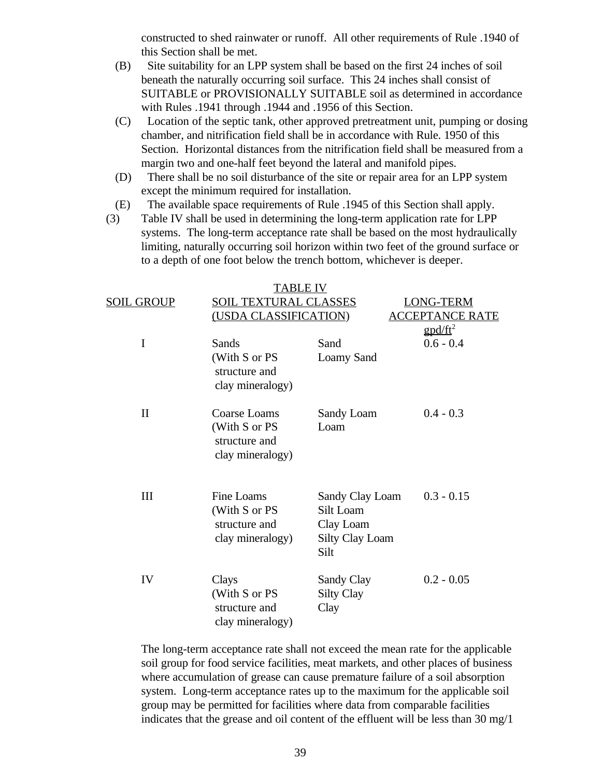constructed to shed rainwater or runoff. All other requirements of Rule .1940 of this Section shall be met.

- (B) Site suitability for an LPP system shall be based on the first 24 inches of soil beneath the naturally occurring soil surface. This 24 inches shall consist of SUITABLE or PROVISIONALLY SUITABLE soil as determined in accordance with Rules .1941 through .1944 and .1956 of this Section.
- (C) Location of the septic tank, other approved pretreatment unit, pumping or dosing chamber, and nitrification field shall be in accordance with Rule. 1950 of this Section. Horizontal distances from the nitrification field shall be measured from a margin two and one-half feet beyond the lateral and manifold pipes.
- (D) There shall be no soil disturbance of the site or repair area for an LPP system except the minimum required for installation.
- (E) The available space requirements of Rule .1945 of this Section shall apply.
- (3) Table IV shall be used in determining the long-term application rate for LPP systems. The long-term acceptance rate shall be based on the most hydraulically limiting, naturally occurring soil horizon within two feet of the ground surface or to a depth of one foot below the trench bottom, whichever is deeper.

|              | TABLE IV                                                                  |                                                                             |                        |  |
|--------------|---------------------------------------------------------------------------|-----------------------------------------------------------------------------|------------------------|--|
| SOIL GROUP   | <b>SOIL TEXTURAL CLASSES</b><br>(USDA CLASSIFICATION)                     |                                                                             | <b>LONG-TERM</b>       |  |
|              |                                                                           |                                                                             | <b>ACCEPTANCE RATE</b> |  |
|              |                                                                           |                                                                             | $\text{gpd/ft}^2$      |  |
| I            | Sands                                                                     | Sand                                                                        | $0.6 - 0.4$            |  |
|              | (With S or PS<br>structure and<br>clay mineralogy)                        | Loamy Sand                                                                  |                        |  |
| $\mathbf{I}$ | <b>Coarse Loams</b><br>(With S or PS<br>structure and<br>clay mineralogy) | Sandy Loam<br>Loam                                                          | $0.4 - 0.3$            |  |
| Ш            | Fine Loams<br>(With S or PS<br>structure and<br>clay mineralogy)          | Sandy Clay Loam<br>Silt Loam<br>Clay Loam<br><b>Silty Clay Loam</b><br>Silt | $0.3 - 0.15$           |  |
| IV           | Clays<br>(With S or PS<br>structure and<br>clay mineralogy)               | Sandy Clay<br><b>Silty Clay</b><br>Clay                                     | $0.2 - 0.05$           |  |

The long-term acceptance rate shall not exceed the mean rate for the applicable soil group for food service facilities, meat markets, and other places of business where accumulation of grease can cause premature failure of a soil absorption system. Long-term acceptance rates up to the maximum for the applicable soil group may be permitted for facilities where data from comparable facilities indicates that the grease and oil content of the effluent will be less than  $30 \text{ mg}/1$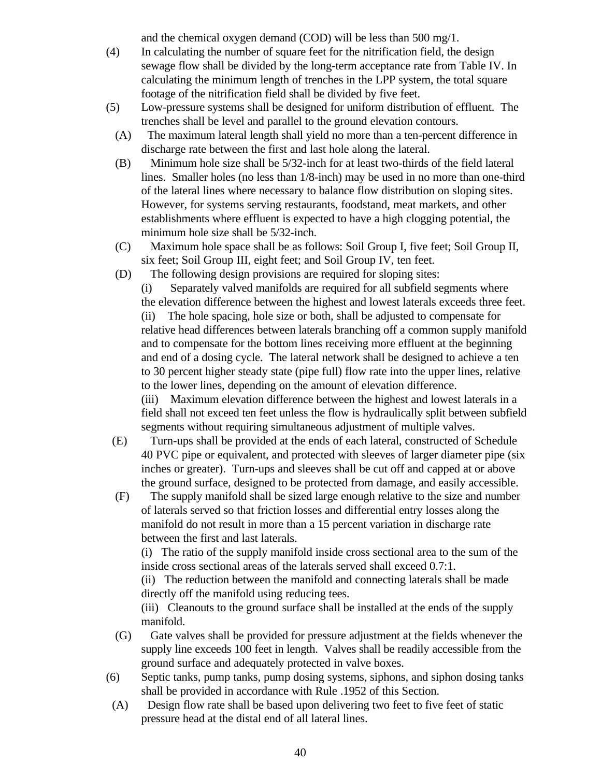and the chemical oxygen demand (COD) will be less than 500 mg/1.

- (4) In calculating the number of square feet for the nitrification field, the design sewage flow shall be divided by the long-term acceptance rate from Table IV. In calculating the minimum length of trenches in the LPP system, the total square footage of the nitrification field shall be divided by five feet.
- (5) Low-pressure systems shall be designed for uniform distribution of effluent. The trenches shall be level and parallel to the ground elevation contours.
	- (A) The maximum lateral length shall yield no more than a ten-percent difference in discharge rate between the first and last hole along the lateral.
	- (B) Minimum hole size shall be 5/32-inch for at least two-thirds of the field lateral lines. Smaller holes (no less than 1/8-inch) may be used in no more than one-third of the lateral lines where necessary to balance flow distribution on sloping sites. However, for systems serving restaurants, foodstand, meat markets, and other establishments where effluent is expected to have a high clogging potential, the minimum hole size shall be 5/32-inch.
	- (C) Maximum hole space shall be as follows: Soil Group I, five feet; Soil Group II, six feet; Soil Group III, eight feet; and Soil Group IV, ten feet.
	- (D) The following design provisions are required for sloping sites:

(i) Separately valved manifolds are required for all subfield segments where the elevation difference between the highest and lowest laterals exceeds three feet. (ii) The hole spacing, hole size or both, shall be adjusted to compensate for relative head differences between laterals branching off a common supply manifold and to compensate for the bottom lines receiving more effluent at the beginning and end of a dosing cycle. The lateral network shall be designed to achieve a ten to 30 percent higher steady state (pipe full) flow rate into the upper lines, relative to the lower lines, depending on the amount of elevation difference. (iii) Maximum elevation difference between the highest and lowest laterals in a

field shall not exceed ten feet unless the flow is hydraulically split between subfield segments without requiring simultaneous adjustment of multiple valves.

- (E) Turn-ups shall be provided at the ends of each lateral, constructed of Schedule 40 PVC pipe or equivalent, and protected with sleeves of larger diameter pipe (six inches or greater). Turn-ups and sleeves shall be cut off and capped at or above the ground surface, designed to be protected from damage, and easily accessible.
- (F) The supply manifold shall be sized large enough relative to the size and number of laterals served so that friction losses and differential entry losses along the manifold do not result in more than a 15 percent variation in discharge rate between the first and last laterals.

(i) The ratio of the supply manifold inside cross sectional area to the sum of the inside cross sectional areas of the laterals served shall exceed 0.7:1.

(ii) The reduction between the manifold and connecting laterals shall be made directly off the manifold using reducing tees.

(iii) Cleanouts to the ground surface shall be installed at the ends of the supply manifold.

- (G) Gate valves shall be provided for pressure adjustment at the fields whenever the supply line exceeds 100 feet in length. Valves shall be readily accessible from the ground surface and adequately protected in valve boxes.
- (6) Septic tanks, pump tanks, pump dosing systems, siphons, and siphon dosing tanks shall be provided in accordance with Rule .1952 of this Section.
- (A) Design flow rate shall be based upon delivering two feet to five feet of static pressure head at the distal end of all lateral lines.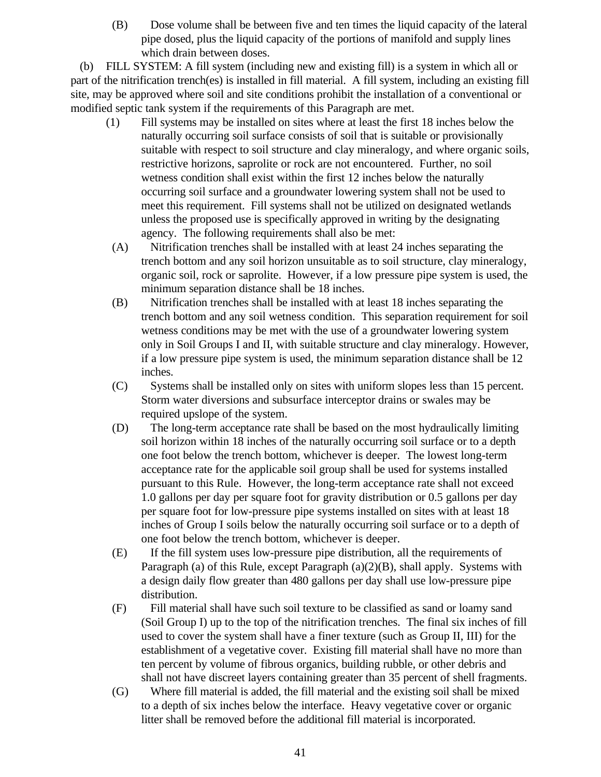(B) Dose volume shall be between five and ten times the liquid capacity of the lateral pipe dosed, plus the liquid capacity of the portions of manifold and supply lines which drain between doses.

 (b) FILL SYSTEM: A fill system (including new and existing fill) is a system in which all or part of the nitrification trench(es) is installed in fill material. A fill system, including an existing fill site, may be approved where soil and site conditions prohibit the installation of a conventional or modified septic tank system if the requirements of this Paragraph are met.

- (1) Fill systems may be installed on sites where at least the first 18 inches below the naturally occurring soil surface consists of soil that is suitable or provisionally suitable with respect to soil structure and clay mineralogy, and where organic soils, restrictive horizons, saprolite or rock are not encountered. Further, no soil wetness condition shall exist within the first 12 inches below the naturally occurring soil surface and a groundwater lowering system shall not be used to meet this requirement. Fill systems shall not be utilized on designated wetlands unless the proposed use is specifically approved in writing by the designating agency. The following requirements shall also be met:
- (A) Nitrification trenches shall be installed with at least 24 inches separating the trench bottom and any soil horizon unsuitable as to soil structure, clay mineralogy, organic soil, rock or saprolite. However, if a low pressure pipe system is used, the minimum separation distance shall be 18 inches.
- (B) Nitrification trenches shall be installed with at least 18 inches separating the trench bottom and any soil wetness condition. This separation requirement for soil wetness conditions may be met with the use of a groundwater lowering system only in Soil Groups I and II, with suitable structure and clay mineralogy. However, if a low pressure pipe system is used, the minimum separation distance shall be 12 inches.
- (C) Systems shall be installed only on sites with uniform slopes less than 15 percent. Storm water diversions and subsurface interceptor drains or swales may be required upslope of the system.
- (D) The long-term acceptance rate shall be based on the most hydraulically limiting soil horizon within 18 inches of the naturally occurring soil surface or to a depth one foot below the trench bottom, whichever is deeper. The lowest long-term acceptance rate for the applicable soil group shall be used for systems installed pursuant to this Rule. However, the long-term acceptance rate shall not exceed 1.0 gallons per day per square foot for gravity distribution or 0.5 gallons per day per square foot for low-pressure pipe systems installed on sites with at least 18 inches of Group I soils below the naturally occurring soil surface or to a depth of one foot below the trench bottom, whichever is deeper.
- (E) If the fill system uses low-pressure pipe distribution, all the requirements of Paragraph (a) of this Rule, except Paragraph (a)(2)(B), shall apply. Systems with a design daily flow greater than 480 gallons per day shall use low-pressure pipe distribution.
- (F) Fill material shall have such soil texture to be classified as sand or loamy sand (Soil Group I) up to the top of the nitrification trenches. The final six inches of fill used to cover the system shall have a finer texture (such as Group II, III) for the establishment of a vegetative cover. Existing fill material shall have no more than ten percent by volume of fibrous organics, building rubble, or other debris and shall not have discreet layers containing greater than 35 percent of shell fragments.
- (G) Where fill material is added, the fill material and the existing soil shall be mixed to a depth of six inches below the interface. Heavy vegetative cover or organic litter shall be removed before the additional fill material is incorporated.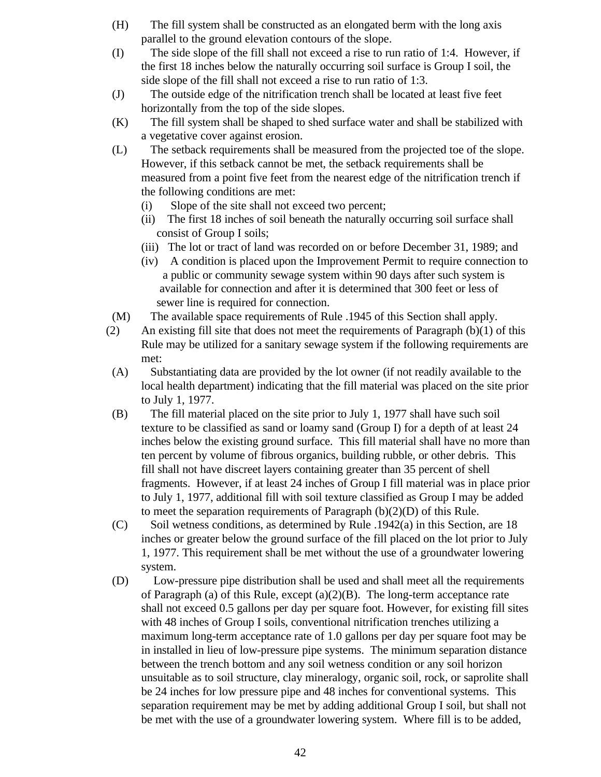- (H) The fill system shall be constructed as an elongated berm with the long axis parallel to the ground elevation contours of the slope.
- (I) The side slope of the fill shall not exceed a rise to run ratio of 1:4. However, if the first 18 inches below the naturally occurring soil surface is Group I soil, the side slope of the fill shall not exceed a rise to run ratio of 1:3.
- (J) The outside edge of the nitrification trench shall be located at least five feet horizontally from the top of the side slopes.
- (K) The fill system shall be shaped to shed surface water and shall be stabilized with a vegetative cover against erosion.
- (L) The setback requirements shall be measured from the projected toe of the slope. However, if this setback cannot be met, the setback requirements shall be measured from a point five feet from the nearest edge of the nitrification trench if the following conditions are met:
	- (i) Slope of the site shall not exceed two percent;
	- (ii) The first 18 inches of soil beneath the naturally occurring soil surface shall consist of Group I soils;
	- (iii) The lot or tract of land was recorded on or before December 31, 1989; and
	- (iv) A condition is placed upon the Improvement Permit to require connection to a public or community sewage system within 90 days after such system is available for connection and after it is determined that 300 feet or less of sewer line is required for connection.
- (M) The available space requirements of Rule .1945 of this Section shall apply.
- (2) An existing fill site that does not meet the requirements of Paragraph  $(b)(1)$  of this Rule may be utilized for a sanitary sewage system if the following requirements are met:
- (A) Substantiating data are provided by the lot owner (if not readily available to the local health department) indicating that the fill material was placed on the site prior to July 1, 1977.
- (B) The fill material placed on the site prior to July 1, 1977 shall have such soil texture to be classified as sand or loamy sand (Group I) for a depth of at least 24 inches below the existing ground surface. This fill material shall have no more than ten percent by volume of fibrous organics, building rubble, or other debris. This fill shall not have discreet layers containing greater than 35 percent of shell fragments. However, if at least 24 inches of Group I fill material was in place prior to July 1, 1977, additional fill with soil texture classified as Group I may be added to meet the separation requirements of Paragraph (b)(2)(D) of this Rule.
- $(C)$  Soil wetness conditions, as determined by Rule .1942(a) in this Section, are 18 inches or greater below the ground surface of the fill placed on the lot prior to July 1, 1977. This requirement shall be met without the use of a groundwater lowering system.
- (D) Low-pressure pipe distribution shall be used and shall meet all the requirements of Paragraph (a) of this Rule, except (a)(2)(B). The long-term acceptance rate shall not exceed 0.5 gallons per day per square foot. However, for existing fill sites with 48 inches of Group I soils, conventional nitrification trenches utilizing a maximum long-term acceptance rate of 1.0 gallons per day per square foot may be in installed in lieu of low-pressure pipe systems. The minimum separation distance between the trench bottom and any soil wetness condition or any soil horizon unsuitable as to soil structure, clay mineralogy, organic soil, rock, or saprolite shall be 24 inches for low pressure pipe and 48 inches for conventional systems. This separation requirement may be met by adding additional Group I soil, but shall not be met with the use of a groundwater lowering system. Where fill is to be added,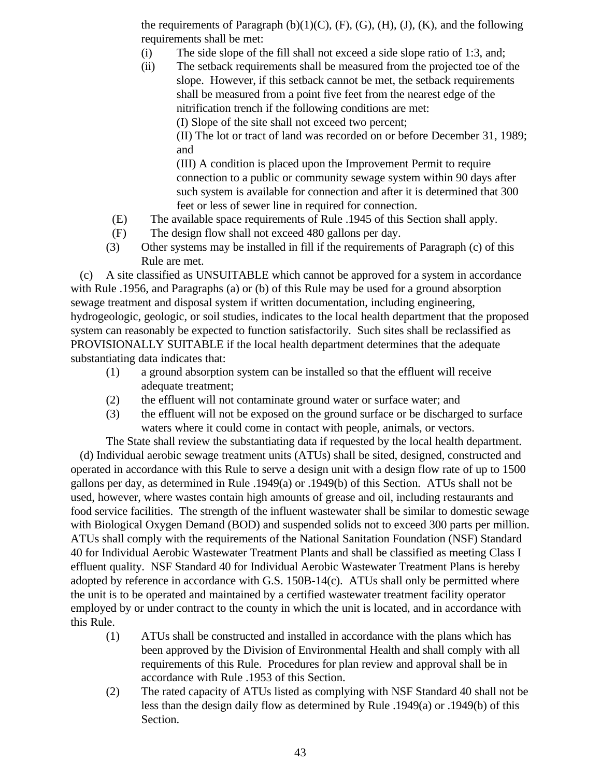the requirements of Paragraph  $(b)(1)(C)$ ,  $(F)$ ,  $(G)$ ,  $(H)$ ,  $(J)$ ,  $(K)$ , and the following requirements shall be met:

- (i) The side slope of the fill shall not exceed a side slope ratio of 1:3, and;
- (ii) The setback requirements shall be measured from the projected toe of the slope. However, if this setback cannot be met, the setback requirements shall be measured from a point five feet from the nearest edge of the nitrification trench if the following conditions are met:

(I) Slope of the site shall not exceed two percent;

(II) The lot or tract of land was recorded on or before December 31, 1989; and

(III) A condition is placed upon the Improvement Permit to require connection to a public or community sewage system within 90 days after such system is available for connection and after it is determined that 300 feet or less of sewer line in required for connection.

- (E) The available space requirements of Rule .1945 of this Section shall apply.
- (F) The design flow shall not exceed 480 gallons per day.
- (3) Other systems may be installed in fill if the requirements of Paragraph (c) of this Rule are met.

 (c) A site classified as UNSUITABLE which cannot be approved for a system in accordance with Rule .1956, and Paragraphs (a) or (b) of this Rule may be used for a ground absorption sewage treatment and disposal system if written documentation, including engineering, hydrogeologic, geologic, or soil studies, indicates to the local health department that the proposed system can reasonably be expected to function satisfactorily. Such sites shall be reclassified as PROVISIONALLY SUITABLE if the local health department determines that the adequate substantiating data indicates that:

- (1) a ground absorption system can be installed so that the effluent will receive adequate treatment;
- (2) the effluent will not contaminate ground water or surface water; and
- (3) the effluent will not be exposed on the ground surface or be discharged to surface waters where it could come in contact with people, animals, or vectors.

The State shall review the substantiating data if requested by the local health department.

 (d) Individual aerobic sewage treatment units (ATUs) shall be sited, designed, constructed and operated in accordance with this Rule to serve a design unit with a design flow rate of up to 1500 gallons per day, as determined in Rule .1949(a) or .1949(b) of this Section. ATUs shall not be used, however, where wastes contain high amounts of grease and oil, including restaurants and food service facilities. The strength of the influent wastewater shall be similar to domestic sewage with Biological Oxygen Demand (BOD) and suspended solids not to exceed 300 parts per million. ATUs shall comply with the requirements of the National Sanitation Foundation (NSF) Standard 40 for Individual Aerobic Wastewater Treatment Plants and shall be classified as meeting Class I effluent quality. NSF Standard 40 for Individual Aerobic Wastewater Treatment Plans is hereby adopted by reference in accordance with G.S. 150B-14(c). ATUs shall only be permitted where the unit is to be operated and maintained by a certified wastewater treatment facility operator employed by or under contract to the county in which the unit is located, and in accordance with this Rule.

- (1) ATUs shall be constructed and installed in accordance with the plans which has been approved by the Division of Environmental Health and shall comply with all requirements of this Rule. Procedures for plan review and approval shall be in accordance with Rule .1953 of this Section.
- (2) The rated capacity of ATUs listed as complying with NSF Standard 40 shall not be less than the design daily flow as determined by Rule .1949(a) or .1949(b) of this Section.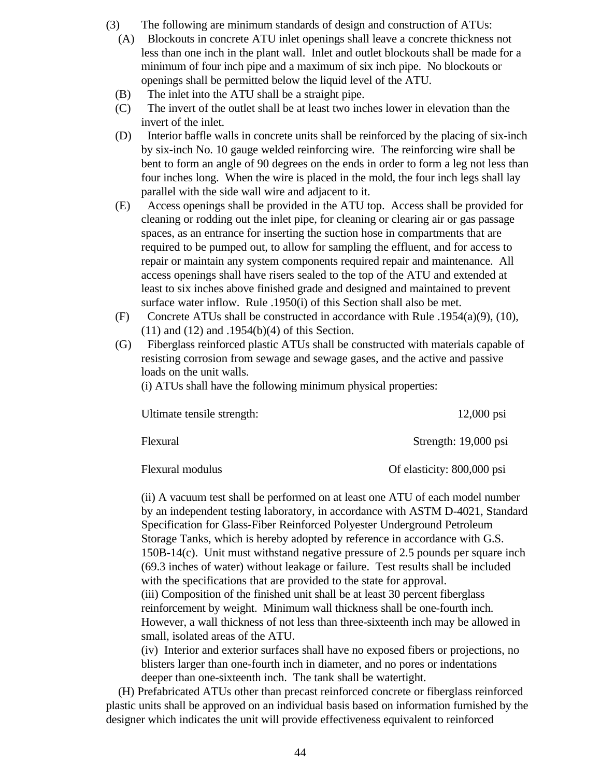- (3) The following are minimum standards of design and construction of ATUs:
	- (A) Blockouts in concrete ATU inlet openings shall leave a concrete thickness not less than one inch in the plant wall. Inlet and outlet blockouts shall be made for a minimum of four inch pipe and a maximum of six inch pipe. No blockouts or openings shall be permitted below the liquid level of the ATU.
	- (B) The inlet into the ATU shall be a straight pipe.
	- (C) The invert of the outlet shall be at least two inches lower in elevation than the invert of the inlet.
	- (D) Interior baffle walls in concrete units shall be reinforced by the placing of six-inch by six-inch No. 10 gauge welded reinforcing wire. The reinforcing wire shall be bent to form an angle of 90 degrees on the ends in order to form a leg not less than four inches long. When the wire is placed in the mold, the four inch legs shall lay parallel with the side wall wire and adjacent to it.
	- (E) Access openings shall be provided in the ATU top. Access shall be provided for cleaning or rodding out the inlet pipe, for cleaning or clearing air or gas passage spaces, as an entrance for inserting the suction hose in compartments that are required to be pumped out, to allow for sampling the effluent, and for access to repair or maintain any system components required repair and maintenance. All access openings shall have risers sealed to the top of the ATU and extended at least to six inches above finished grade and designed and maintained to prevent surface water inflow. Rule .1950(i) of this Section shall also be met.
	- (F) Concrete ATUs shall be constructed in accordance with Rule .1954(a)(9), (10), (11) and (12) and .1954(b)(4) of this Section.
	- (G) Fiberglass reinforced plastic ATUs shall be constructed with materials capable of resisting corrosion from sewage and sewage gases, and the active and passive loads on the unit walls.

(i) ATUs shall have the following minimum physical properties:

| Ultimate tensile strength: | $12,000$ psi               |
|----------------------------|----------------------------|
| Flexural                   | Strength: 19,000 psi       |
| Flexural modulus           | Of elasticity: 800,000 psi |

(ii) A vacuum test shall be performed on at least one ATU of each model number by an independent testing laboratory, in accordance with ASTM D-4021, Standard Specification for Glass-Fiber Reinforced Polyester Underground Petroleum Storage Tanks, which is hereby adopted by reference in accordance with G.S. 150B-14(c). Unit must withstand negative pressure of 2.5 pounds per square inch (69.3 inches of water) without leakage or failure. Test results shall be included with the specifications that are provided to the state for approval. (iii) Composition of the finished unit shall be at least 30 percent fiberglass reinforcement by weight. Minimum wall thickness shall be one-fourth inch. However, a wall thickness of not less than three-sixteenth inch may be allowed in small, isolated areas of the ATU.

(iv) Interior and exterior surfaces shall have no exposed fibers or projections, no blisters larger than one-fourth inch in diameter, and no pores or indentations deeper than one-sixteenth inch. The tank shall be watertight.

 (H) Prefabricated ATUs other than precast reinforced concrete or fiberglass reinforced plastic units shall be approved on an individual basis based on information furnished by the designer which indicates the unit will provide effectiveness equivalent to reinforced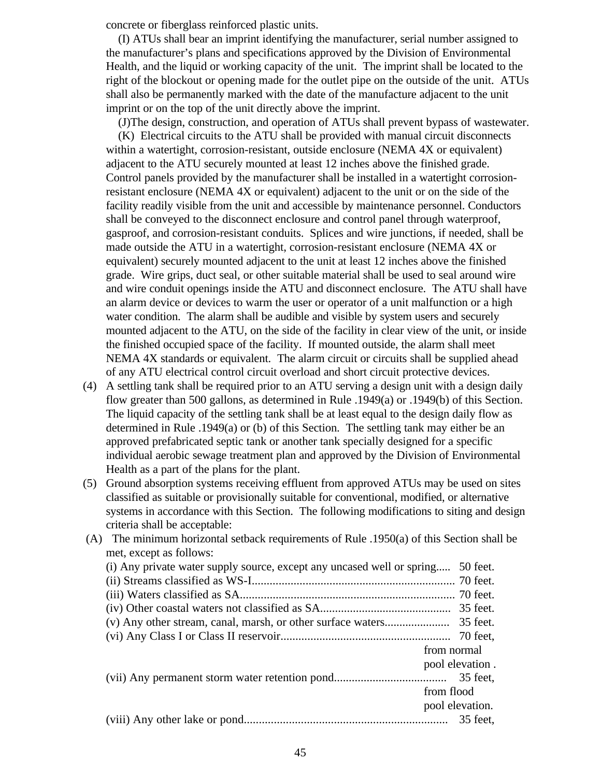concrete or fiberglass reinforced plastic units.

 (I) ATUs shall bear an imprint identifying the manufacturer, serial number assigned to the manufacturer's plans and specifications approved by the Division of Environmental Health, and the liquid or working capacity of the unit. The imprint shall be located to the right of the blockout or opening made for the outlet pipe on the outside of the unit. ATUs shall also be permanently marked with the date of the manufacture adjacent to the unit imprint or on the top of the unit directly above the imprint.

 (J)The design, construction, and operation of ATUs shall prevent bypass of wastewater. (K) Electrical circuits to the ATU shall be provided with manual circuit disconnects within a watertight, corrosion-resistant, outside enclosure (NEMA 4X or equivalent) adjacent to the ATU securely mounted at least 12 inches above the finished grade. Control panels provided by the manufacturer shall be installed in a watertight corrosionresistant enclosure (NEMA 4X or equivalent) adjacent to the unit or on the side of the facility readily visible from the unit and accessible by maintenance personnel. Conductors shall be conveyed to the disconnect enclosure and control panel through waterproof, gasproof, and corrosion-resistant conduits. Splices and wire junctions, if needed, shall be made outside the ATU in a watertight, corrosion-resistant enclosure (NEMA 4X or equivalent) securely mounted adjacent to the unit at least 12 inches above the finished grade. Wire grips, duct seal, or other suitable material shall be used to seal around wire and wire conduit openings inside the ATU and disconnect enclosure. The ATU shall have an alarm device or devices to warm the user or operator of a unit malfunction or a high water condition. The alarm shall be audible and visible by system users and securely mounted adjacent to the ATU, on the side of the facility in clear view of the unit, or inside the finished occupied space of the facility. If mounted outside, the alarm shall meet NEMA 4X standards or equivalent. The alarm circuit or circuits shall be supplied ahead of any ATU electrical control circuit overload and short circuit protective devices.

- (4) A settling tank shall be required prior to an ATU serving a design unit with a design daily flow greater than 500 gallons, as determined in Rule .1949(a) or .1949(b) of this Section. The liquid capacity of the settling tank shall be at least equal to the design daily flow as determined in Rule .1949(a) or (b) of this Section. The settling tank may either be an approved prefabricated septic tank or another tank specially designed for a specific individual aerobic sewage treatment plan and approved by the Division of Environmental Health as a part of the plans for the plant.
- (5) Ground absorption systems receiving effluent from approved ATUs may be used on sites classified as suitable or provisionally suitable for conventional, modified, or alternative systems in accordance with this Section. The following modifications to siting and design criteria shall be acceptable:
- (A) The minimum horizontal setback requirements of Rule .1950(a) of this Section shall be met, except as follows: (i) Any private water supply source, except any uncased well or spring..... 50 feet. (ii) Streams classified as WS-I.................................................................... 70 feet. (iii) Waters classified as SA........................................................................ 70 feet. (iv) Other coastal waters not classified as SA............................................ 35 feet. (v) Any other stream, canal, marsh, or other surface waters...................... 35 feet. (vi) Any Class I or Class II reservoir......................................................... 70 feet, from normal pool elevation . (vii) Any permanent storm water retention pond...................................... 35 feet, from flood pool elevation. (viii) Any other lake or pond.................................................................... 35 feet,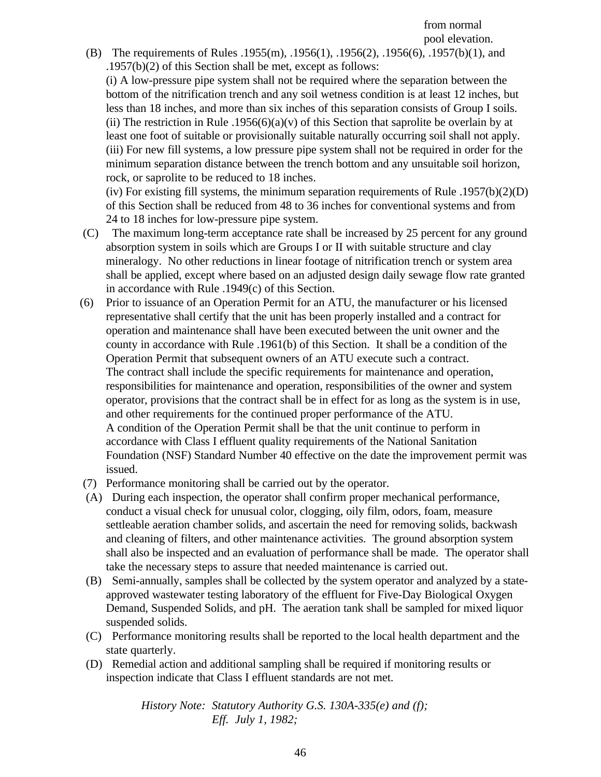from normal pool elevation.

 (B) The requirements of Rules .1955(m), .1956(1), .1956(2), .1956(6), .1957(b)(1), and .1957(b)(2) of this Section shall be met, except as follows:

(i) A low-pressure pipe system shall not be required where the separation between the bottom of the nitrification trench and any soil wetness condition is at least 12 inches, but less than 18 inches, and more than six inches of this separation consists of Group I soils. (ii) The restriction in Rule  $.1956(6)(a)(v)$  of this Section that saprolite be overlain by at least one foot of suitable or provisionally suitable naturally occurring soil shall not apply. (iii) For new fill systems, a low pressure pipe system shall not be required in order for the minimum separation distance between the trench bottom and any unsuitable soil horizon, rock, or saprolite to be reduced to 18 inches.

(iv) For existing fill systems, the minimum separation requirements of Rule .1957(b)(2)(D) of this Section shall be reduced from 48 to 36 inches for conventional systems and from 24 to 18 inches for low-pressure pipe system.

- (C) The maximum long-term acceptance rate shall be increased by 25 percent for any ground absorption system in soils which are Groups I or II with suitable structure and clay mineralogy. No other reductions in linear footage of nitrification trench or system area shall be applied, except where based on an adjusted design daily sewage flow rate granted in accordance with Rule .1949(c) of this Section.
- (6) Prior to issuance of an Operation Permit for an ATU, the manufacturer or his licensed representative shall certify that the unit has been properly installed and a contract for operation and maintenance shall have been executed between the unit owner and the county in accordance with Rule .1961(b) of this Section. It shall be a condition of the Operation Permit that subsequent owners of an ATU execute such a contract. The contract shall include the specific requirements for maintenance and operation, responsibilities for maintenance and operation, responsibilities of the owner and system operator, provisions that the contract shall be in effect for as long as the system is in use, and other requirements for the continued proper performance of the ATU. A condition of the Operation Permit shall be that the unit continue to perform in accordance with Class I effluent quality requirements of the National Sanitation Foundation (NSF) Standard Number 40 effective on the date the improvement permit was issued.
- (7) Performance monitoring shall be carried out by the operator.
- (A) During each inspection, the operator shall confirm proper mechanical performance, conduct a visual check for unusual color, clogging, oily film, odors, foam, measure settleable aeration chamber solids, and ascertain the need for removing solids, backwash and cleaning of filters, and other maintenance activities. The ground absorption system shall also be inspected and an evaluation of performance shall be made. The operator shall take the necessary steps to assure that needed maintenance is carried out.
- (B) Semi-annually, samples shall be collected by the system operator and analyzed by a stateapproved wastewater testing laboratory of the effluent for Five-Day Biological Oxygen Demand, Suspended Solids, and pH. The aeration tank shall be sampled for mixed liquor suspended solids.
- (C) Performance monitoring results shall be reported to the local health department and the state quarterly.
- (D) Remedial action and additional sampling shall be required if monitoring results or inspection indicate that Class I effluent standards are not met.

*History Note: Statutory Authority G.S. 130A-335(e) and (f); Eff. July 1, 1982;*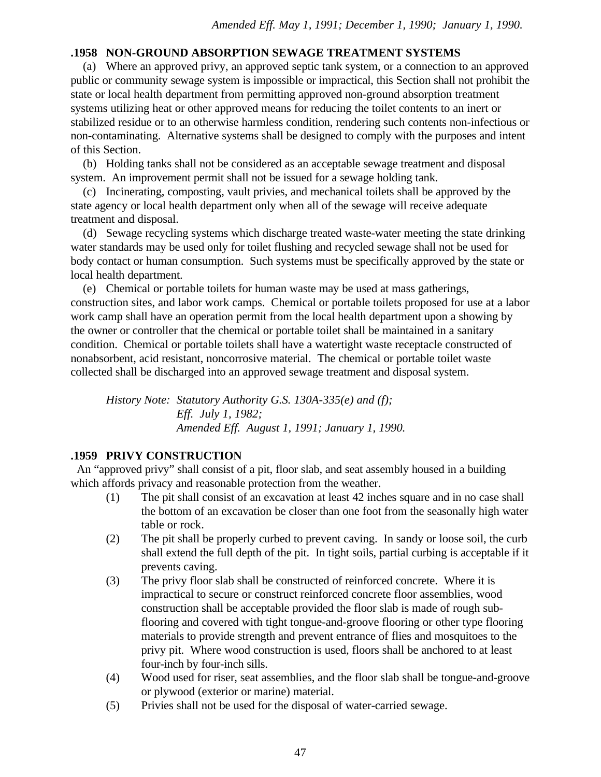# **.1958 NON-GROUND ABSORPTION SEWAGE TREATMENT SYSTEMS**

 (a) Where an approved privy, an approved septic tank system, or a connection to an approved public or community sewage system is impossible or impractical, this Section shall not prohibit the state or local health department from permitting approved non-ground absorption treatment systems utilizing heat or other approved means for reducing the toilet contents to an inert or stabilized residue or to an otherwise harmless condition, rendering such contents non-infectious or non-contaminating. Alternative systems shall be designed to comply with the purposes and intent of this Section.

 (b) Holding tanks shall not be considered as an acceptable sewage treatment and disposal system. An improvement permit shall not be issued for a sewage holding tank.

 (c) Incinerating, composting, vault privies, and mechanical toilets shall be approved by the state agency or local health department only when all of the sewage will receive adequate treatment and disposal.

 (d) Sewage recycling systems which discharge treated waste-water meeting the state drinking water standards may be used only for toilet flushing and recycled sewage shall not be used for body contact or human consumption. Such systems must be specifically approved by the state or local health department.

 (e) Chemical or portable toilets for human waste may be used at mass gatherings, construction sites, and labor work camps. Chemical or portable toilets proposed for use at a labor work camp shall have an operation permit from the local health department upon a showing by the owner or controller that the chemical or portable toilet shall be maintained in a sanitary condition. Chemical or portable toilets shall have a watertight waste receptacle constructed of nonabsorbent, acid resistant, noncorrosive material. The chemical or portable toilet waste collected shall be discharged into an approved sewage treatment and disposal system.

*History Note: Statutory Authority G.S. 130A-335(e) and (f); Eff. July 1, 1982; Amended Eff. August 1, 1991; January 1, 1990.*

# **.1959 PRIVY CONSTRUCTION**

 An "approved privy" shall consist of a pit, floor slab, and seat assembly housed in a building which affords privacy and reasonable protection from the weather.

- (1) The pit shall consist of an excavation at least 42 inches square and in no case shall the bottom of an excavation be closer than one foot from the seasonally high water table or rock.
- (2) The pit shall be properly curbed to prevent caving. In sandy or loose soil, the curb shall extend the full depth of the pit. In tight soils, partial curbing is acceptable if it prevents caving.
- (3) The privy floor slab shall be constructed of reinforced concrete. Where it is impractical to secure or construct reinforced concrete floor assemblies, wood construction shall be acceptable provided the floor slab is made of rough subflooring and covered with tight tongue-and-groove flooring or other type flooring materials to provide strength and prevent entrance of flies and mosquitoes to the privy pit. Where wood construction is used, floors shall be anchored to at least four-inch by four-inch sills.
- (4) Wood used for riser, seat assemblies, and the floor slab shall be tongue-and-groove or plywood (exterior or marine) material.
- (5) Privies shall not be used for the disposal of water-carried sewage.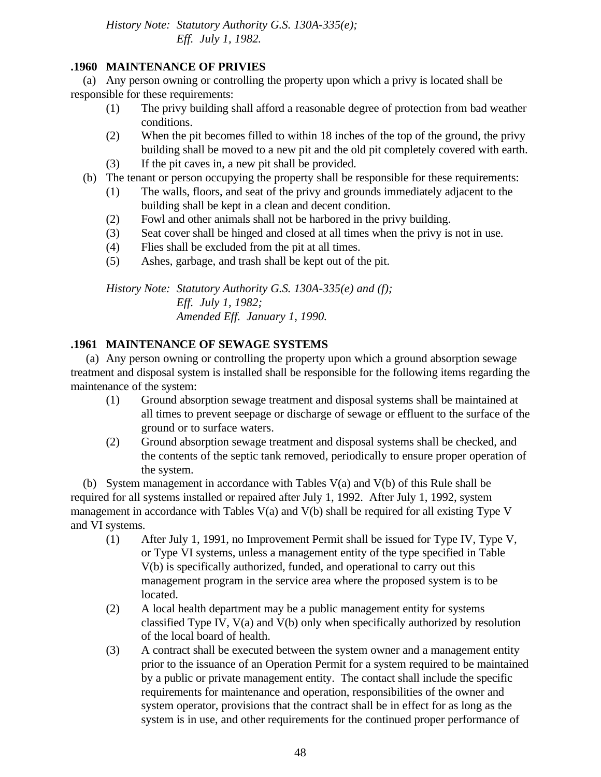*History Note: Statutory Authority G.S. 130A-335(e); Eff. July 1, 1982.*

# **.1960 MAINTENANCE OF PRIVIES**

 (a) Any person owning or controlling the property upon which a privy is located shall be responsible for these requirements:

- (1) The privy building shall afford a reasonable degree of protection from bad weather conditions.
- (2) When the pit becomes filled to within 18 inches of the top of the ground, the privy building shall be moved to a new pit and the old pit completely covered with earth.
- (3) If the pit caves in, a new pit shall be provided.
- (b) The tenant or person occupying the property shall be responsible for these requirements:
	- (1) The walls, floors, and seat of the privy and grounds immediately adjacent to the building shall be kept in a clean and decent condition.
	- (2) Fowl and other animals shall not be harbored in the privy building.
	- (3) Seat cover shall be hinged and closed at all times when the privy is not in use.
	- (4) Flies shall be excluded from the pit at all times.
	- (5) Ashes, garbage, and trash shall be kept out of the pit.

*History Note: Statutory Authority G.S. 130A-335(e) and (f); Eff. July 1, 1982; Amended Eff. January 1, 1990.*

# **.1961 MAINTENANCE OF SEWAGE SYSTEMS**

 (a) Any person owning or controlling the property upon which a ground absorption sewage treatment and disposal system is installed shall be responsible for the following items regarding the maintenance of the system:

- (1) Ground absorption sewage treatment and disposal systems shall be maintained at all times to prevent seepage or discharge of sewage or effluent to the surface of the ground or to surface waters.
- (2) Ground absorption sewage treatment and disposal systems shall be checked, and the contents of the septic tank removed, periodically to ensure proper operation of the system.

 (b) System management in accordance with Tables V(a) and V(b) of this Rule shall be required for all systems installed or repaired after July 1, 1992. After July 1, 1992, system management in accordance with Tables V(a) and V(b) shall be required for all existing Type V and VI systems.

- (1) After July 1, 1991, no Improvement Permit shall be issued for Type IV, Type V, or Type VI systems, unless a management entity of the type specified in Table V(b) is specifically authorized, funded, and operational to carry out this management program in the service area where the proposed system is to be located.
- (2) A local health department may be a public management entity for systems classified Type IV, V(a) and V(b) only when specifically authorized by resolution of the local board of health.
- (3) A contract shall be executed between the system owner and a management entity prior to the issuance of an Operation Permit for a system required to be maintained by a public or private management entity. The contact shall include the specific requirements for maintenance and operation, responsibilities of the owner and system operator, provisions that the contract shall be in effect for as long as the system is in use, and other requirements for the continued proper performance of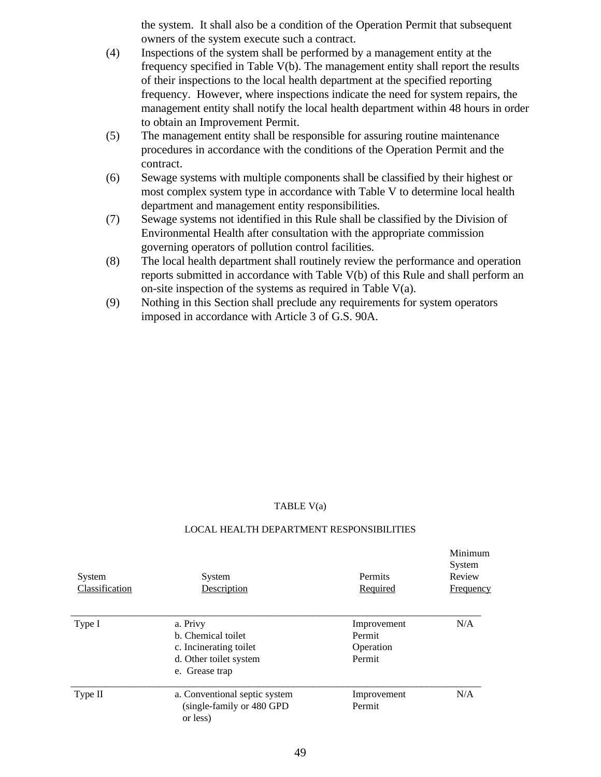the system. It shall also be a condition of the Operation Permit that subsequent owners of the system execute such a contract.

- (4) Inspections of the system shall be performed by a management entity at the frequency specified in Table V(b). The management entity shall report the results of their inspections to the local health department at the specified reporting frequency. However, where inspections indicate the need for system repairs, the management entity shall notify the local health department within 48 hours in order to obtain an Improvement Permit.
- (5) The management entity shall be responsible for assuring routine maintenance procedures in accordance with the conditions of the Operation Permit and the contract.
- (6) Sewage systems with multiple components shall be classified by their highest or most complex system type in accordance with Table V to determine local health department and management entity responsibilities.
- (7) Sewage systems not identified in this Rule shall be classified by the Division of Environmental Health after consultation with the appropriate commission governing operators of pollution control facilities.
- (8) The local health department shall routinely review the performance and operation reports submitted in accordance with Table V(b) of this Rule and shall perform an on-site inspection of the systems as required in Table V(a).
- (9) Nothing in this Section shall preclude any requirements for system operators imposed in accordance with Article 3 of G.S. 90A.

#### TABLE V(a)

#### LOCAL HEALTH DEPARTMENT RESPONSIBILITIES

| System<br>Classification | System<br>Description                                                                                | Permits<br>Required                          | Minimum<br>System<br>Review<br><b>Frequency</b> |
|--------------------------|------------------------------------------------------------------------------------------------------|----------------------------------------------|-------------------------------------------------|
| Type I                   | a. Privy<br>b. Chemical toilet<br>c. Incinerating toilet<br>d. Other toilet system<br>e. Grease trap | Improvement<br>Permit<br>Operation<br>Permit | N/A                                             |
| Type II                  | a. Conventional septic system<br>(single-family or 480 GPD)<br>or less)                              | Improvement<br>Permit                        | N/A                                             |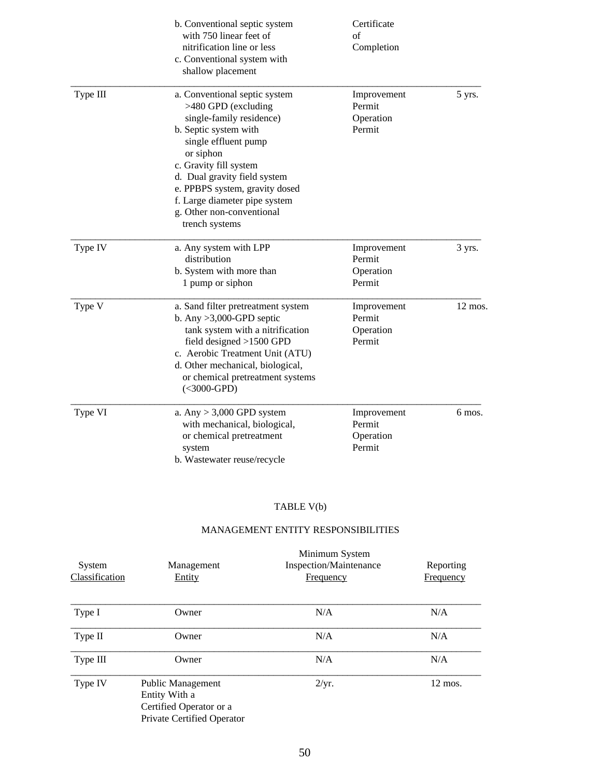|          | b. Conventional septic system<br>with 750 linear feet of<br>nitrification line or less<br>c. Conventional system with<br>shallow placement                                                                                                                                                                                 | Certificate<br>of<br>Completion              |                   |
|----------|----------------------------------------------------------------------------------------------------------------------------------------------------------------------------------------------------------------------------------------------------------------------------------------------------------------------------|----------------------------------------------|-------------------|
| Type III | a. Conventional septic system<br>>480 GPD (excluding<br>single-family residence)<br>b. Septic system with<br>single effluent pump<br>or siphon<br>c. Gravity fill system<br>d. Dual gravity field system<br>e. PPBPS system, gravity dosed<br>f. Large diameter pipe system<br>g. Other non-conventional<br>trench systems | Improvement<br>Permit<br>Operation<br>Permit | 5 yrs.            |
| Type IV  | a. Any system with LPP<br>distribution<br>b. System with more than<br>1 pump or siphon                                                                                                                                                                                                                                     | Improvement<br>Permit<br>Operation<br>Permit | 3 yrs.            |
| Type V   | a. Sand filter pretreatment system<br>b. Any $>3,000$ -GPD septic<br>tank system with a nitrification<br>field designed $>1500$ GPD<br>c. Aerobic Treatment Unit (ATU)<br>d. Other mechanical, biological,<br>or chemical pretreatment systems<br>$(<$ 3000-GPD)                                                           | Improvement<br>Permit<br>Operation<br>Permit | $12 \text{ mos.}$ |
| Type VI  | a. Any $> 3,000$ GPD system<br>with mechanical, biological,<br>or chemical pretreatment<br>system<br>b. Wastewater reuse/recycle                                                                                                                                                                                           | Improvement<br>Permit<br>Operation<br>Permit | 6 mos.            |

#### TABLE V(b)

# MANAGEMENT ENTITY RESPONSIBILITIES

| System<br>Classification | Management<br>Entity                                                                        | Minimum System<br>Inspection/Maintenance<br>Frequency | Reporting<br>Frequency |
|--------------------------|---------------------------------------------------------------------------------------------|-------------------------------------------------------|------------------------|
| Type I                   | Owner                                                                                       | N/A                                                   | N/A                    |
| Type II                  | Owner                                                                                       | N/A                                                   | N/A                    |
| Type III                 | Owner                                                                                       | N/A                                                   | N/A                    |
| Type IV                  | Public Management<br>Entity With a<br>Certified Operator or a<br>Private Certified Operator | 2/yr.                                                 | $12 \text{ mos.}$      |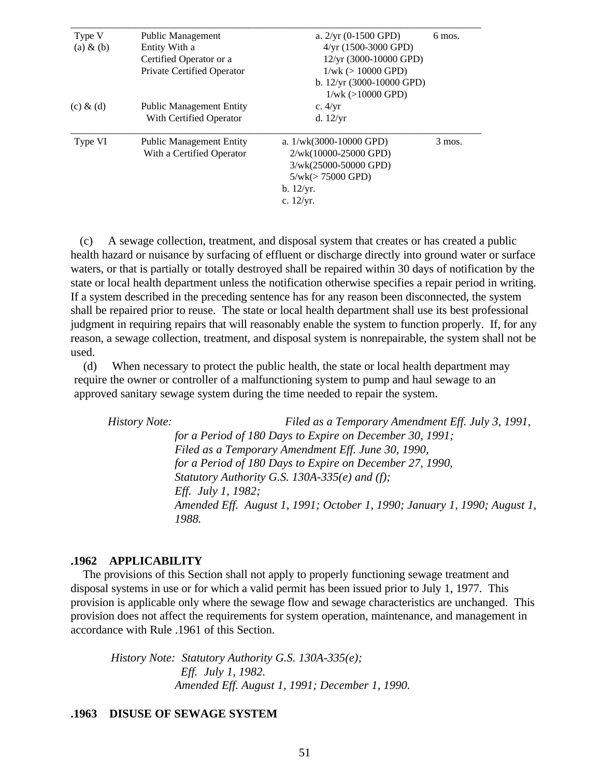| Type V        | Public Management               | a. $2/yr$ (0-1500 GPD)      | 6 mos.   |
|---------------|---------------------------------|-----------------------------|----------|
| $(a) \& (b)$  | Entity With a                   | $4/yr$ (1500-3000 GPD)      |          |
|               | Certified Operator or a         | 12/yr (3000-10000 GPD)      |          |
|               | Private Certified Operator      | $1/wk$ ( $> 10000$ GPD)     |          |
|               |                                 | b. $12/yr$ (3000-10000 GPD) |          |
|               |                                 | $1/wk$ ( $>10000$ GPD)      |          |
| $(c)$ & $(d)$ | <b>Public Management Entity</b> | c. $4/yr$                   |          |
|               | With Certified Operator         | d. $12/yr$                  |          |
| Type VI       | <b>Public Management Entity</b> | a. $1/wk(3000-10000$ GPD)   | $3$ mos. |
|               | With a Certified Operator       | 2/wk(10000-25000 GPD)       |          |
|               |                                 | 3/wk(25000-50000 GPD)       |          |
|               |                                 | $5/wk (> 75000$ GPD)        |          |
|               |                                 | b. 12/yr.                   |          |
|               |                                 | c. $12/yr$ .                |          |

 (c) A sewage collection, treatment, and disposal system that creates or has created a public health hazard or nuisance by surfacing of effluent or discharge directly into ground water or surface waters, or that is partially or totally destroyed shall be repaired within 30 days of notification by the state or local health department unless the notification otherwise specifies a repair period in writing. If a system described in the preceding sentence has for any reason been disconnected, the system shall be repaired prior to reuse. The state or local health department shall use its best professional judgment in requiring repairs that will reasonably enable the system to function properly. If, for any reason, a sewage collection, treatment, and disposal system is nonrepairable, the system shall not be used.

 (d) When necessary to protect the public health, the state or local health department may require the owner or controller of a malfunctioning system to pump and haul sewage to an approved sanitary sewage system during the time needed to repair the system.

 *History Note: Filed as a Temporary Amendment Eff. July 3, 1991, for a Period of 180 Days to Expire on December 30, 1991; Filed as a Temporary Amendment Eff. June 30, 1990, for a Period of 180 Days to Expire on December 27, 1990, Statutory Authority G.S. 130A-335(e) and (f); Eff. July 1, 1982; Amended Eff. August 1, 1991; October 1, 1990; January 1, 1990; August 1, 1988.*

### **.1962 APPLICABILITY**

 The provisions of this Section shall not apply to properly functioning sewage treatment and disposal systems in use or for which a valid permit has been issued prior to July 1, 1977. This provision is applicable only where the sewage flow and sewage characteristics are unchanged. This provision does not affect the requirements for system operation, maintenance, and management in accordance with Rule .1961 of this Section.

 *History Note: Statutory Authority G.S. 130A-335(e); Eff. July 1, 1982. Amended Eff. August 1, 1991; December 1, 1990.*

#### **.1963 DISUSE OF SEWAGE SYSTEM**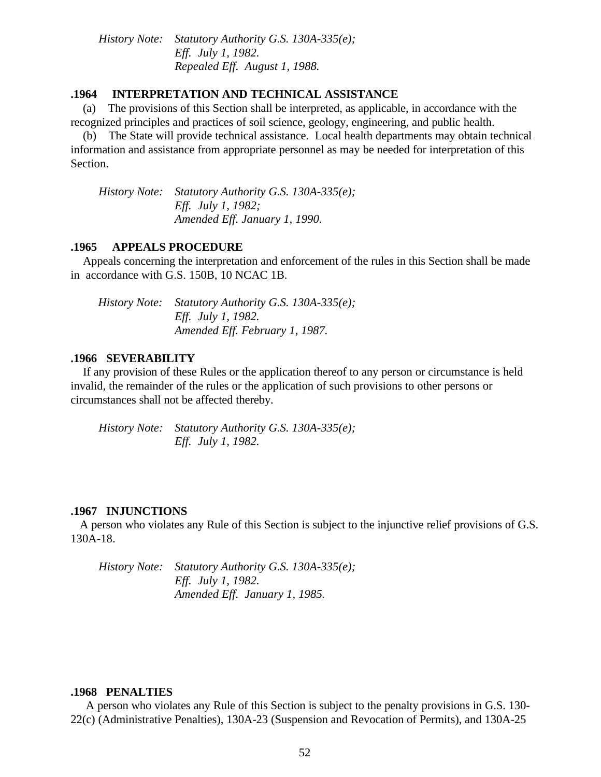*History Note: Statutory Authority G.S. 130A-335(e); Eff. July 1, 1982. Repealed Eff. August 1, 1988.*

## **.1964 INTERPRETATION AND TECHNICAL ASSISTANCE**

 (a) The provisions of this Section shall be interpreted, as applicable, in accordance with the recognized principles and practices of soil science, geology, engineering, and public health.

 (b) The State will provide technical assistance. Local health departments may obtain technical information and assistance from appropriate personnel as may be needed for interpretation of this Section.

 *History Note: Statutory Authority G.S. 130A-335(e); Eff. July 1, 1982; Amended Eff. January 1, 1990.*

#### **.1965 APPEALS PROCEDURE**

 Appeals concerning the interpretation and enforcement of the rules in this Section shall be made in accordance with G.S. 150B, 10 NCAC 1B.

| History Note: Statutory Authority G.S. 130A-335(e); |
|-----------------------------------------------------|
| <i>Eff. July 1, 1982.</i>                           |
| Amended Eff. February 1, 1987.                      |

### **.1966 SEVERABILITY**

 If any provision of these Rules or the application thereof to any person or circumstance is held invalid, the remainder of the rules or the application of such provisions to other persons or circumstances shall not be affected thereby.

 *History Note: Statutory Authority G.S. 130A-335(e); Eff. July 1, 1982.*

#### **.1967 INJUNCTIONS**

 A person who violates any Rule of this Section is subject to the injunctive relief provisions of G.S. 130A-18.

 *History Note: Statutory Authority G.S. 130A-335(e); Eff. July 1, 1982. Amended Eff. January 1, 1985.*

#### **.1968 PENALTIES**

 A person who violates any Rule of this Section is subject to the penalty provisions in G.S. 130- 22(c) (Administrative Penalties), 130A-23 (Suspension and Revocation of Permits), and 130A-25